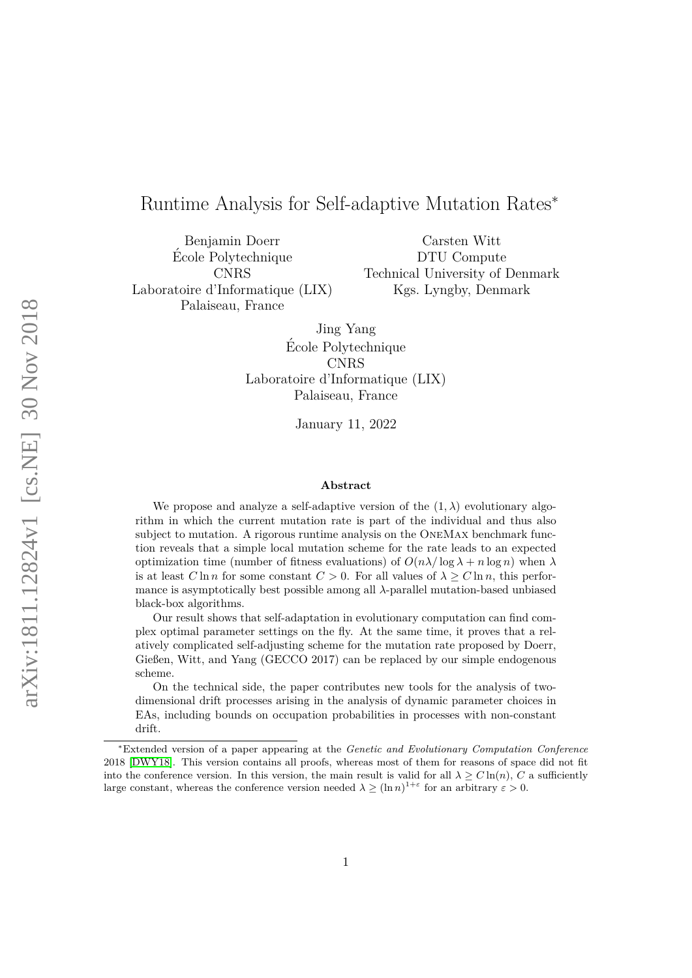# <span id="page-0-0"></span>Runtime Analysis for Self-adaptive Mutation Rates<sup>∗</sup>

Benjamin Doerr Ecole Polytechnique ´ CNRS Laboratoire d'Informatique (LIX) Palaiseau, France

Carsten Witt DTU Compute Technical University of Denmark Kgs. Lyngby, Denmark

Jing Yang Ecole Polytechnique ´ CNRS Laboratoire d'Informatique (LIX) Palaiseau, France

January 11, 2022

#### **Abstract**

We propose and analyze a self-adaptive version of the  $(1, \lambda)$  evolutionary algorithm in which the current mutation rate is part of the individual and thus also subject to mutation. A rigorous runtime analysis on the OneMax benchmark function reveals that a simple local mutation scheme for the rate leads to an expected optimization time (number of fitness evaluations) of  $O(n\lambda/\log\lambda+n\log n)$  when  $\lambda$ is at least  $C \ln n$  for some constant  $C > 0$ . For all values of  $\lambda \ge C \ln n$ , this performance is asymptotically best possible among all *λ*-parallel mutation-based unbiased black-box algorithms.

Our result shows that self-adaptation in evolutionary computation can find complex optimal parameter settings on the fly. At the same time, it proves that a relatively complicated self-adjusting scheme for the mutation rate proposed by Doerr, Gießen, Witt, and Yang (GECCO 2017) can be replaced by our simple endogenous scheme.

On the technical side, the paper contributes new tools for the analysis of twodimensional drift processes arising in the analysis of dynamic parameter choices in EAs, including bounds on occupation probabilities in processes with non-constant drift.

<sup>∗</sup>Extended version of a paper appearing at the *Genetic and Evolutionary Computation Conference* 2018 [\[DWY18\]](#page-40-0). This version contains all proofs, whereas most of them for reasons of space did not fit into the conference version. In this version, the main result is valid for all  $\lambda \geq C \ln(n)$ , *C* a sufficiently large constant, whereas the conference version needed  $\lambda \geq (\ln n)^{1+\varepsilon}$  for an arbitrary  $\varepsilon > 0$ .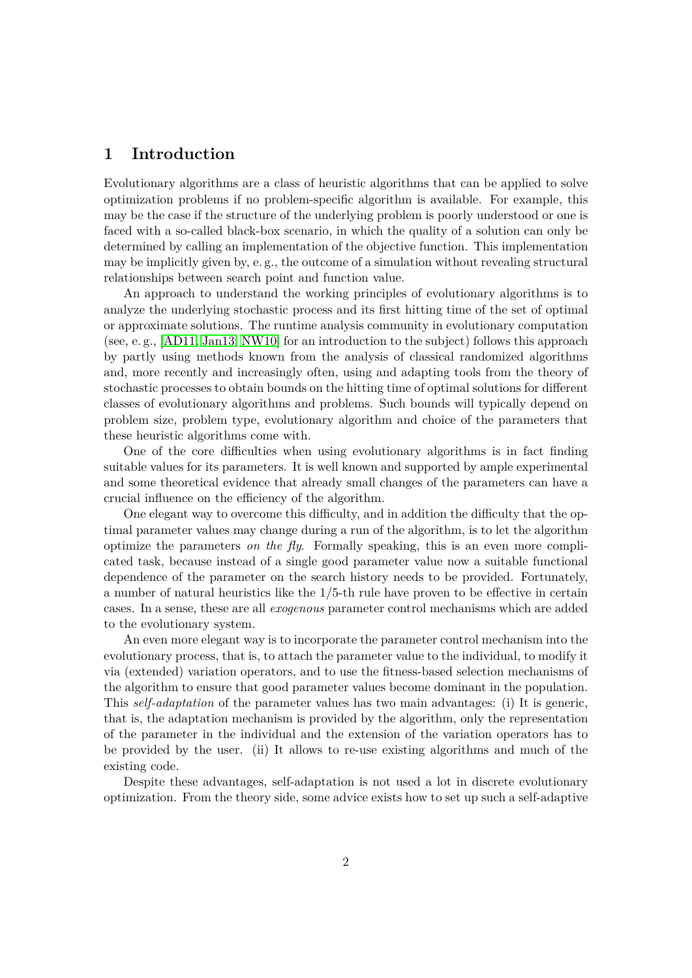# **1 Introduction**

Evolutionary algorithms are a class of heuristic algorithms that can be applied to solve optimization problems if no problem-specific algorithm is available. For example, this may be the case if the structure of the underlying problem is poorly understood or one is faced with a so-called black-box scenario, in which the quality of a solution can only be determined by calling an implementation of the objective function. This implementation may be implicitly given by, e. g., the outcome of a simulation without revealing structural relationships between search point and function value.

An approach to understand the working principles of evolutionary algorithms is to analyze the underlying stochastic process and its first hitting time of the set of optimal or approximate solutions. The runtime analysis community in evolutionary computation (see, e. g., [\[AD11,](#page-38-0) [Jan13,](#page-41-0) [NW10\]](#page-42-0) for an introduction to the subject) follows this approach by partly using methods known from the analysis of classical randomized algorithms and, more recently and increasingly often, using and adapting tools from the theory of stochastic processes to obtain bounds on the hitting time of optimal solutions for different classes of evolutionary algorithms and problems. Such bounds will typically depend on problem size, problem type, evolutionary algorithm and choice of the parameters that these heuristic algorithms come with.

One of the core difficulties when using evolutionary algorithms is in fact finding suitable values for its parameters. It is well known and supported by ample experimental and some theoretical evidence that already small changes of the parameters can have a crucial influence on the efficiency of the algorithm.

One elegant way to overcome this difficulty, and in addition the difficulty that the optimal parameter values may change during a run of the algorithm, is to let the algorithm optimize the parameters *on the fly*. Formally speaking, this is an even more complicated task, because instead of a single good parameter value now a suitable functional dependence of the parameter on the search history needs to be provided. Fortunately, a number of natural heuristics like the 1*/*5-th rule have proven to be effective in certain cases. In a sense, these are all *exogenous* parameter control mechanisms which are added to the evolutionary system.

An even more elegant way is to incorporate the parameter control mechanism into the evolutionary process, that is, to attach the parameter value to the individual, to modify it via (extended) variation operators, and to use the fitness-based selection mechanisms of the algorithm to ensure that good parameter values become dominant in the population. This *self-adaptation* of the parameter values has two main advantages: (i) It is generic, that is, the adaptation mechanism is provided by the algorithm, only the representation of the parameter in the individual and the extension of the variation operators has to be provided by the user. (ii) It allows to re-use existing algorithms and much of the existing code.

Despite these advantages, self-adaptation is not used a lot in discrete evolutionary optimization. From the theory side, some advice exists how to set up such a self-adaptive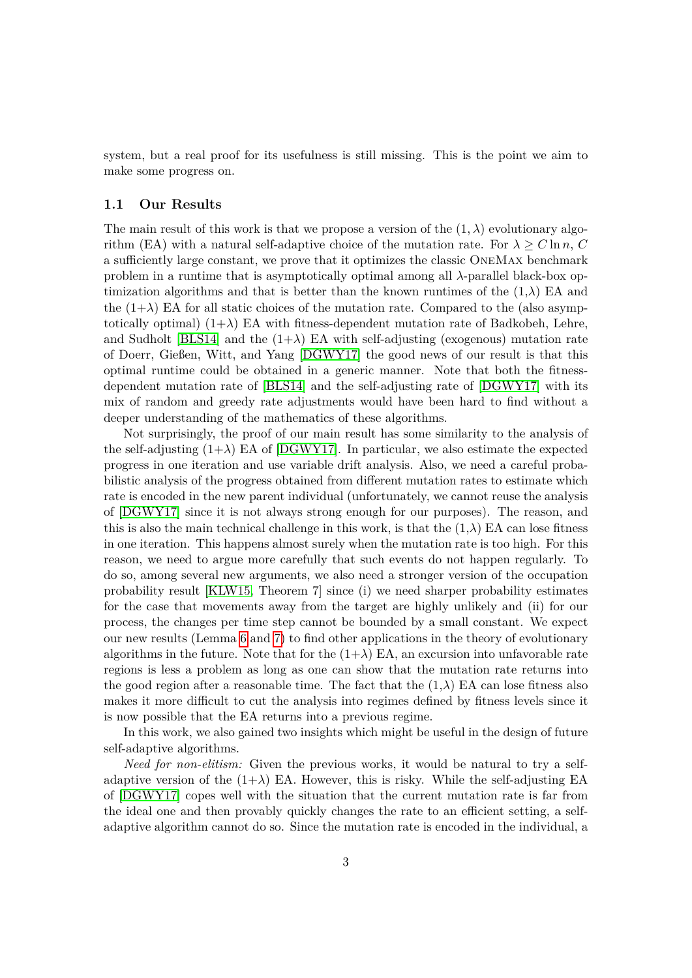system, but a real proof for its usefulness is still missing. This is the point we aim to make some progress on.

#### **1.1 Our Results**

The main result of this work is that we propose a version of the  $(1, \lambda)$  evolutionary algorithm (EA) with a natural self-adaptive choice of the mutation rate. For  $\lambda \geq C \ln n$ , *C* a sufficiently large constant, we prove that it optimizes the classic OneMax benchmark problem in a runtime that is asymptotically optimal among all  $\lambda$ -parallel black-box optimization algorithms and that is better than the known runtimes of the  $(1,\lambda)$  EA and the  $(1+\lambda)$  EA for all static choices of the mutation rate. Compared to the (also asymptotically optimal)  $(1+\lambda)$  EA with fitness-dependent mutation rate of Badkobeh, Lehre, and Sudholt [\[BLS14\]](#page-39-0) and the  $(1+\lambda)$  EA with self-adjusting (exogenous) mutation rate of Doerr, Gießen, Witt, and Yang [\[DGWY17\]](#page-40-1) the good news of our result is that this optimal runtime could be obtained in a generic manner. Note that both the fitnessdependent mutation rate of [\[BLS14\]](#page-39-0) and the self-adjusting rate of [\[DGWY17\]](#page-40-1) with its mix of random and greedy rate adjustments would have been hard to find without a deeper understanding of the mathematics of these algorithms.

Not surprisingly, the proof of our main result has some similarity to the analysis of the self-adjusting  $(1+\lambda)$  EA of [\[DGWY17\]](#page-40-1). In particular, we also estimate the expected progress in one iteration and use variable drift analysis. Also, we need a careful probabilistic analysis of the progress obtained from different mutation rates to estimate which rate is encoded in the new parent individual (unfortunately, we cannot reuse the analysis of [\[DGWY17\]](#page-40-1) since it is not always strong enough for our purposes). The reason, and this is also the main technical challenge in this work, is that the  $(1,\lambda)$  EA can lose fitness in one iteration. This happens almost surely when the mutation rate is too high. For this reason, we need to argue more carefully that such events do not happen regularly. To do so, among several new arguments, we also need a stronger version of the occupation probability result [\[KLW15,](#page-41-1) Theorem 7] since (i) we need sharper probability estimates for the case that movements away from the target are highly unlikely and (ii) for our process, the changes per time step cannot be bounded by a small constant. We expect our new results (Lemma [6](#page-10-0) and [7\)](#page-12-0) to find other applications in the theory of evolutionary algorithms in the future. Note that for the  $(1+\lambda)$  EA, an excursion into unfavorable rate regions is less a problem as long as one can show that the mutation rate returns into the good region after a reasonable time. The fact that the  $(1,\lambda)$  EA can lose fitness also makes it more difficult to cut the analysis into regimes defined by fitness levels since it is now possible that the EA returns into a previous regime.

In this work, we also gained two insights which might be useful in the design of future self-adaptive algorithms.

*Need for non-elitism:* Given the previous works, it would be natural to try a selfadaptive version of the  $(1+\lambda)$  EA. However, this is risky. While the self-adjusting EA of [\[DGWY17\]](#page-40-1) copes well with the situation that the current mutation rate is far from the ideal one and then provably quickly changes the rate to an efficient setting, a selfadaptive algorithm cannot do so. Since the mutation rate is encoded in the individual, a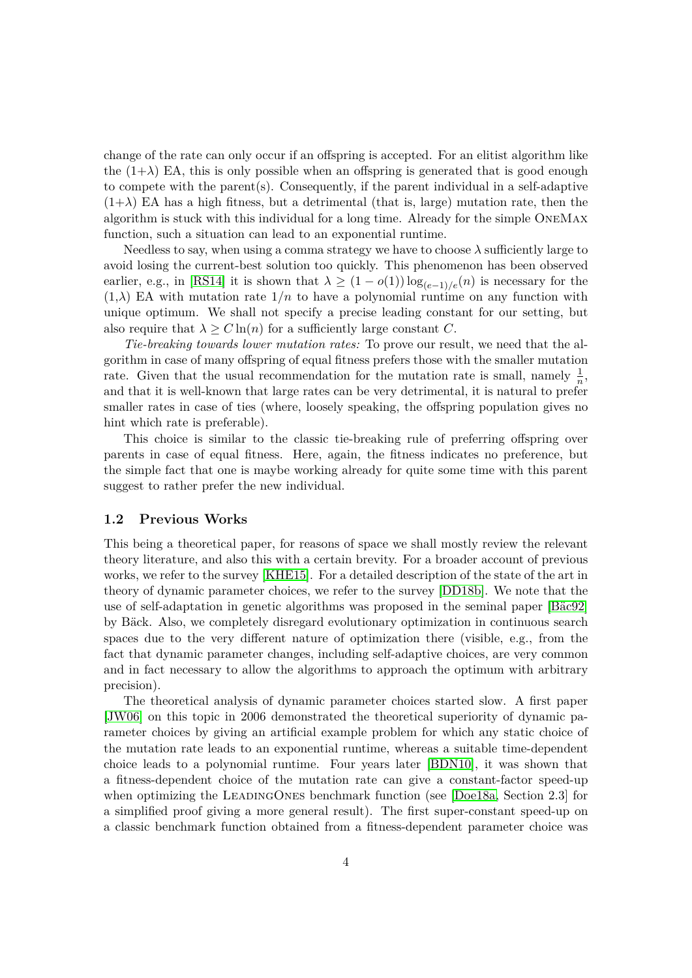change of the rate can only occur if an offspring is accepted. For an elitist algorithm like the  $(1+\lambda)$  EA, this is only possible when an offspring is generated that is good enough to compete with the parent(s). Consequently, if the parent individual in a self-adaptive  $(1+\lambda)$  EA has a high fitness, but a detrimental (that is, large) mutation rate, then the algorithm is stuck with this individual for a long time. Already for the simple OneMax function, such a situation can lead to an exponential runtime.

Needless to say, when using a comma strategy we have to choose  $\lambda$  sufficiently large to avoid losing the current-best solution too quickly. This phenomenon has been observed earlier, e.g., in [\[RS14\]](#page-42-1) it is shown that  $\lambda \geq (1 - o(1)) \log_{(e-1)/e}(n)$  is necessary for the  $(1,\lambda)$  EA with mutation rate  $1/n$  to have a polynomial runtime on any function with unique optimum. We shall not specify a precise leading constant for our setting, but also require that  $\lambda > C \ln(n)$  for a sufficiently large constant *C*.

*Tie-breaking towards lower mutation rates:* To prove our result, we need that the algorithm in case of many offspring of equal fitness prefers those with the smaller mutation rate. Given that the usual recommendation for the mutation rate is small, namely  $\frac{1}{n}$ , and that it is well-known that large rates can be very detrimental, it is natural to prefer smaller rates in case of ties (where, loosely speaking, the offspring population gives no hint which rate is preferable).

This choice is similar to the classic tie-breaking rule of preferring offspring over parents in case of equal fitness. Here, again, the fitness indicates no preference, but the simple fact that one is maybe working already for quite some time with this parent suggest to rather prefer the new individual.

#### **1.2 Previous Works**

This being a theoretical paper, for reasons of space we shall mostly review the relevant theory literature, and also this with a certain brevity. For a broader account of previous works, we refer to the survey [\[KHE15\]](#page-41-2). For a detailed description of the state of the art in theory of dynamic parameter choices, we refer to the survey [\[DD18b\]](#page-39-1). We note that the use of self-adaptation in genetic algorithms was proposed in the seminal paper [Bäc92] by Bäck. Also, we completely disregard evolutionary optimization in continuous search spaces due to the very different nature of optimization there (visible, e.g., from the fact that dynamic parameter changes, including self-adaptive choices, are very common and in fact necessary to allow the algorithms to approach the optimum with arbitrary precision).

The theoretical analysis of dynamic parameter choices started slow. A first paper [\[JW06\]](#page-41-3) on this topic in 2006 demonstrated the theoretical superiority of dynamic parameter choices by giving an artificial example problem for which any static choice of the mutation rate leads to an exponential runtime, whereas a suitable time-dependent choice leads to a polynomial runtime. Four years later [\[BDN10\]](#page-38-2), it was shown that a fitness-dependent choice of the mutation rate can give a constant-factor speed-up when optimizing the LEADINGONES benchmark function (see [\[Doe18a,](#page-40-2) Section 2.3] for a simplified proof giving a more general result). The first super-constant speed-up on a classic benchmark function obtained from a fitness-dependent parameter choice was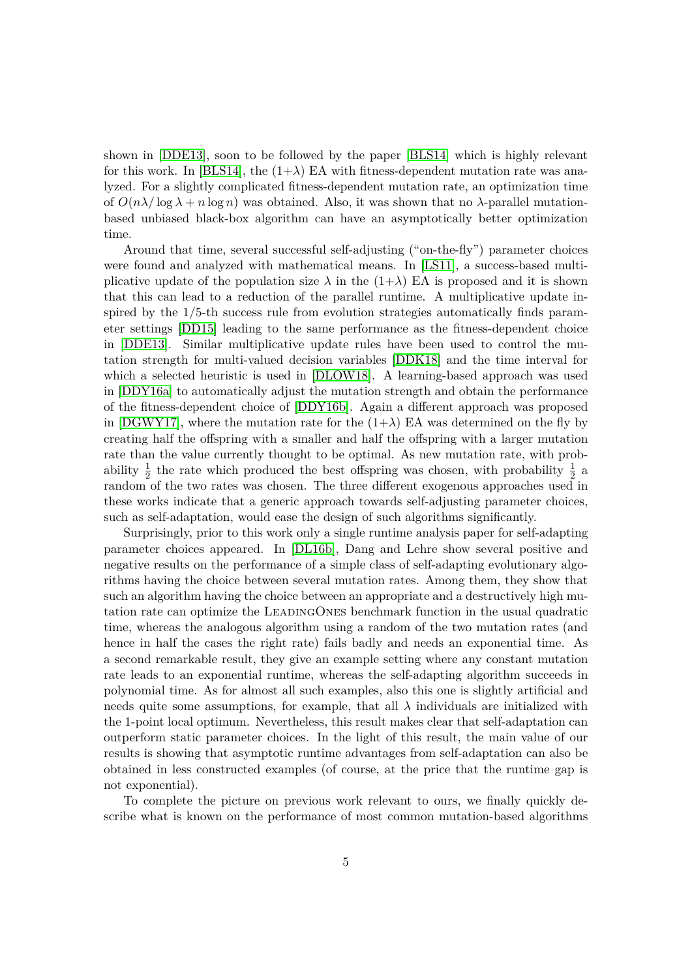shown in [\[DDE13\]](#page-39-2), soon to be followed by the paper [\[BLS14\]](#page-39-0) which is highly relevant for this work. In [\[BLS14\]](#page-39-0), the  $(1+\lambda)$  EA with fitness-dependent mutation rate was analyzed. For a slightly complicated fitness-dependent mutation rate, an optimization time of  $O(n\lambda/\log\lambda+n\log n)$  was obtained. Also, it was shown that no  $\lambda$ -parallel mutationbased unbiased black-box algorithm can have an asymptotically better optimization time.

Around that time, several successful self-adjusting ("on-the-fly") parameter choices were found and analyzed with mathematical means. In [\[LS11\]](#page-41-4), a success-based multiplicative update of the population size  $\lambda$  in the  $(1+\lambda)$  EA is proposed and it is shown that this can lead to a reduction of the parallel runtime. A multiplicative update inspired by the 1*/*5-th success rule from evolution strategies automatically finds parameter settings [\[DD15\]](#page-39-3) leading to the same performance as the fitness-dependent choice in [\[DDE13\]](#page-39-2). Similar multiplicative update rules have been used to control the mutation strength for multi-valued decision variables [\[DDK18\]](#page-39-4) and the time interval for which a selected heuristic is used in [\[DLOW18\]](#page-40-3). A learning-based approach was used in [\[DDY16a\]](#page-39-5) to automatically adjust the mutation strength and obtain the performance of the fitness-dependent choice of [\[DDY16b\]](#page-39-6). Again a different approach was proposed in [\[DGWY17\]](#page-40-1), where the mutation rate for the  $(1+\lambda)$  EA was determined on the fly by creating half the offspring with a smaller and half the offspring with a larger mutation rate than the value currently thought to be optimal. As new mutation rate, with probability  $\frac{1}{2}$  the rate which produced the best offspring was chosen, with probability  $\frac{1}{2}$  a random of the two rates was chosen. The three different exogenous approaches used in these works indicate that a generic approach towards self-adjusting parameter choices, such as self-adaptation, would ease the design of such algorithms significantly.

Surprisingly, prior to this work only a single runtime analysis paper for self-adapting parameter choices appeared. In [\[DL16b\]](#page-40-4), Dang and Lehre show several positive and negative results on the performance of a simple class of self-adapting evolutionary algorithms having the choice between several mutation rates. Among them, they show that such an algorithm having the choice between an appropriate and a destructively high mutation rate can optimize the LeadingOnes benchmark function in the usual quadratic time, whereas the analogous algorithm using a random of the two mutation rates (and hence in half the cases the right rate) fails badly and needs an exponential time. As a second remarkable result, they give an example setting where any constant mutation rate leads to an exponential runtime, whereas the self-adapting algorithm succeeds in polynomial time. As for almost all such examples, also this one is slightly artificial and needs quite some assumptions, for example, that all  $\lambda$  individuals are initialized with the 1-point local optimum. Nevertheless, this result makes clear that self-adaptation can outperform static parameter choices. In the light of this result, the main value of our results is showing that asymptotic runtime advantages from self-adaptation can also be obtained in less constructed examples (of course, at the price that the runtime gap is not exponential).

To complete the picture on previous work relevant to ours, we finally quickly describe what is known on the performance of most common mutation-based algorithms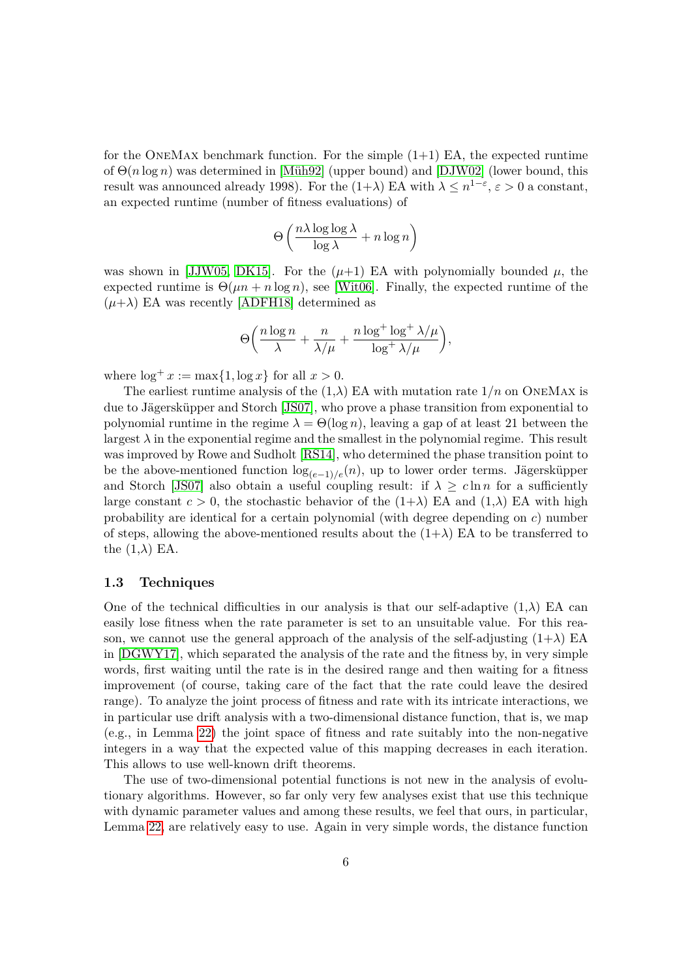for the ONEMAX benchmark function. For the simple  $(1+1)$  EA, the expected runtime of  $Θ(n \log n)$  was determined in [Müh92] (upper bound) and [\[DJW02\]](#page-40-5) (lower bound, this result was announced already 1998). For the  $(1+\lambda)$  EA with  $\lambda \leq n^{1-\varepsilon}$ ,  $\varepsilon > 0$  a constant, an expected runtime (number of fitness evaluations) of

$$
\Theta\left(\frac{n\lambda\log\log\lambda}{\log\lambda} + n\log n\right)
$$

was shown in [\[JJW05,](#page-41-6) [DK15\]](#page-40-6). For the  $(\mu+1)$  EA with polynomially bounded  $\mu$ , the expected runtime is  $\Theta(\mu n + n \log n)$ , see [\[Wit06\]](#page-42-2). Finally, the expected runtime of the  $(\mu+\lambda)$  EA was recently [\[ADFH18\]](#page-38-3) determined as

$$
\Theta\bigg(\frac{n\log n}{\lambda}+\frac{n}{\lambda/\mu}+\frac{n\log^+\log^+\lambda/\mu}{\log^+\lambda/\mu}\bigg),
$$

where  $\log^+ x := \max\{1, \log x\}$  for all  $x > 0$ .

The earliest runtime analysis of the  $(1,\lambda)$  EA with mutation rate  $1/n$  on ONEMAX is due to Jägersküpper and Storch [\[JS07\]](#page-41-7), who prove a phase transition from exponential to polynomial runtime in the regime  $\lambda = \Theta(\log n)$ , leaving a gap of at least 21 between the largest  $\lambda$  in the exponential regime and the smallest in the polynomial regime. This result was improved by Rowe and Sudholt [\[RS14\]](#page-42-1), who determined the phase transition point to be the above-mentioned function  $\log_{(e-1)/e}(n)$ , up to lower order terms. Jägersküpper and Storch [\[JS07\]](#page-41-7) also obtain a useful coupling result: if  $\lambda \geq c \ln n$  for a sufficiently large constant  $c > 0$ , the stochastic behavior of the  $(1+\lambda)$  EA and  $(1,\lambda)$  EA with high probability are identical for a certain polynomial (with degree depending on *c*) number of steps, allowing the above-mentioned results about the  $(1+\lambda)$  EA to be transferred to the  $(1,\lambda)$  EA.

#### **1.3 Techniques**

One of the technical difficulties in our analysis is that our self-adaptive  $(1,\lambda)$  EA can easily lose fitness when the rate parameter is set to an unsuitable value. For this reason, we cannot use the general approach of the analysis of the self-adjusting  $(1+\lambda)$  EA in [\[DGWY17\]](#page-40-1), which separated the analysis of the rate and the fitness by, in very simple words, first waiting until the rate is in the desired range and then waiting for a fitness improvement (of course, taking care of the fact that the rate could leave the desired range). To analyze the joint process of fitness and rate with its intricate interactions, we in particular use drift analysis with a two-dimensional distance function, that is, we map (e.g., in Lemma [22\)](#page-31-0) the joint space of fitness and rate suitably into the non-negative integers in a way that the expected value of this mapping decreases in each iteration. This allows to use well-known drift theorems.

The use of two-dimensional potential functions is not new in the analysis of evolutionary algorithms. However, so far only very few analyses exist that use this technique with dynamic parameter values and among these results, we feel that ours, in particular, Lemma [22,](#page-31-0) are relatively easy to use. Again in very simple words, the distance function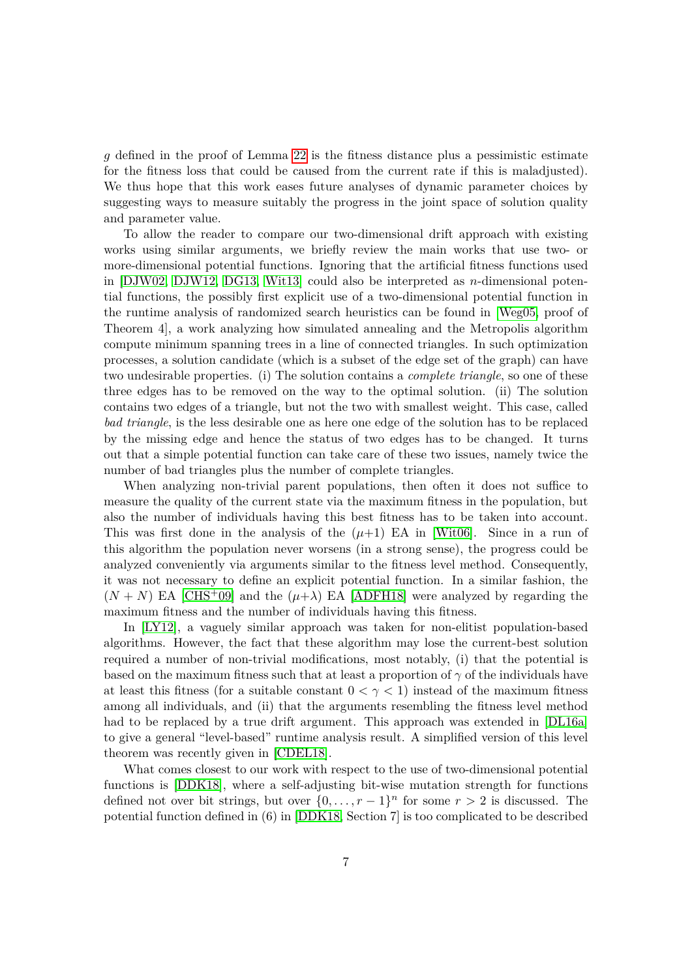*g* defined in the proof of Lemma [22](#page-31-0) is the fitness distance plus a pessimistic estimate for the fitness loss that could be caused from the current rate if this is maladjusted). We thus hope that this work eases future analyses of dynamic parameter choices by suggesting ways to measure suitably the progress in the joint space of solution quality and parameter value.

To allow the reader to compare our two-dimensional drift approach with existing works using similar arguments, we briefly review the main works that use two- or more-dimensional potential functions. Ignoring that the artificial fitness functions used in [\[DJW02,](#page-40-5) [DJW12,](#page-40-7) [DG13,](#page-40-8) [Wit13\]](#page-42-3) could also be interpreted as *n*-dimensional potential functions, the possibly first explicit use of a two-dimensional potential function in the runtime analysis of randomized search heuristics can be found in [\[Weg05,](#page-42-4) proof of Theorem 4], a work analyzing how simulated annealing and the Metropolis algorithm compute minimum spanning trees in a line of connected triangles. In such optimization processes, a solution candidate (which is a subset of the edge set of the graph) can have two undesirable properties. (i) The solution contains a *complete triangle*, so one of these three edges has to be removed on the way to the optimal solution. (ii) The solution contains two edges of a triangle, but not the two with smallest weight. This case, called *bad triangle*, is the less desirable one as here one edge of the solution has to be replaced by the missing edge and hence the status of two edges has to be changed. It turns out that a simple potential function can take care of these two issues, namely twice the number of bad triangles plus the number of complete triangles.

When analyzing non-trivial parent populations, then often it does not suffice to measure the quality of the current state via the maximum fitness in the population, but also the number of individuals having this best fitness has to be taken into account. This was first done in the analysis of the  $(\mu+1)$  EA in [\[Wit06\]](#page-42-2). Since in a run of this algorithm the population never worsens (in a strong sense), the progress could be analyzed conveniently via arguments similar to the fitness level method. Consequently, it was not necessary to define an explicit potential function. In a similar fashion, the  $(N + N)$  EA [\[CHS](#page-39-7)<sup>+</sup>09] and the  $(\mu + \lambda)$  EA [\[ADFH18\]](#page-38-3) were analyzed by regarding the maximum fitness and the number of individuals having this fitness.

In [\[LY12\]](#page-41-8), a vaguely similar approach was taken for non-elitist population-based algorithms. However, the fact that these algorithm may lose the current-best solution required a number of non-trivial modifications, most notably, (i) that the potential is based on the maximum fitness such that at least a proportion of  $\gamma$  of the individuals have at least this fitness (for a suitable constant  $0 < \gamma < 1$ ) instead of the maximum fitness among all individuals, and (ii) that the arguments resembling the fitness level method had to be replaced by a true drift argument. This approach was extended in [\[DL16a\]](#page-40-9) to give a general "level-based" runtime analysis result. A simplified version of this level theorem was recently given in [\[CDEL18\]](#page-39-8).

What comes closest to our work with respect to the use of two-dimensional potential functions is [\[DDK18\]](#page-39-4), where a self-adjusting bit-wise mutation strength for functions defined not over bit strings, but over  $\{0, \ldots, r-1\}^n$  for some  $r > 2$  is discussed. The potential function defined in (6) in [\[DDK18,](#page-39-4) Section 7] is too complicated to be described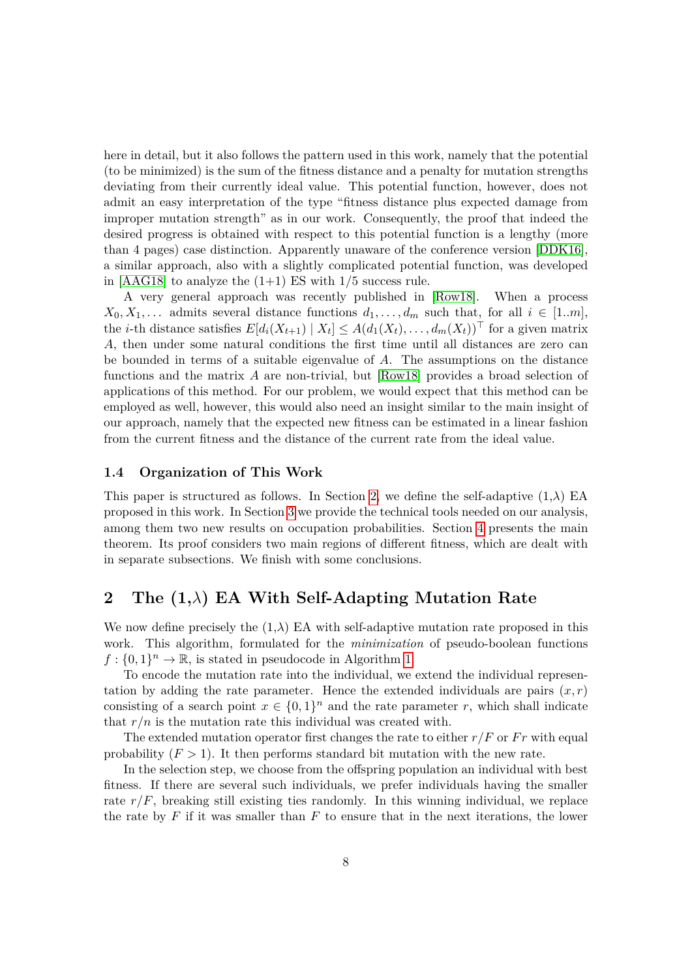here in detail, but it also follows the pattern used in this work, namely that the potential (to be minimized) is the sum of the fitness distance and a penalty for mutation strengths deviating from their currently ideal value. This potential function, however, does not admit an easy interpretation of the type "fitness distance plus expected damage from improper mutation strength" as in our work. Consequently, the proof that indeed the desired progress is obtained with respect to this potential function is a lengthy (more than 4 pages) case distinction. Apparently unaware of the conference version [\[DDK16\]](#page-39-9), a similar approach, also with a slightly complicated potential function, was developed in  $[AAG18]$  to analyze the  $(1+1)$  ES with  $1/5$  success rule.

A very general approach was recently published in [\[Row18\]](#page-42-5). When a process  $X_0, X_1, \ldots$  admits several distance functions  $d_1, \ldots, d_m$  such that, for all  $i \in [1..m]$ , the *i*-th distance satisfies  $E[d_i(X_{t+1}) | X_t] \leq A(d_1(X_t), \ldots, d_m(X_t))^{\top}$  for a given matrix *A*, then under some natural conditions the first time until all distances are zero can be bounded in terms of a suitable eigenvalue of *A*. The assumptions on the distance functions and the matrix *A* are non-trivial, but [\[Row18\]](#page-42-5) provides a broad selection of applications of this method. For our problem, we would expect that this method can be employed as well, however, this would also need an insight similar to the main insight of our approach, namely that the expected new fitness can be estimated in a linear fashion from the current fitness and the distance of the current rate from the ideal value.

#### **1.4 Organization of This Work**

This paper is structured as follows. In Section [2,](#page-7-0) we define the self-adaptive  $(1,\lambda)$  EA proposed in this work. In Section [3](#page-9-0) we provide the technical tools needed on our analysis, among them two new results on occupation probabilities. Section [4](#page-12-1) presents the main theorem. Its proof considers two main regions of different fitness, which are dealt with in separate subsections. We finish with some conclusions.

# <span id="page-7-0"></span>**2 The (1,***λ***) EA With Self-Adapting Mutation Rate**

We now define precisely the  $(1,\lambda)$  EA with self-adaptive mutation rate proposed in this work. This algorithm, formulated for the *minimization* of pseudo-boolean functions  $f: \{0,1\}^n \to \mathbb{R}$  is stated in pseudocode in Algorithm [1.](#page-8-0)

To encode the mutation rate into the individual, we extend the individual representation by adding the rate parameter. Hence the extended individuals are pairs  $(x, r)$ consisting of a search point  $x \in \{0,1\}^n$  and the rate parameter *r*, which shall indicate that  $r/n$  is the mutation rate this individual was created with.

The extended mutation operator first changes the rate to either  $r/F$  or  $Fr$  with equal probability  $(F > 1)$ . It then performs standard bit mutation with the new rate.

In the selection step, we choose from the offspring population an individual with best fitness. If there are several such individuals, we prefer individuals having the smaller rate  $r/F$ , breaking still existing ties randomly. In this winning individual, we replace the rate by *F* if it was smaller than *F* to ensure that in the next iterations, the lower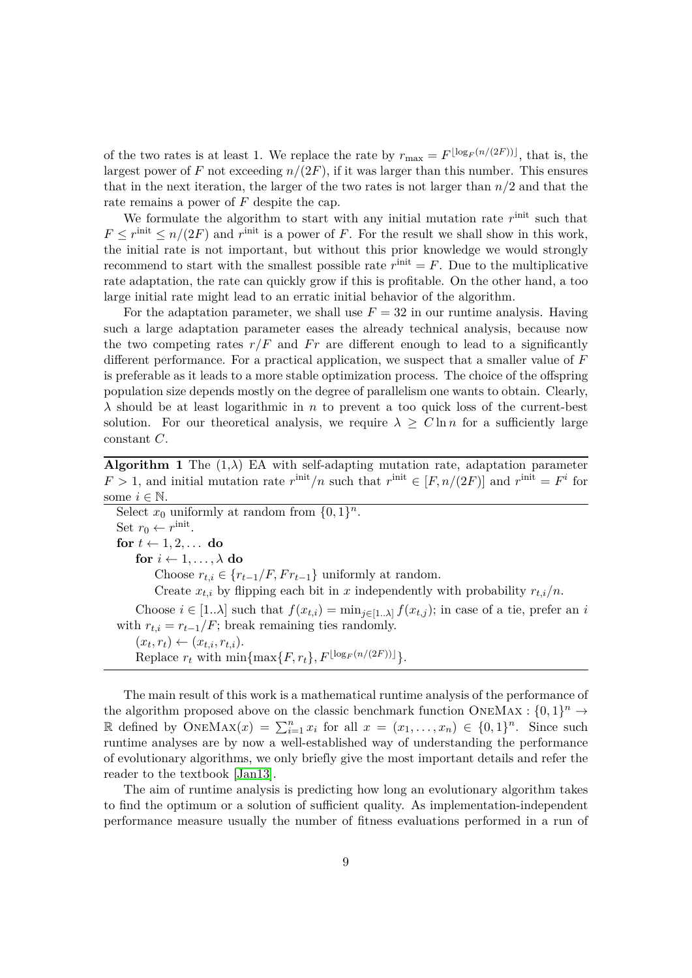of the two rates is at least 1. We replace the rate by  $r_{\text{max}} = F^{\lfloor \log_F (n/(2F)) \rfloor}$ , that is, the largest power of *F* not exceeding  $n/(2F)$ , if it was larger than this number. This ensures that in the next iteration, the larger of the two rates is not larger than *n/*2 and that the rate remains a power of *F* despite the cap.

We formulate the algorithm to start with any initial mutation rate  $r^{\text{init}}$  such that  $F \leq r^{\text{init}} \leq n/(2F)$  and  $r^{\text{init}}$  is a power of *F*. For the result we shall show in this work, the initial rate is not important, but without this prior knowledge we would strongly recommend to start with the smallest possible rate  $r^{\text{init}} = F$ . Due to the multiplicative rate adaptation, the rate can quickly grow if this is profitable. On the other hand, a too large initial rate might lead to an erratic initial behavior of the algorithm.

For the adaptation parameter, we shall use  $F = 32$  in our runtime analysis. Having such a large adaptation parameter eases the already technical analysis, because now the two competing rates  $r/F$  and  $Fr$  are different enough to lead to a significantly different performance. For a practical application, we suspect that a smaller value of *F* is preferable as it leads to a more stable optimization process. The choice of the offspring population size depends mostly on the degree of parallelism one wants to obtain. Clearly, *λ* should be at least logarithmic in *n* to prevent a too quick loss of the current-best solution. For our theoretical analysis, we require  $\lambda \geq C \ln n$  for a sufficiently large constant *C*.

<span id="page-8-0"></span>**Algorithm 1** The  $(1,\lambda)$  EA with self-adapting mutation rate, adaptation parameter  $F > 1$ , and initial mutation rate  $r^{\text{init}}/n$  such that  $r^{\text{init}} \in [F, n/(2F)]$  and  $r^{\text{init}} = F^i$  for some  $i \in \mathbb{N}$ .

| Select $x_0$ uniformly at random from $\{0,1\}^n$ .                                                                   |
|-----------------------------------------------------------------------------------------------------------------------|
| Set $r_0 \leftarrow r^{\text{init}}$ .                                                                                |
| for $t \leftarrow 1, 2, \ldots$ do                                                                                    |
| for $i \leftarrow 1, \ldots, \lambda$ do                                                                              |
| Choose $r_{t,i} \in \{r_{t-1}/F, Fr_{t-1}\}\$ uniformly at random.                                                    |
| Create $x_{t,i}$ by flipping each bit in x independently with probability $r_{t,i}/n$ .                               |
| Choose $i \in [1\lambda]$ such that $f(x_{t,i}) = \min_{j \in [1\lambda]} f(x_{t,j})$ ; in case of a tie, prefer an i |
| with $r_{t,i} = r_{t-1}/F$ ; break remaining ties randomly.                                                           |
| $(x_t, r_t) \leftarrow (x_{t,i}, r_{t,i}).$                                                                           |
| Replace $r_t$ with $\min\{\max\{F, r_t\}, F^{\lfloor \log_F(n/(2F)) \rfloor}\}.$                                      |
|                                                                                                                       |

The main result of this work is a mathematical runtime analysis of the performance of the algorithm proposed above on the classic benchmark function ONEMAX :  $\{0,1\}^n \rightarrow$ R defined by  $\text{ONEMAX}(x) = \sum_{i=1}^{n} x_i$  for all  $x = (x_1, \ldots, x_n) \in \{0, 1\}^n$ . Since such runtime analyses are by now a well-established way of understanding the performance of evolutionary algorithms, we only briefly give the most important details and refer the reader to the textbook [\[Jan13\]](#page-41-0).

The aim of runtime analysis is predicting how long an evolutionary algorithm takes to find the optimum or a solution of sufficient quality. As implementation-independent performance measure usually the number of fitness evaluations performed in a run of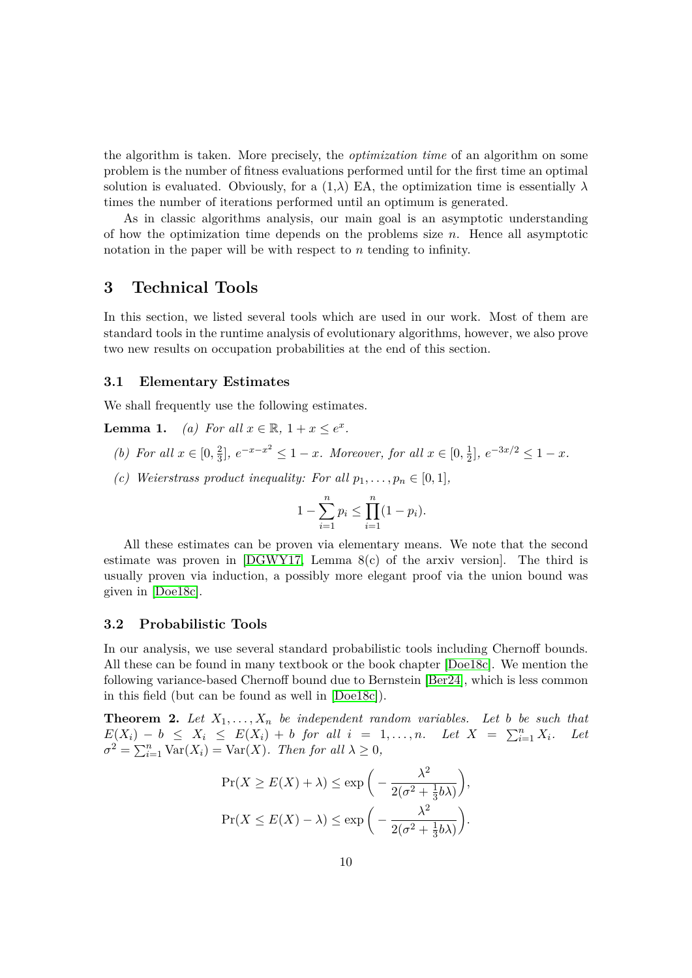the algorithm is taken. More precisely, the *optimization time* of an algorithm on some problem is the number of fitness evaluations performed until for the first time an optimal solution is evaluated. Obviously, for a  $(1,\lambda)$  EA, the optimization time is essentially  $\lambda$ times the number of iterations performed until an optimum is generated.

As in classic algorithms analysis, our main goal is an asymptotic understanding of how the optimization time depends on the problems size *n*. Hence all asymptotic notation in the paper will be with respect to *n* tending to infinity.

# <span id="page-9-0"></span>**3 Technical Tools**

In this section, we listed several tools which are used in our work. Most of them are standard tools in the runtime analysis of evolutionary algorithms, however, we also prove two new results on occupation probabilities at the end of this section.

#### **3.1 Elementary Estimates**

We shall frequently use the following estimates.

**Lemma 1.** *(a) For all*  $x \in \mathbb{R}$ ,  $1 + x \le e^x$ .

- <span id="page-9-1"></span>*(b) For all*  $x \in [0, \frac{2}{3}]$  $\frac{2}{3}$ ,  $e^{-x-x^2} \le 1-x$ *. Moreover, for all*  $x \in [0, \frac{1}{2}]$  $\frac{1}{2}$ ,  $e^{-3x/2} \leq 1 - x$ .
- <span id="page-9-3"></span>*(c) Weierstrass product inequality: For all*  $p_1, \ldots, p_n \in [0, 1]$ *,*

$$
1 - \sum_{i=1}^{n} p_i \le \prod_{i=1}^{n} (1 - p_i).
$$

All these estimates can be proven via elementary means. We note that the second estimate was proven in [\[DGWY17,](#page-40-1) Lemma 8(c) of the arxiv version]. The third is usually proven via induction, a possibly more elegant proof via the union bound was given in [\[Doe18c\]](#page-40-10).

#### **3.2 Probabilistic Tools**

In our analysis, we use several standard probabilistic tools including Chernoff bounds. All these can be found in many textbook or the book chapter [\[Doe18c\]](#page-40-10). We mention the following variance-based Chernoff bound due to Bernstein [\[Ber24\]](#page-39-10), which is less common in this field (but can be found as well in [\[Doe18c\]](#page-40-10)).

<span id="page-9-2"></span>**Theorem 2.** Let  $X_1, \ldots, X_n$  be independent random variables. Let b be such that  $E(X_i) - b \leq X_i \leq E(X_i) + b$  *for all*  $i = 1, ..., n$ *. Let*  $X = \sum_{i=1}^n X_i$ *. Let*  $\sigma^2 = \sum_{i=1}^n \text{Var}(X_i) = \text{Var}(X)$ *. Then for all*  $\lambda \geq 0$ *,* 

$$
\Pr(X \ge E(X) + \lambda) \le \exp\left(-\frac{\lambda^2}{2(\sigma^2 + \frac{1}{3}b\lambda)}\right),
$$
  

$$
\Pr(X \le E(X) - \lambda) \le \exp\left(-\frac{\lambda^2}{2(\sigma^2 + \frac{1}{3}b\lambda)}\right).
$$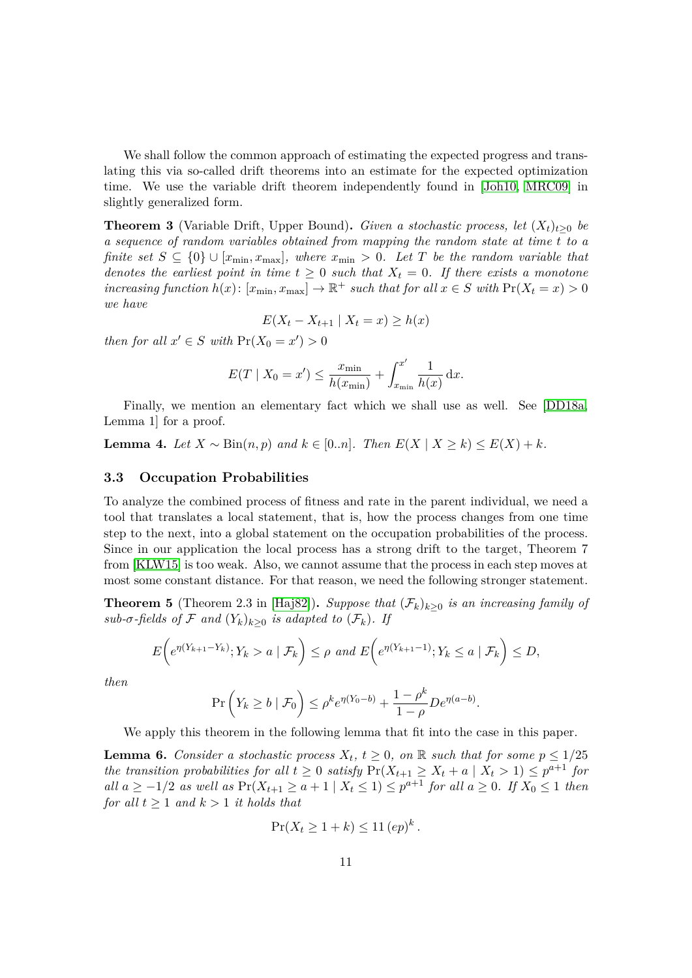We shall follow the common approach of estimating the expected progress and translating this via so-called drift theorems into an estimate for the expected optimization time. We use the variable drift theorem independently found in [\[Joh10,](#page-41-9) [MRC09\]](#page-41-10) in slightly generalized form.

<span id="page-10-2"></span>**Theorem 3** (Variable Drift, Upper Bound). *Given a stochastic process, let*  $(X_t)_{t>0}$  *be a sequence of random variables obtained from mapping the random state at time t to a finite set*  $S \subseteq \{0\} \cup [x_{\min}, x_{\max}]$ , where  $x_{\min} > 0$ . Let T be the random variable that *denotes the earliest point in time*  $t \geq 0$  *such that*  $X_t = 0$ *. If there exists a monotone*  $\int \text{arccos}$  *function*  $h(x)$ :  $[x_{\min}, x_{\max}] \to \mathbb{R}^+$  *such that for all*  $x \in S$  *with*  $\Pr(X_t = x) > 0$ *we have*

$$
E(X_t - X_{t+1} | X_t = x) \ge h(x)
$$

*then for all*  $x' \in S$  *with*  $\Pr(X_0 = x') > 0$ 

$$
E(T \mid X_0 = x') \le \frac{x_{\min}}{h(x_{\min})} + \int_{x_{\min}}^{x'} \frac{1}{h(x)} dx.
$$

Finally, we mention an elementary fact which we shall use as well. See [\[DD18a,](#page-39-11) Lemma 1] for a proof.

<span id="page-10-3"></span>**Lemma 4.** *Let*  $X \sim Bin(n, p)$  *and*  $k \in [0..n]$ *. Then*  $E(X \mid X \ge k) \le E(X) + k$ *.* 

#### **3.3 Occupation Probabilities**

To analyze the combined process of fitness and rate in the parent individual, we need a tool that translates a local statement, that is, how the process changes from one time step to the next, into a global statement on the occupation probabilities of the process. Since in our application the local process has a strong drift to the target, Theorem 7 from [\[KLW15\]](#page-41-1) is too weak. Also, we cannot assume that the process in each step moves at most some constant distance. For that reason, we need the following stronger statement.

<span id="page-10-1"></span>**Theorem 5** (Theorem 2.3 in [\[Haj82\]](#page-41-11)). *Suppose that*  $(\mathcal{F}_k)_{k>0}$  *is an increasing family of sub-* $\sigma$ -fields of F and  $(Y_k)_{k>0}$  *is adapted to*  $(\mathcal{F}_k)$ *. If* 

$$
E\bigg(e^{\eta(Y_{k+1}-Y_k)}; Y_k > a \mid \mathcal{F}_k\bigg) \le \rho \text{ and } E\bigg(e^{\eta(Y_{k+1}-1)}; Y_k \le a \mid \mathcal{F}_k\bigg) \le D,
$$

*then*

$$
\Pr\left(Y_k \ge b \mid \mathcal{F}_0\right) \le \rho^k e^{\eta(Y_0 - b)} + \frac{1 - \rho^k}{1 - \rho} D e^{\eta(a - b)}.
$$

We apply this theorem in the following lemma that fit into the case in this paper.

<span id="page-10-0"></span>**Lemma 6.** *Consider a stochastic process*  $X_t$ ,  $t \geq 0$ , on R *such that for some*  $p \leq 1/25$ *the transition probabilities for all*  $t \geq 0$  *satisfy*  $Pr(X_{t+1} \geq X_t + a \mid X_t > 1) \leq p^{a+1}$  *for all*  $a \ge -1/2$  *as well* as  $Pr(X_{t+1} \ge a+1 \mid X_t \le 1) \le p^{a+1}$  *for all*  $a \ge 0$ *. If*  $X_0 \le 1$  *then for all*  $t \geq 1$  *and*  $k > 1$  *it holds that* 

$$
\Pr(X_t \ge 1 + k) \le 11 \, (ep)^k.
$$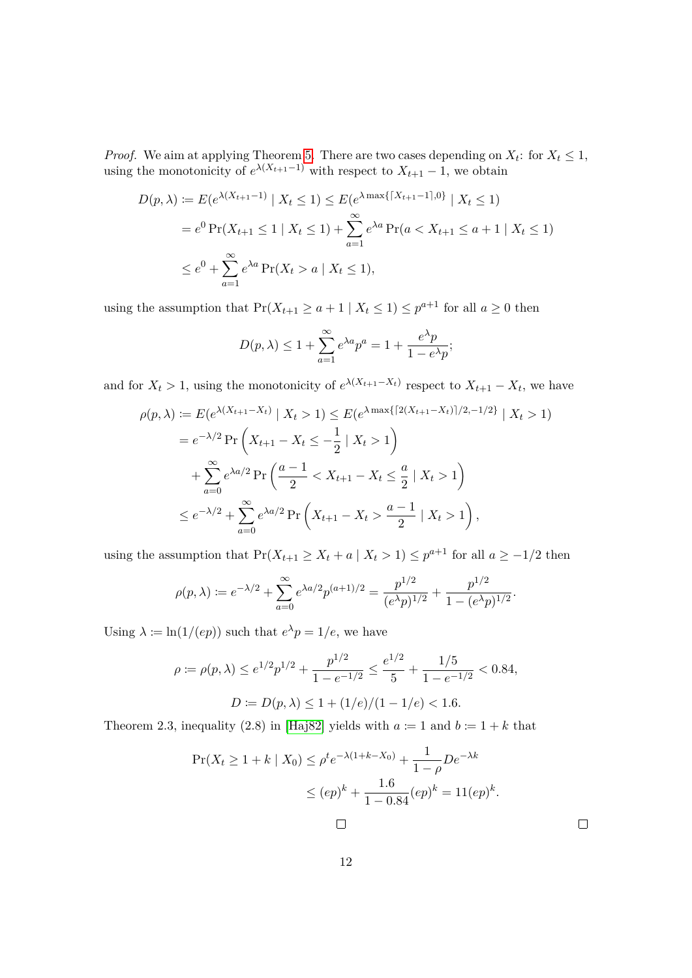*Proof.* We aim at applying Theorem [5.](#page-10-1) There are two cases depending on  $X_t$ : for  $X_t \leq 1$ , using the monotonicity of  $e^{\lambda(X_{t+1}-1)}$  with respect to  $X_{t+1}-1$ , we obtain

$$
D(p,\lambda) := E(e^{\lambda(X_{t+1}-1)} | X_t \le 1) \le E(e^{\lambda \max\{|X_{t+1}-1|,0\}} | X_t \le 1)
$$
  
=  $e^0 \Pr(X_{t+1} \le 1 | X_t \le 1) + \sum_{a=1}^{\infty} e^{\lambda a} \Pr(a < X_{t+1} \le a+1 | X_t \le 1)$   
 $\le e^0 + \sum_{a=1}^{\infty} e^{\lambda a} \Pr(X_t > a | X_t \le 1),$ 

using the assumption that  $Pr(X_{t+1} \ge a+1 | X_t \le 1) \le p^{a+1}$  for all  $a \ge 0$  then

$$
D(p,\lambda) \le 1 + \sum_{a=1}^{\infty} e^{\lambda a} p^a = 1 + \frac{e^{\lambda} p}{1 - e^{\lambda} p};
$$

and for  $X_t > 1$ , using the monotonicity of  $e^{\lambda(X_{t+1}-X_t)}$  respect to  $X_{t+1}-X_t$ , we have

$$
\rho(p,\lambda) := E(e^{\lambda(X_{t+1}-X_t)} | X_t > 1) \le E(e^{\lambda \max\{|2(X_{t+1}-X_t)|/2,-1/2\}} | X_t > 1)
$$
  
=  $e^{-\lambda/2} \Pr\left(X_{t+1} - X_t \le -\frac{1}{2} | X_t > 1\right)$   
+  $\sum_{a=0}^{\infty} e^{\lambda a/2} \Pr\left(\frac{a-1}{2} < X_{t+1} - X_t \le \frac{a}{2} | X_t > 1\right)$   
 $\le e^{-\lambda/2} + \sum_{a=0}^{\infty} e^{\lambda a/2} \Pr\left(X_{t+1} - X_t > \frac{a-1}{2} | X_t > 1\right),$ 

using the assumption that  $Pr(X_{t+1} \ge X_t + a \mid X_t > 1) \le p^{a+1}$  for all  $a \ge -1/2$  then

$$
\rho(p,\lambda) := e^{-\lambda/2} + \sum_{a=0}^{\infty} e^{\lambda a/2} p^{(a+1)/2} = \frac{p^{1/2}}{(e^{\lambda}p)^{1/2}} + \frac{p^{1/2}}{1 - (e^{\lambda}p)^{1/2}}.
$$

Using  $\lambda \coloneqq \ln(1/(ep))$  such that  $e^{\lambda}p = 1/e$ , we have

$$
\rho := \rho(p,\lambda) \le e^{1/2} p^{1/2} + \frac{p^{1/2}}{1 - e^{-1/2}} \le \frac{e^{1/2}}{5} + \frac{1/5}{1 - e^{-1/2}} < 0.84,
$$
  

$$
D := D(p,\lambda) \le 1 + (1/e)/(1 - 1/e) < 1.6.
$$

Theorem 2.3, inequality (2.8) in [\[Haj82\]](#page-41-11) yields with  $a := 1$  and  $b := 1 + k$  that

$$
\Pr(X_t \ge 1 + k \mid X_0) \le \rho^t e^{-\lambda(1 + k - X_0)} + \frac{1}{1 - \rho} D e^{-\lambda k}
$$
  

$$
\le (ep)^k + \frac{1.6}{1 - 0.84} (ep)^k = 11 (ep)^k.
$$

 $\Box$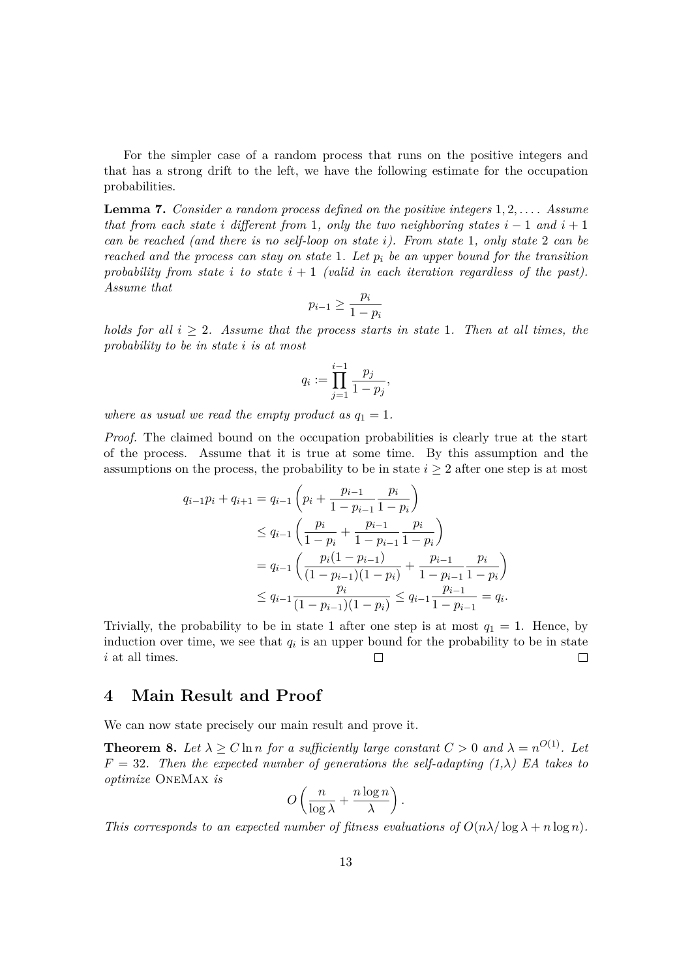For the simpler case of a random process that runs on the positive integers and that has a strong drift to the left, we have the following estimate for the occupation probabilities.

<span id="page-12-0"></span>**Lemma 7.** *Consider a random process defined on the positive integers* 1*,* 2*, . . . . Assume that from each state i* different from 1, only the two neighboring states  $i - 1$  *and*  $i + 1$ *can be reached (and there is no self-loop on state i). From state* 1*, only state* 2 *can be reached and the process can stay on state* 1*. Let p<sup>i</sup> be an upper bound for the transition* probability from state *i* to state  $i + 1$  (valid in each iteration regardless of the past). *Assume that*

$$
p_{i-1} \ge \frac{p_i}{1-p_i}
$$

*holds for all*  $i \geq 2$ *. Assume that the process starts in state* 1*. Then at all times, the probability to be in state i is at most*

$$
q_i := \prod_{j=1}^{i-1} \frac{p_j}{1 - p_j},
$$

*where as usual we read the empty product as*  $q_1 = 1$ *.* 

*Proof.* The claimed bound on the occupation probabilities is clearly true at the start of the process. Assume that it is true at some time. By this assumption and the assumptions on the process, the probability to be in state  $i \geq 2$  after one step is at most

$$
q_{i-1}p_i + q_{i+1} = q_{i-1} \left( p_i + \frac{p_{i-1}}{1 - p_{i-1}} \frac{p_i}{1 - p_i} \right)
$$
  
\n
$$
\leq q_{i-1} \left( \frac{p_i}{1 - p_i} + \frac{p_{i-1}}{1 - p_{i-1}} \frac{p_i}{1 - p_i} \right)
$$
  
\n
$$
= q_{i-1} \left( \frac{p_i (1 - p_{i-1})}{(1 - p_{i-1})(1 - p_i)} + \frac{p_{i-1}}{1 - p_{i-1}} \frac{p_i}{1 - p_i} \right)
$$
  
\n
$$
\leq q_{i-1} \frac{p_i}{(1 - p_{i-1})(1 - p_i)} \leq q_{i-1} \frac{p_{i-1}}{1 - p_{i-1}} = q_i.
$$

Trivially, the probability to be in state 1 after one step is at most  $q_1 = 1$ . Hence, by induction over time, we see that  $q_i$  is an upper bound for the probability to be in state *i* at all times.  $\Box$ 

### <span id="page-12-1"></span>**4 Main Result and Proof**

We can now state precisely our main result and prove it.

<span id="page-12-2"></span>**Theorem 8.** Let  $\lambda \ge C \ln n$  for a sufficiently large constant  $C > 0$  and  $\lambda = n^{O(1)}$ . Let  $F = 32$ *. Then the expected number of generations the self-adapting*  $(1, \lambda)$  *EA takes to optimize* OneMax *is*

$$
O\left(\frac{n}{\log \lambda} + \frac{n\log n}{\lambda}\right).
$$

*This corresponds to an expected number of fitness evaluations of*  $O(n\lambda/\log\lambda+n\log n)$ .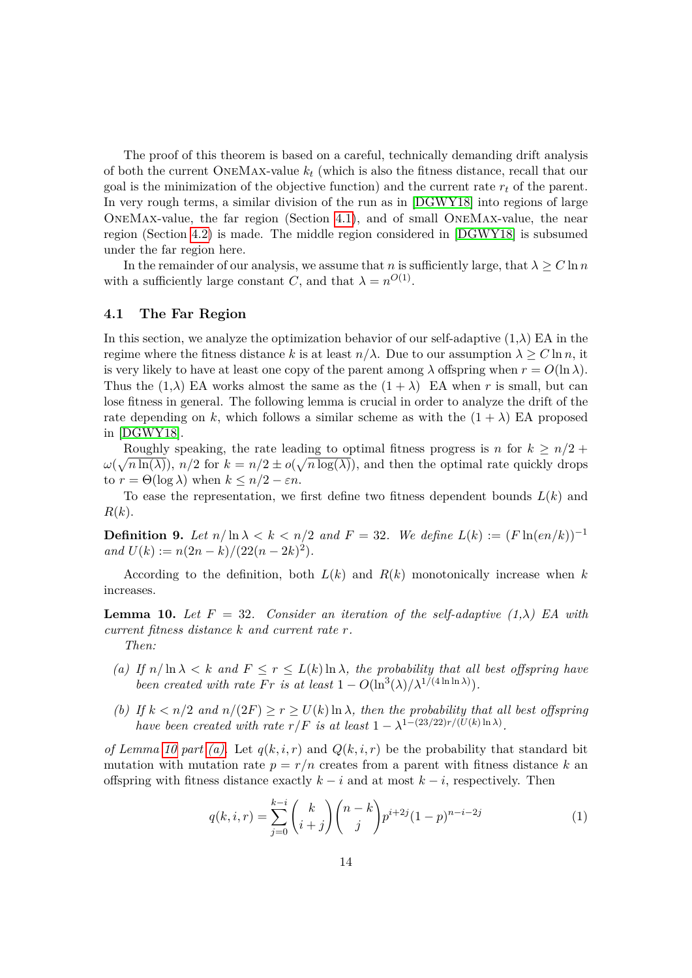The proof of this theorem is based on a careful, technically demanding drift analysis of both the current OneMax-value *k<sup>t</sup>* (which is also the fitness distance, recall that our goal is the minimization of the objective function) and the current rate  $r_t$  of the parent. In very rough terms, a similar division of the run as in [\[DGWY18\]](#page-40-11) into regions of large OneMax-value, the far region (Section [4.1\)](#page-13-0), and of small OneMax-value, the near region (Section [4.2\)](#page-26-0) is made. The middle region considered in [\[DGWY18\]](#page-40-11) is subsumed under the far region here.

In the remainder of our analysis, we assume that *n* is sufficiently large, that  $\lambda \geq C \ln n$ with a sufficiently large constant *C*, and that  $\lambda = n^{O(1)}$ .

### <span id="page-13-0"></span>**4.1 The Far Region**

In this section, we analyze the optimization behavior of our self-adaptive  $(1,\lambda)$  EA in the regime where the fitness distance k is at least  $n/\lambda$ . Due to our assumption  $\lambda \geq C \ln n$ , it is very likely to have at least one copy of the parent among  $\lambda$  offspring when  $r = O(\ln \lambda)$ . Thus the  $(1, \lambda)$  EA works almost the same as the  $(1 + \lambda)$  EA when *r* is small, but can lose fitness in general. The following lemma is crucial in order to analyze the drift of the rate depending on k, which follows a similar scheme as with the  $(1 + \lambda)$  EA proposed in [\[DGWY18\]](#page-40-11).

Roughly speaking, the rate leading to optimal fitness progress is *n* for  $k \geq n/2$  +  $\omega(\sqrt{n \ln(\lambda)})$ ,  $n/2$  for  $k = n/2 \pm o(\sqrt{n \log(\lambda)})$ , and then the optimal rate quickly drops to  $r = \Theta(\log \lambda)$  when  $k \leq n/2 - \varepsilon n$ .

To ease the representation, we first define two fitness dependent bounds *L*(*k*) and *R*(*k*).

<span id="page-13-5"></span>**Definition 9.** Let  $n/\ln \lambda < k < n/2$  and  $F = 32$ . We define  $L(k) := (F \ln(en/k))^{-1}$  $and U(k) := n(2n - k)/(22(n - 2k)^2).$ 

According to the definition, both  $L(k)$  and  $R(k)$  monotonically increase when k increases.

<span id="page-13-1"></span>**Lemma 10.** Let  $F = 32$ . Consider an iteration of the self-adaptive  $(1, \lambda)$  EA with *current fitness distance k and current rate r.*

*Then:*

- <span id="page-13-2"></span>*(a)* If  $n/\ln \lambda < k$  and  $F \le r \le L(k) \ln \lambda$ , the probability that all best offspring have *been created with rate*  $Fr$  *is at least*  $1 - O(\ln^3(\lambda)/\lambda^{1/(4 \ln \ln \lambda)})$ .
- <span id="page-13-4"></span>*(b)* If  $k < n/2$  and  $n/(2F) \ge r \ge U(k) \ln \lambda$ , then the probability that all best offspring *have been created with rate*  $r/F$  *is at least*  $1 - \lambda^{1-(23/22)r/(U(k)\ln\lambda)}$ .

*of Lemma [10](#page-13-1) part* (*a*). Let  $q(k, i, r)$  and  $Q(k, i, r)$  be the probability that standard bit mutation with mutation rate  $p = r/n$  creates from a parent with fitness distance k an offspring with fitness distance exactly  $k - i$  and at most  $k - i$ , respectively. Then

<span id="page-13-3"></span>
$$
q(k,i,r) = \sum_{j=0}^{k-i} {k \choose i+j} {n-k \choose j} p^{i+2j} (1-p)^{n-i-2j}
$$
 (1)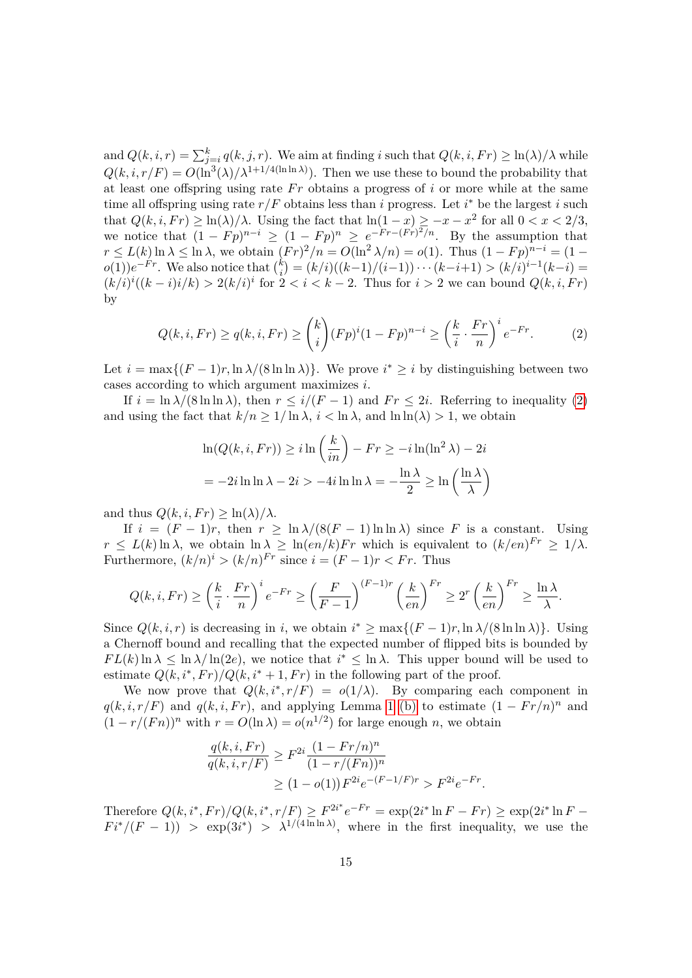and  $Q(k, i, r) = \sum_{j=i}^{k} q(k, j, r)$ . We aim at finding *i* such that  $Q(k, i, Fr) \ge \ln(\lambda)/\lambda$  while  $Q(k, i, r/F) = O(\ln^3(\lambda)/\lambda^{1+1/4(\ln \ln \lambda)})$ . Then we use these to bound the probability that at least one offspring using rate  $Fr$  obtains a progress of  $i$  or more while at the same time all offspring using rate  $r/F$  obtains less than *i* progress. Let  $i^*$  be the largest *i* such that  $Q(k, i, Fr) \ge \ln(\lambda)/\lambda$ . Using the fact that  $\ln(1-x) \ge -x-x^2$  for all  $0 < x < 2/3$ , we notice that  $(1 - Fp)^{n-i} \ge (1 - Fp)^n \ge e^{-Fr - (Fr)^2/n}$ . By the assumption that  $r \le L(k) \ln \lambda \le \ln \lambda$ , we obtain  $(Fr)^2/n = O(\ln^2 \lambda/n) = o(1)$ . Thus  $(1 - Fp)^{n-i} = (1$  $o(1)$ ) $e^{-Fr}$ . We also notice that  $\binom{k}{i}$  $\binom{k}{i}$  =  $\frac{k}{i}$  (*k*-1)/(*i*-1)) · · · (*k*-*i*+1) > (*k*/*i*)<sup>*i*-1</sup>(*k*-*i*) =  $(k/i)^{i}((k-i)i/k) > 2(k/i)^{i}$  for  $2 < i < k-2$ . Thus for  $i > 2$  we can bound  $Q(k, i, Fr)$ by

$$
Q(k, i, Fr) \ge q(k, i, Fr) \ge {k \choose i} (Fp)^{i} (1 - Fp)^{n-i} \ge \left(\frac{k}{i} \cdot \frac{Fr}{n}\right)^{i} e^{-Fr}.
$$
 (2)

Let  $i = \max\{(F-1)r, \ln \lambda/(8 \ln \ln \lambda)\}\)$ . We prove  $i^* \geq i$  by distinguishing between two cases according to which argument maximizes *i*.

If  $i = \ln \lambda/(8 \ln \ln \lambda)$ , then  $r \leq i/(F-1)$  and  $Fr \leq 2i$ . Referring to inequality [\(2\)](#page-14-0) and using the fact that  $k/n \geq 1/\ln \lambda$ ,  $i < \ln \lambda$ , and  $\ln \ln(\lambda) > 1$ , we obtain

<span id="page-14-0"></span>
$$
\ln(Q(k, i, Fr)) \ge i \ln\left(\frac{k}{in}\right) - Fr \ge -i \ln(\ln^2 \lambda) - 2i
$$

$$
= -2i \ln \ln \lambda - 2i > -4i \ln \ln \lambda = -\frac{\ln \lambda}{2} \ge \ln\left(\frac{\ln \lambda}{\lambda}\right)
$$

and thus  $Q(k, i, Fr) \geq \ln(\lambda)/\lambda$ .

If  $i = (F - 1)r$ , then  $r \ge \ln \lambda/(8(F - 1)\ln \ln \lambda)$  since *F* is a constant. Using  $r \leq L(k) \ln \lambda$ , we obtain  $\ln \lambda \geq \ln(en/k) Fr$  which is equivalent to  $(k/en)^{Fr} \geq 1/\lambda$ . Furthermore,  $(k/n)^i > (k/n)^{Fr}$  since  $i = (F - 1)r < Fr$ . Thus

$$
Q(k, i, Fr) \ge \left(\frac{k}{i} \cdot \frac{Fr}{n}\right)^i e^{-Fr} \ge \left(\frac{F}{F-1}\right)^{(F-1)r} \left(\frac{k}{en}\right)^{Fr} \ge 2^r \left(\frac{k}{en}\right)^{Fr} \ge \frac{\ln \lambda}{\lambda}.
$$

Since  $Q(k, i, r)$  is decreasing in *i*, we obtain  $i^* \ge \max\{(F-1)r, \ln \lambda/(8 \ln \ln \lambda)\}\.$  Using a Chernoff bound and recalling that the expected number of flipped bits is bounded by  $FL(k) \ln \lambda \leq \ln \lambda / \ln(2e)$ , we notice that  $i^* \leq \ln \lambda$ . This upper bound will be used to estimate  $Q(k, i^*, Fr)/Q(k, i^* + 1, Fr)$  in the following part of the proof.

We now prove that  $Q(k, i^*, r/F) = o(1/\lambda)$ . By comparing each component in  $q(k, i, r/F)$  and  $q(k, i, Fr)$ , and applying Lemma [1](#page-0-0) [\(b\)](#page-9-1) to estimate  $(1 - Fr/n)^n$  and  $(1 - r/(Fn))^n$  with  $r = O(\ln \lambda) = o(n^{1/2})$  for large enough *n*, we obtain

$$
\frac{q(k,i,Fr)}{q(k,i,r/F)} \ge F^{2i} \frac{(1 - Fr/n)^n}{(1 - r/(Fn))^n} \n\ge (1 - o(1)) F^{2i} e^{-(F-1/F)r} > F^{2i} e^{-Fr}.
$$

Therefore  $Q(k, i^*, Fr)/Q(k, i^*, r/F) \geq F^{2i^*}e^{-Fr} = \exp(2i^* \ln F - Fr) \geq \exp(2i^* \ln F F i^*/(F-1)$  >  $\exp(3i^*)$  >  $\lambda^{1/(4 \ln \ln \lambda)}$ , where in the first inequality, we use the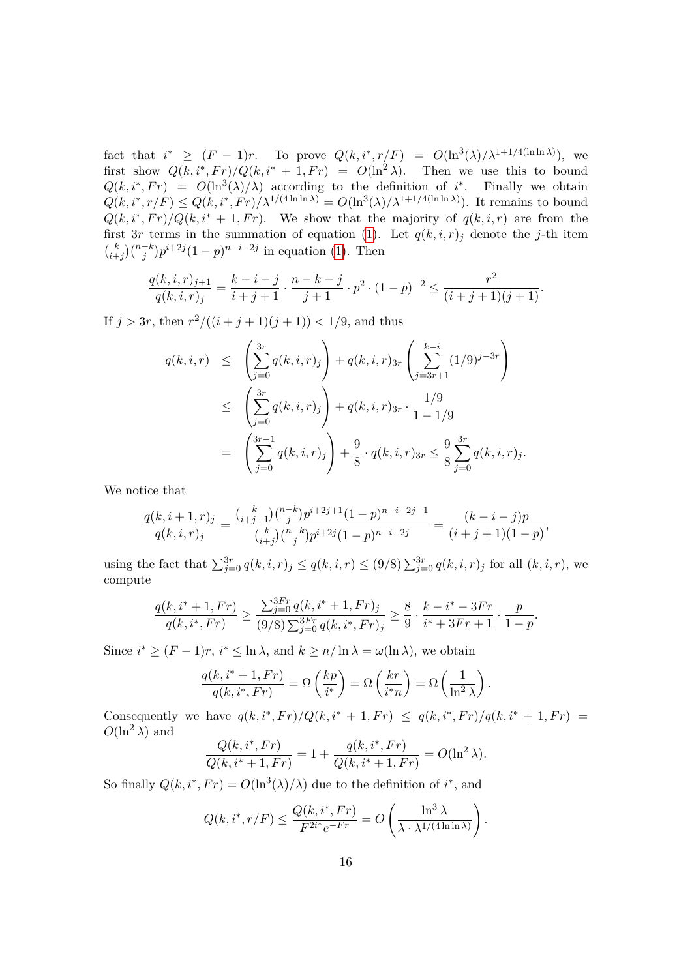fact that  $i^* \geq (F-1)r$ . To prove  $Q(k, i^*, r/F) = O(\ln^3(\lambda)/\lambda^{1+1/4(\ln \ln \lambda)})$ , we first show  $Q(k, i^*, Fr)/Q(k, i^* + 1, Fr) = O(\ln^2 \lambda)$ . Then we use this to bound  $Q(k, i^*, Fr) = O(\ln^3(\lambda)/\lambda)$  according to the definition of *i*<sup>\*</sup>. Finally we obtain  $Q(k, i^*, r/F) \leq Q(k, i^*, Fr)/\lambda^{1/(4 \ln \ln \lambda)} = O(\ln^3(\lambda)/\lambda^{1+1/4(\ln \ln \lambda)})$ . It remains to bound  $Q(k, i^*, Fr)/Q(k, i^* + 1, Fr)$ . We show that the majority of  $q(k, i, r)$  are from the first 3r terms in the summation of equation [\(1\)](#page-13-3). Let  $q(k, i, r)_j$  denote the *j*-th item  $\binom{k}{k}$  $\binom{k}{j} \binom{n-k}{j} p^{i+2j} (1-p)^{n-i-2j}$  in equation [\(1\)](#page-13-3). Then

$$
\frac{q(k,i,r)_{j+1}}{q(k,i,r)_j} = \frac{k-i-j}{i+j+1} \cdot \frac{n-k-j}{j+1} \cdot p^2 \cdot (1-p)^{-2} \le \frac{r^2}{(i+j+1)(j+1)}.
$$

If  $j > 3r$ , then  $r^2/((i + j + 1)(j + 1)) < 1/9$ , and thus

$$
q(k,i,r) \leq \left(\sum_{j=0}^{3r} q(k,i,r)_j\right) + q(k,i,r)_{3r} \left(\sum_{j=3r+1}^{k-i} (1/9)^{j-3r}\right)
$$
  

$$
\leq \left(\sum_{j=0}^{3r} q(k,i,r)_j\right) + q(k,i,r)_{3r} \cdot \frac{1/9}{1-1/9}
$$
  

$$
= \left(\sum_{j=0}^{3r-1} q(k,i,r)_j\right) + \frac{9}{8} \cdot q(k,i,r)_{3r} \leq \frac{9}{8} \sum_{j=0}^{3r} q(k,i,r)_j.
$$

We notice that

$$
\frac{q(k,i+1,r)_j}{q(k,i,r)_j} = \frac{\binom{k}{i+j+1}\binom{n-k}{j}p^{i+2j+1}(1-p)^{n-i-2j-1}}{\binom{k}{i+j}\binom{n-k}{j}p^{i+2j}(1-p)^{n-i-2j}} = \frac{(k-i-j)p}{(i+j+1)(1-p)},
$$

using the fact that  $\sum_{j=0}^{3r} q(k, i, r)_j \le q(k, i, r) \le (9/8) \sum_{j=0}^{3r} q(k, i, r)_j$  for all  $(k, i, r)$ , we compute

$$
\frac{q(k, i^* + 1, Fr)}{q(k, i^*, Fr)} \ge \frac{\sum_{j=0}^{3Fr} q(k, i^* + 1, Fr)_j}{(9/8) \sum_{j=0}^{3Fr} q(k, i^*, Fr)_j} \ge \frac{8}{9} \cdot \frac{k - i^* - 3Fr}{i^* + 3Fr + 1} \cdot \frac{p}{1 - p}.
$$

Since  $i^* \ge (F - 1)r$ ,  $i^* \le \ln \lambda$ , and  $k \ge n/\ln \lambda = \omega(\ln \lambda)$ , we obtain

$$
\frac{q(k, i^* + 1, Fr)}{q(k, i^*, Fr)} = \Omega\left(\frac{kp}{i^*}\right) = \Omega\left(\frac{kr}{i^*n}\right) = \Omega\left(\frac{1}{\ln^2 \lambda}\right).
$$

Consequently we have  $q(k, i^*, Fr)/Q(k, i^* + 1, Fr) \leq q(k, i^*, Fr)/q(k, i^* + 1, Fr) =$  $O(\ln^2 \lambda)$  and

$$
\frac{Q(k, i^*, Fr)}{Q(k, i^* + 1, Fr)} = 1 + \frac{q(k, i^*, Fr)}{Q(k, i^* + 1, Fr)} = O(\ln^2 \lambda).
$$

So finally  $Q(k, i^*, Fr) = O(\ln^3(\lambda)/\lambda)$  due to the definition of  $i^*$ , and

$$
Q(k, i^*, r/F) \le \frac{Q(k, i^*, Fr)}{F^{2i^*}e^{-Fr}} = O\left(\frac{\ln^3 \lambda}{\lambda \cdot \lambda^{1/(4\ln \ln \lambda)}}\right).
$$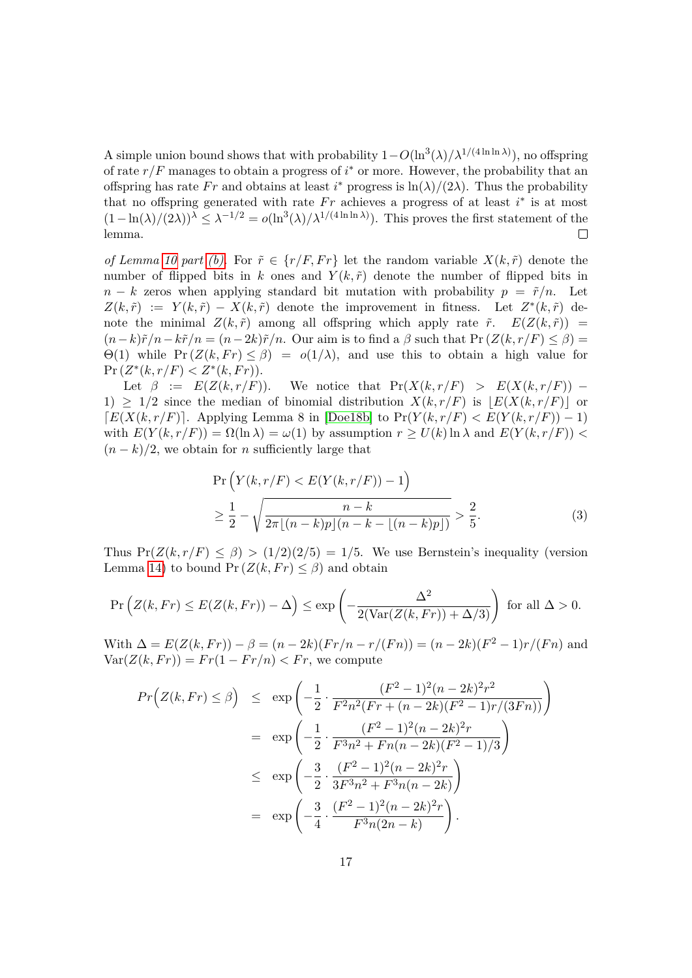A simple union bound shows that with probability  $1 - O(\ln^3(\lambda)/\lambda^{1/(4 \ln \ln \lambda)})$ , no offspring of rate  $r/F$  manages to obtain a progress of  $i^*$  or more. However, the probability that an offspring has rate *Fr* and obtains at least *i*<sup>\*</sup> progress is  $\ln(\lambda)/(2\lambda)$ . Thus the probability that no offspring generated with rate  $Fr$  achieves a progress of at least  $i^*$  is at most  $(1-\ln(\lambda)/(2\lambda))^{\lambda} \leq \lambda^{-1/2} = o(\ln^{3}(\lambda)/\lambda^{1/(4\ln\ln\lambda)})$ . This proves the first statement of the lemma.  $\Box$ 

*of Lemma [10](#page-13-1) part [\(b\).](#page-13-4)* For  $\tilde{r} \in \{r/F, Fr\}$  let the random variable  $X(k, \tilde{r})$  denote the number of flipped bits in k ones and  $Y(k, \tilde{r})$  denote the number of flipped bits in  $n - k$  zeros when applying standard bit mutation with probability  $p = \tilde{r}/n$ . Let  $Z(k,\tilde{r}) := Y(k,\tilde{r}) - X(k,\tilde{r})$  denote the improvement in fitness. Let  $Z^*(k,\tilde{r})$  denote the minimal  $Z(k, \tilde{r})$  among all offspring which apply rate  $\tilde{r}$ .  $E(Z(k, \tilde{r}))$  =  $(n-k)\tilde{r}/n-k\tilde{r}/n = (n-2k)\tilde{r}/n$ . Our aim is to find a  $\beta$  such that  $Pr(Z(k, r/F) \leq \beta)$  $Θ(1)$  while  $Pr(Z(k, Fr) \leq β) = o(1/λ)$ , and use this to obtain a high value for  $\Pr(Z^*(k, r/F) < Z^*(k, Fr)).$ 

Let  $\beta := E(Z(k, r/F))$ . We notice that  $Pr(X(k, r/F) > E(X(k, r/F))$  – 1)  $\geq$  1/2 since the median of binomial distribution  $X(k, r/F)$  is  $|E(X(k, r/F))|$  or  $E(X(k, r/F))$ . Applying Lemma 8 in [\[Doe18b\]](#page-40-12) to Pr( $Y(k, r/F) < E(Y(k, r/F)) - 1$ ) with  $E(Y(k, r/F)) = \Omega(\ln \lambda) = \omega(1)$  by assumption  $r > U(k) \ln \lambda$  and  $E(Y(k, r/F))$  $(n - k)/2$ , we obtain for *n* sufficiently large that

<span id="page-16-0"></span>
$$
\Pr\left(Y(k, r/F) < E(Y(k, r/F)) - 1\right) \\
\geq \frac{1}{2} - \sqrt{\frac{n - k}{2\pi \lfloor (n - k)p \rfloor (n - k - \lfloor (n - k)p \rfloor)}} > \frac{2}{5}.\n\tag{3}
$$

Thus  $Pr(Z(k, r/F) \leq \beta) > (1/2)(2/5) = 1/5$ . We use Bernstein's inequality (version Lemma [14\)](#page-21-0) to bound  $Pr(Z(k, Fr) \leq \beta)$  and obtain

$$
\Pr\left(Z(k, Fr) \le E(Z(k, Fr)) - \Delta\right) \le \exp\left(-\frac{\Delta^2}{2(\text{Var}(Z(k, Fr)) + \Delta/3)}\right) \text{ for all } \Delta > 0.
$$

With  $\Delta = E(Z(k, Fr)) - \beta = (n - 2k)(Fr/n - r/(Fn)) = (n - 2k)(F^2 - 1)r/(Fn)$  and  $Var(Z(k, Fr)) = Fr(1 - Fr/n) < Fr$ , we compute

$$
Pr(Z(k, Fr) \leq \beta) \leq \exp\left(-\frac{1}{2} \cdot \frac{(F^2 - 1)^2 (n - 2k)^2 r^2}{F^2 n^2 (Fr + (n - 2k)(F^2 - 1) r/(3Fn))}\right)
$$
  

$$
= \exp\left(-\frac{1}{2} \cdot \frac{(F^2 - 1)^2 (n - 2k)^2 r}{F^3 n^2 + Fn(n - 2k)(F^2 - 1)/3}\right)
$$
  

$$
\leq \exp\left(-\frac{3}{2} \cdot \frac{(F^2 - 1)^2 (n - 2k)^2 r}{3F^3 n^2 + F^3 n(n - 2k)}\right)
$$
  

$$
= \exp\left(-\frac{3}{4} \cdot \frac{(F^2 - 1)^2 (n - 2k)^2 r}{F^3 n(2n - k)}\right).
$$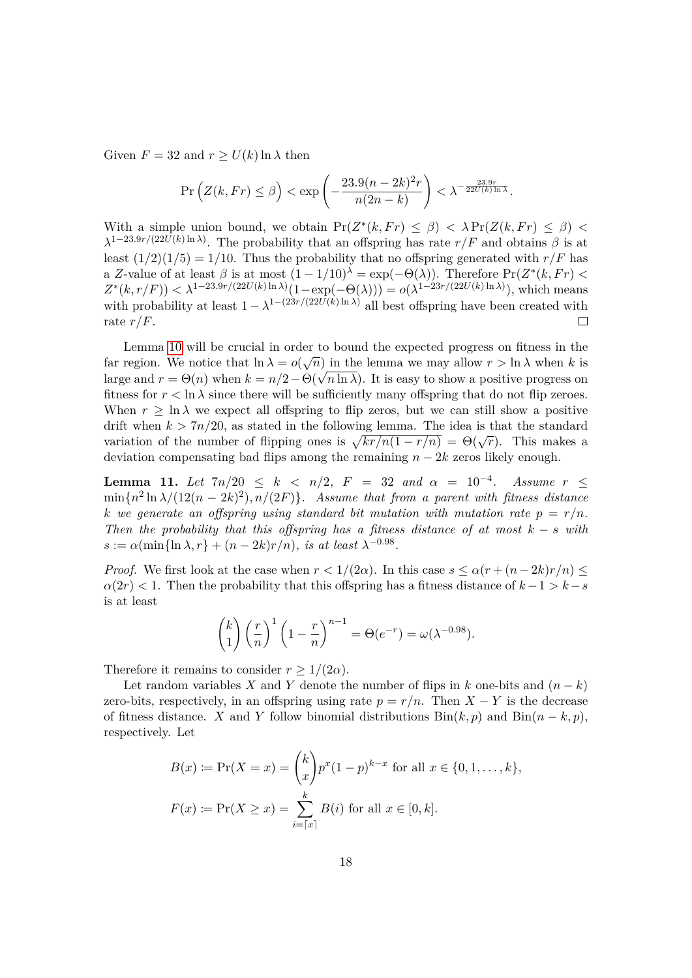Given  $F = 32$  and  $r \ge U(k) \ln \lambda$  then

$$
\Pr\left(Z(k, Fr) \le \beta\right) < \exp\left(-\frac{23.9(n-2k)^2r}{n(2n-k)}\right) < \lambda^{-\frac{23.9r}{22U(k)\ln\lambda}}.
$$

With a simple union bound, we obtain  $Pr(Z^*(k, Fr) \leq \beta) < \lambda Pr(Z(k, Fr) \leq \beta) <$  $\lambda^{1-23.9r/(22U(k)\ln\lambda)}$ . The probability that an offspring has rate *r/F* and obtains  $\beta$  is at least  $(1/2)(1/5) = 1/10$ . Thus the probability that no offspring generated with  $r/F$  has a *Z*-value of at least  $\beta$  is at most  $(1 - 1/10)^{\lambda} = \exp(-\Theta(\lambda))$ . Therefore  $Pr(Z^*(k, Fr) <$  $Z^*(k, r/F)$   $< \lambda^{1-23.9r/(22U(k)\ln\lambda)}(1-\exp(-\Theta(\lambda))) = o(\lambda^{1-23r/(22U(k)\ln\lambda)})$ , which means with probability at least  $1 - \lambda^{1-(23r/(22U(k) \ln \lambda))}$  all best offspring have been created with rate *r/F*.  $\Box$ 

Lemma [10](#page-13-1) will be crucial in order to bound the expected progress on fitness in the far region. We notice that  $\ln \lambda = o(\sqrt{n})$  in the lemma we may allow  $r > \ln \lambda$  when k is large and  $r = \Theta(n)$  when  $k = n/2 - \Theta(\sqrt{n \ln \lambda})$ . It is easy to show a positive progress on fitness for  $r < \ln \lambda$  since there will be sufficiently many offspring that do not flip zeroes. When  $r \geq \ln \lambda$  we expect all offspring to flip zeros, but we can still show a positive drift when  $k > 7n/20$ , as stated in the following lemma. The idea is that the standard variation of the number of flipping ones is  $\sqrt{k r/n(1 - r/n)} = \Theta(\sqrt{r})$ . This makes a deviation compensating bad flips among the remaining  $n - 2k$  zeros likely enough.

<span id="page-17-0"></span>**Lemma 11.** *Let*  $7n/20 \le k \le n/2$ ,  $F = 32$  *and*  $\alpha = 10^{-4}$ . Assume  $r \le$  $\min\{n^2 \ln \lambda/(12(n-2k)^2), n/(2F)\}\.$  Assume that from a parent with fitness distance *k* we generate an offspring using standard bit mutation with mutation rate  $p = r/n$ . *Then the probability that this offspring has a fitness distance of at most*  $k - s$  *with*  $s := \alpha(\min{\ln{\lambda, r}} + (n - 2k)r/n)$ *, is at least*  $\lambda^{-0.98}$ *.* 

*Proof.* We first look at the case when  $r < 1/(2\alpha)$ . In this case  $s \leq \alpha(r + (n-2k)r/n) \leq$  $\alpha(2r)$  < 1. Then the probability that this offspring has a fitness distance of  $k-1 > k-s$ is at least

$$
\binom{k}{1}\left(\frac{r}{n}\right)^1\left(1-\frac{r}{n}\right)^{n-1} = \Theta(e^{-r}) = \omega(\lambda^{-0.98}).
$$

Therefore it remains to consider  $r \geq 1/(2\alpha)$ .

Let random variables *X* and *Y* denote the number of flips in *k* one-bits and  $(n - k)$ zero-bits, respectively, in an offspring using rate  $p = r/n$ . Then  $X - Y$  is the decrease of fitness distance. *X* and *Y* follow binomial distributions  $\text{Bin}(k, p)$  and  $\text{Bin}(n - k, p)$ , respectively. Let

$$
B(x) := \Pr(X = x) = {k \choose x} p^x (1-p)^{k-x} \text{ for all } x \in \{0, 1, ..., k\},
$$
  

$$
F(x) := \Pr(X \ge x) = \sum_{i=\lceil x \rceil}^{k} B(i) \text{ for all } x \in [0, k].
$$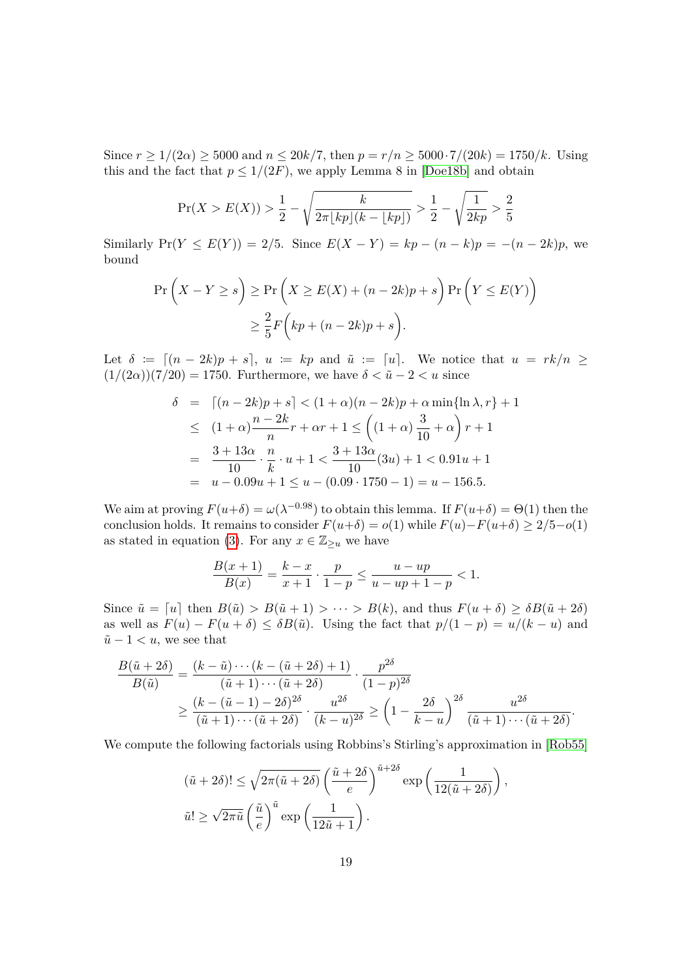Since  $r \ge 1/(2\alpha) \ge 5000$  and  $n \le 20k/7$ , then  $p = r/n \ge 5000 \cdot 7/(20k) = 1750/k$ . Using this and the fact that  $p \leq 1/(2F)$ , we apply Lemma 8 in [\[Doe18b\]](#page-40-12) and obtain

$$
\Pr(X > E(X)) > \frac{1}{2} - \sqrt{\frac{k}{2\pi \lfloor kp \rfloor (k - \lfloor kp \rfloor)}} > \frac{1}{2} - \sqrt{\frac{1}{2kp}} > \frac{2}{5}
$$

Similarly  $Pr(Y \le E(Y)) = 2/5$ . Since  $E(X - Y) = kp - (n - k)p = -(n - 2k)p$ , we bound

$$
\Pr\left(X - Y \ge s\right) \ge \Pr\left(X \ge E(X) + (n - 2k)p + s\right) \Pr\left(Y \le E(Y)\right)
$$

$$
\ge \frac{2}{5} F\left(kp + (n - 2k)p + s\right).
$$

Let  $\delta := \left[ (n - 2k)p + s \right], u := kp$  and  $\tilde{u} := \left[ u \right].$  We notice that  $u = rk/n \ge$  $(1/(2\alpha))(7/20) = 1750$ . Furthermore, we have  $\delta < \tilde{u} - 2 < u$  since

$$
\delta = \left[ (n - 2k)p + s \right] < (1 + \alpha)(n - 2k)p + \alpha \min\{\ln \lambda, r\} + 1
$$
\n
$$
\leq (1 + \alpha)\frac{n - 2k}{n}r + \alpha r + 1 \leq \left( (1 + \alpha)\frac{3}{10} + \alpha \right)r + 1
$$
\n
$$
= \frac{3 + 13\alpha}{10} \cdot \frac{n}{k} \cdot u + 1 < \frac{3 + 13\alpha}{10}(3u) + 1 < 0.91u + 1
$$
\n
$$
= u - 0.09u + 1 \leq u - (0.09 \cdot 1750 - 1) = u - 156.5.
$$

We aim at proving  $F(u+\delta) = \omega(\lambda^{-0.98})$  to obtain this lemma. If  $F(u+\delta) = \Theta(1)$  then the conclusion holds. It remains to consider  $F(u+\delta) = o(1)$  while  $F(u) - F(u+\delta) \geq 2/5 - o(1)$ as stated in equation [\(3\)](#page-16-0). For any  $x \in \mathbb{Z}_{\geq u}$  we have

$$
\frac{B(x+1)}{B(x)} = \frac{k-x}{x+1} \cdot \frac{p}{1-p} \le \frac{u-up}{u-up+1-p} < 1.
$$

Since  $\tilde{u} = [u]$  then  $B(\tilde{u}) > B(\tilde{u} + 1) > \cdots > B(k)$ , and thus  $F(u + \delta) \geq \delta B(\tilde{u} + 2\delta)$ as well as  $F(u) - F(u + \delta) \leq \delta B(\tilde{u})$ . Using the fact that  $p/(1-p) = u/(k-u)$  and  $\tilde{u} - 1 < u$ , we see that

$$
\frac{B(\tilde{u}+2\delta)}{B(\tilde{u})} = \frac{(k-\tilde{u})\cdots(k-(\tilde{u}+2\delta)+1)}{(\tilde{u}+1)\cdots(\tilde{u}+2\delta)} \cdot \frac{p^{2\delta}}{(1-p)^{2\delta}}
$$
\n
$$
\geq \frac{(k-(\tilde{u}-1)-2\delta)^{2\delta}}{(\tilde{u}+1)\cdots(\tilde{u}+2\delta)} \cdot \frac{u^{2\delta}}{(k-u)^{2\delta}} \geq \left(1-\frac{2\delta}{k-u}\right)^{2\delta} \frac{u^{2\delta}}{(\tilde{u}+1)\cdots(\tilde{u}+2\delta)}.
$$

We compute the following factorials using Robbins's Stirling's approximation in [\[Rob55\]](#page-42-6)

$$
(\tilde{u} + 2\delta)! \le \sqrt{2\pi(\tilde{u} + 2\delta)} \left(\frac{\tilde{u} + 2\delta}{e}\right)^{\tilde{u} + 2\delta} \exp\left(\frac{1}{12(\tilde{u} + 2\delta)}\right),
$$
  

$$
\tilde{u}! \ge \sqrt{2\pi\tilde{u}} \left(\frac{\tilde{u}}{e}\right)^{\tilde{u}} \exp\left(\frac{1}{12\tilde{u} + 1}\right).
$$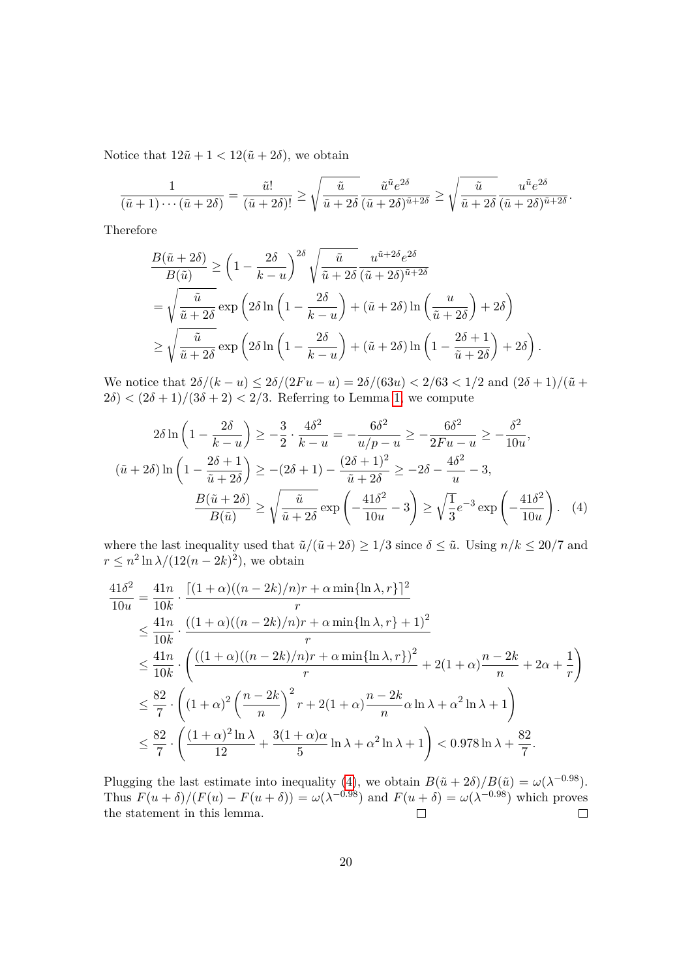Notice that  $12\tilde{u} + 1 < 12(\tilde{u} + 2\delta)$ , we obtain

$$
\frac{1}{(\tilde{u}+1)\cdots(\tilde{u}+2\delta)}=\frac{\tilde{u}!}{(\tilde{u}+2\delta)!}\geq \sqrt{\frac{\tilde{u}}{\tilde{u}+2\delta}}\frac{\tilde{u}^{\tilde{u}}e^{2\delta}}{(\tilde{u}+2\delta)^{\tilde{u}+2\delta}}\geq \sqrt{\frac{\tilde{u}}{\tilde{u}+2\delta}}\frac{u^{\tilde{u}}e^{2\delta}}{(\tilde{u}+2\delta)^{\tilde{u}+2\delta}}.
$$

Therefore

$$
\frac{B(\tilde{u}+2\delta)}{B(\tilde{u})} \ge \left(1 - \frac{2\delta}{k-u}\right)^{2\delta} \sqrt{\frac{\tilde{u}}{\tilde{u}+2\delta}} \frac{u^{\tilde{u}+2\delta}e^{2\delta}}{(\tilde{u}+2\delta)^{\tilde{u}+2\delta}}
$$

$$
= \sqrt{\frac{\tilde{u}}{\tilde{u}+2\delta}} \exp\left(2\delta \ln\left(1 - \frac{2\delta}{k-u}\right) + (\tilde{u}+2\delta) \ln\left(\frac{u}{\tilde{u}+2\delta}\right) + 2\delta\right)
$$

$$
\ge \sqrt{\frac{\tilde{u}}{\tilde{u}+2\delta}} \exp\left(2\delta \ln\left(1 - \frac{2\delta}{k-u}\right) + (\tilde{u}+2\delta) \ln\left(1 - \frac{2\delta+1}{\tilde{u}+2\delta}\right) + 2\delta\right).
$$

We notice that  $2\delta/(k-u) \leq 2\delta/(2Fu-u) = 2\delta/(63u) < 2/63 < 1/2$  and  $(2\delta+1)/(\tilde{u} +$  $2\delta$   $\langle (2\delta + 1)/(3\delta + 2) \langle 2/3, \text{ Referring to Lemma 1, we compute}$  $\langle (2\delta + 1)/(3\delta + 2) \langle 2/3, \text{ Referring to Lemma 1, we compute}$  $\langle (2\delta + 1)/(3\delta + 2) \langle 2/3, \text{ Referring to Lemma 1, we compute}$ 

<span id="page-19-0"></span>
$$
2\delta \ln \left( 1 - \frac{2\delta}{k - u} \right) \ge -\frac{3}{2} \cdot \frac{4\delta^2}{k - u} = -\frac{6\delta^2}{u/p - u} \ge -\frac{6\delta^2}{2Fu - u} \ge -\frac{\delta^2}{10u},
$$
  

$$
(\tilde{u} + 2\delta) \ln \left( 1 - \frac{2\delta + 1}{\tilde{u} + 2\delta} \right) \ge -(2\delta + 1) - \frac{(2\delta + 1)^2}{\tilde{u} + 2\delta} \ge -2\delta - \frac{4\delta^2}{u} - 3,
$$
  

$$
\frac{B(\tilde{u} + 2\delta)}{B(\tilde{u})} \ge \sqrt{\frac{\tilde{u}}{\tilde{u} + 2\delta}} \exp \left( -\frac{41\delta^2}{10u} - 3 \right) \ge \sqrt{\frac{1}{3}} e^{-3} \exp \left( -\frac{41\delta^2}{10u} \right). \tag{4}
$$

where the last inequality used that  $\tilde{u}/(\tilde{u}+2\delta) \geq 1/3$  since  $\delta \leq \tilde{u}$ . Using  $n/k \leq 20/7$  and  $r \leq n^2 \ln \lambda / (12(n-2k)^2)$ , we obtain

$$
\frac{41\delta^2}{10u} = \frac{41n}{10k} \cdot \frac{[(1+\alpha)((n-2k)/n)r + \alpha \min{\ln{\lambda, r}}]^2}{r}
$$
  
\n
$$
\leq \frac{41n}{10k} \cdot \frac{((1+\alpha)((n-2k)/n)r + \alpha \min{\ln{\lambda, r}} + 1)^2}{r}
$$
  
\n
$$
\leq \frac{41n}{10k} \cdot \left( \frac{((1+\alpha)((n-2k)/n)r + \alpha \min{\ln{\lambda, r}})^2}{r} + 2(1+\alpha)\frac{n-2k}{n} + 2\alpha + \frac{1}{r} \right)
$$
  
\n
$$
\leq \frac{82}{7} \cdot \left( (1+\alpha)^2 \left( \frac{n-2k}{n} \right)^2 r + 2(1+\alpha)\frac{n-2k}{n}\alpha \ln{\lambda} + \alpha^2 \ln{\lambda} + 1 \right)
$$
  
\n
$$
\leq \frac{82}{7} \cdot \left( \frac{(1+\alpha)^2 \ln{\lambda}}{12} + \frac{3(1+\alpha)\alpha}{5} \ln{\lambda} + \alpha^2 \ln{\lambda} + 1 \right) < 0.978 \ln{\lambda} + \frac{82}{7}.
$$

Plugging the last estimate into inequality [\(4\)](#page-19-0), we obtain  $B(\tilde{u} + 2\delta)/B(\tilde{u}) = \omega(\lambda^{-0.98})$ . Thus  $F(u + \delta)/(F(u) - F(u + \delta)) = \omega(\lambda^{-0.98})$  and  $F(u + \delta) = \omega(\lambda^{-0.98})$  which proves the statement in this lemma.  $\Box$  $\Box$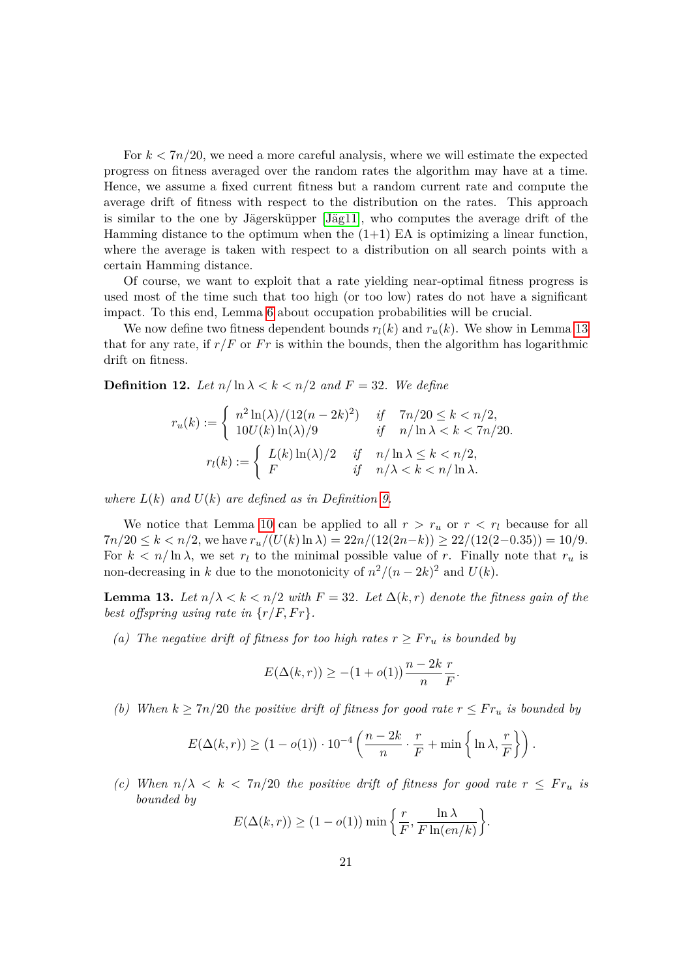For *k <* 7*n/*20, we need a more careful analysis, where we will estimate the expected progress on fitness averaged over the random rates the algorithm may have at a time. Hence, we assume a fixed current fitness but a random current rate and compute the average drift of fitness with respect to the distribution on the rates. This approach is similar to the one by Jägersküpper [Jäg11], who computes the average drift of the Hamming distance to the optimum when the  $(1+1)$  EA is optimizing a linear function, where the average is taken with respect to a distribution on all search points with a certain Hamming distance.

Of course, we want to exploit that a rate yielding near-optimal fitness progress is used most of the time such that too high (or too low) rates do not have a significant impact. To this end, Lemma [6](#page-10-0) about occupation probabilities will be crucial.

We now define two fitness dependent bounds  $r_l(k)$  and  $r_u(k)$ . We show in Lemma [13](#page-20-0) that for any rate, if  $r/F$  or  $Fr$  is within the bounds, then the algorithm has logarithmic drift on fitness.

<span id="page-20-1"></span>**Definition 12.** Let  $n/\ln \lambda < k < n/2$  and  $F = 32$ . We define

$$
r_u(k) := \begin{cases} n^2 \ln(\lambda)/(12(n-2k)^2) & \text{if } \quad 7n/20 \le k < n/2, \\ 10U(k) \ln(\lambda)/9 & \text{if } \quad n/\ln\lambda < k < 7n/20. \end{cases}
$$

$$
r_l(k) := \begin{cases} L(k) \ln(\lambda)/2 & \text{if } \quad n/\ln\lambda \le k < n/2, \\ F & \text{if } \quad n/\lambda < k < n/\ln\lambda. \end{cases}
$$

*where*  $L(k)$  *and*  $U(k)$  *are defined as in Definition [9.](#page-13-5)* 

We notice that Lemma [10](#page-13-1) can be applied to all  $r > r_u$  or  $r < r_l$  because for all  $7n/20 \le k < n/2$ , we have  $r_u/(U(k) \ln \lambda) = 22n/(12(2n-k)) \ge 22/(12(2-0.35)) = 10/9$ . For  $k < n/\ln \lambda$ , we set  $r_l$  to the minimal possible value of *r*. Finally note that  $r_u$  is non-decreasing in *k* due to the monotonicity of  $n^2/(n-2k)^2$  and  $U(k)$ .

<span id="page-20-0"></span>**Lemma 13.** Let  $n/\lambda < k < n/2$  with  $F = 32$ . Let  $\Delta(k, r)$  denote the fitness gain of the *best offspring using rate in*  $\{r/F, Fr\}.$ 

*(a)* The negative drift of fitness for too high rates  $r \geq Fr_u$  *is bounded by* 

$$
E(\Delta(k,r)) \ge -(1+o(1))\frac{n-2k}{n}\frac{r}{F}.
$$

*(b)* When  $k \geq 7n/20$  the positive drift of fitness for good rate  $r \leq Fr_u$  *is bounded by* 

$$
E(\Delta(k,r)) \ge (1 - o(1)) \cdot 10^{-4} \left( \frac{n - 2k}{n} \cdot \frac{r}{F} + \min\left\{ \ln \lambda, \frac{r}{F} \right\} \right).
$$

*(c)* When  $n/\lambda < k < 7n/20$  the positive drift of fitness for good rate  $r \leq Fr_u$  is *bounded by*

$$
E(\Delta(k,r)) \ge (1 - o(1)) \min \left\{ \frac{r}{F}, \frac{\ln \lambda}{F \ln(en/k)} \right\}
$$

*.*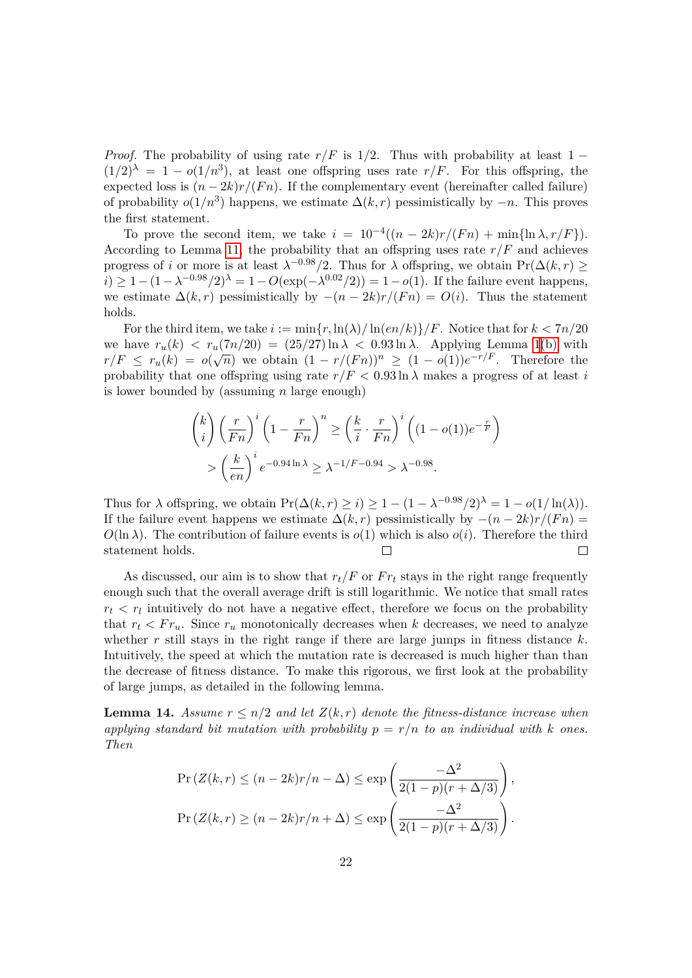*Proof.* The probability of using rate  $r/F$  is 1/2. Thus with probability at least 1 −  $(1/2)^{\lambda} = 1 - o(1/n^3)$ , at least one offspring uses rate  $r/F$ . For this offspring, the expected loss is  $(n-2k)r/(Fn)$ . If the complementary event (hereinafter called failure) of probability  $o(1/n^3)$  happens, we estimate  $\Delta(k,r)$  pessimistically by  $-n$ . This proves the first statement.

To prove the second item, we take  $i = 10^{-4}((n - 2k)r/(Fn) + \min{\{\ln{\lambda}, r/F\}})$ . According to Lemma [11,](#page-17-0) the probability that an offspring uses rate  $r/F$  and achieves progress of *i* or more is at least  $\lambda^{-0.98}/2$ . Thus for  $\lambda$  offspring, we obtain Pr( $\Delta(k,r) \ge$ *i*) ≥ 1 –  $(1 - \lambda^{-0.98}/2)^{\lambda} = 1 - O(\exp(-\lambda^{0.02}/2)) = 1 - o(1)$ . If the failure event happens, we estimate  $\Delta(k,r)$  pessimistically by  $-(n-2k)r/(Fn) = O(i)$ . Thus the statement holds.

For the third item, we take  $i := \min\{r, \ln(\lambda)/\ln(en/k)\} / F$ . Notice that for  $k < 7n/20$ we have  $r_u(k) < r_u(7n/20) = (25/27) \ln \lambda < 0.93 \ln \lambda$ . Applying Lemma [1](#page-0-0)[\(b\)](#page-9-1) with  $r/F \leq r_u(k) = o(\sqrt{n})$  we obtain  $(1 - r/(Fn))^n \geq (1 - o(1))e^{-r/F}$ . Therefore the probability that one offspring using rate  $r/F < 0.93 \ln \lambda$  makes a progress of at least *i* is lower bounded by (assuming *n* large enough)

$$
\binom{k}{i} \left(\frac{r}{Fn}\right)^i \left(1 - \frac{r}{Fn}\right)^n \ge \left(\frac{k}{i} \cdot \frac{r}{Fn}\right)^i \left((1 - o(1))e^{-\frac{r}{F}}\right)
$$

$$
> \left(\frac{k}{en}\right)^i e^{-0.94 \ln \lambda} \ge \lambda^{-1/F - 0.94} > \lambda^{-0.98}.
$$

Thus for  $\lambda$  offspring, we obtain  $\Pr(\Delta(k, r) \geq i) \geq 1 - (1 - \lambda^{-0.98}/2)^{\lambda} = 1 - o(1/\ln(\lambda)).$ If the failure event happens we estimate  $\Delta(k,r)$  pessimistically by  $-(n-2k)r/(Fn)$  $O(\ln \lambda)$ . The contribution of failure events is  $o(1)$  which is also  $o(i)$ . Therefore the third statement holds.  $\Box$  $\Box$ 

As discussed, our aim is to show that  $r_t/F$  or  $Fr_t$  stays in the right range frequently enough such that the overall average drift is still logarithmic. We notice that small rates  $r_t \leq r_l$  intuitively do not have a negative effect, therefore we focus on the probability that  $r_t < Fr_u$ . Since  $r_u$  monotonically decreases when k decreases, we need to analyze whether *r* still stays in the right range if there are large jumps in fitness distance *k*. Intuitively, the speed at which the mutation rate is decreased is much higher than than the decrease of fitness distance. To make this rigorous, we first look at the probability of large jumps, as detailed in the following lemma.

<span id="page-21-0"></span>**Lemma 14.** Assume  $r \leq n/2$  and let  $Z(k,r)$  denote the fitness-distance increase when applying standard bit mutation with probability  $p = r/n$  to an individual with k ones. *Then*

$$
\Pr(Z(k,r) \le (n-2k)r/n - \Delta) \le \exp\left(\frac{-\Delta^2}{2(1-p)(r+\Delta/3)}\right),
$$
  

$$
\Pr(Z(k,r) \ge (n-2k)r/n + \Delta) \le \exp\left(\frac{-\Delta^2}{2(1-p)(r+\Delta/3)}\right).
$$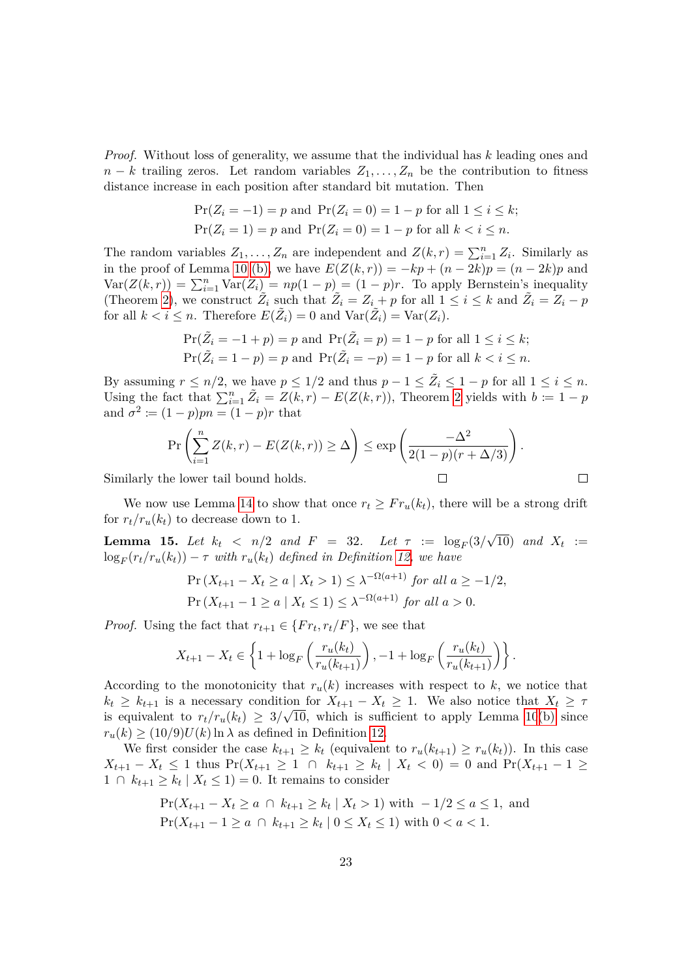*Proof.* Without loss of generality, we assume that the individual has *k* leading ones and  $n - k$  trailing zeros. Let random variables  $Z_1, \ldots, Z_n$  be the contribution to fitness distance increase in each position after standard bit mutation. Then

$$
\Pr(Z_i = -1) = p \text{ and } \Pr(Z_i = 0) = 1 - p \text{ for all } 1 \le i \le k;
$$
  

$$
\Pr(Z_i = 1) = p \text{ and } \Pr(Z_i = 0) = 1 - p \text{ for all } k < i \le n.
$$

The random variables  $Z_1, \ldots, Z_n$  are independent and  $Z(k,r) = \sum_{i=1}^n Z_i$ . Similarly as in the proof of Lemma [10](#page-13-1) [\(b\),](#page-13-4) we have  $E(Z(k, r)) = -kp + (n - 2k)p = (n - 2k)p$  and  $Var(Z(k, r)) = \sum_{i=1}^{n} Var(Z_i) = np(1 - p) = (1 - p)r$ . To apply Bernstein's inequality (Theorem [2\)](#page-9-2), we construct  $\tilde{Z}_i$  such that  $\tilde{Z}_i = Z_i + p$  for all  $1 \leq i \leq k$  and  $\tilde{Z}_i = Z_i - p$ for all  $k < i \leq n$ . Therefore  $E(\tilde{Z}_i) = 0$  and  $\text{Var}(\tilde{Z}_i) = \text{Var}(Z_i)$ .

$$
\Pr(\tilde{Z}_i = -1 + p) = p \text{ and } \Pr(\tilde{Z}_i = p) = 1 - p \text{ for all } 1 \le i \le k;
$$
  

$$
\Pr(\tilde{Z}_i = 1 - p) = p \text{ and } \Pr(\tilde{Z}_i = -p) = 1 - p \text{ for all } k < i \le n.
$$

By assuming  $r \leq n/2$ , we have  $p \leq 1/2$  and thus  $p - 1 \leq \tilde{Z}_i \leq 1 - p$  for all  $1 \leq i \leq n$ . Using the fact that  $\sum_{i=1}^{n} \tilde{Z}_i = Z(k,r) - E(Z(k,r))$ , Theorem [2](#page-9-2) yields with  $b := 1 - p$ and  $\sigma^2 := (1 - p)pn = (1 - p)r$  that

$$
\Pr\left(\sum_{i=1}^{n} Z(k,r) - E(Z(k,r)) \ge \Delta\right) \le \exp\left(\frac{-\Delta^2}{2(1-p)(r+\Delta/3)}\right).
$$
\nwe lower tail bound holds.

\n
$$
\Box
$$

Similarly the lower tail bound holds.

We now use Lemma [14](#page-21-0) to show that once  $r_t \geq Fr_u(k_t)$ , there will be a strong drift for  $r_t/r_u(k_t)$  to decrease down to 1.

<span id="page-22-0"></span>**Lemma 15.** Let  $k_t < n/2$  and  $F = 32$ . Let  $\tau := \log_F(3/\sqrt{10})$  and  $X_t :=$  $\log_F(r_t/r_u(k_t)) - \tau$  *with*  $r_u(k_t)$  *defined in Definition [12,](#page-20-1) we have* 

$$
\Pr\left(X_{t+1} - X_t \ge a \mid X_t > 1\right) \le \lambda^{-\Omega(a+1)} \text{ for all } a \ge -1/2,
$$
\n
$$
\Pr\left(X_{t+1} - 1 \ge a \mid X_t \le 1\right) \le \lambda^{-\Omega(a+1)} \text{ for all } a > 0.
$$

*Proof.* Using the fact that  $r_{t+1} \in \{Fr_t, r_t/F\}$ , we see that

$$
X_{t+1} - X_t \in \left\{ 1 + \log_F \left( \frac{r_u(k_t)}{r_u(k_{t+1})} \right), -1 + \log_F \left( \frac{r_u(k_t)}{r_u(k_{t+1})} \right) \right\}.
$$

According to the monotonicity that  $r_u(k)$  increases with respect to k, we notice that  $k_t \geq k_{t+1}$  is a necessary condition for  $X_{t+1} - X_t \geq 1$ . We also notice that  $X_t \geq \tau$ is equivalent to  $r_t/r_u(k_t) \geq 3/\sqrt{10}$ , which is sufficient to apply Lemma [10](#page-13-1)[\(b\)](#page-13-4) since  $r_u(k) \ge (10/9)U(k) \ln \lambda$  as defined in Definition [12.](#page-20-1)

We first consider the case  $k_{t+1} \geq k_t$  (equivalent to  $r_u(k_{t+1}) \geq r_u(k_t)$ ). In this case *X*<sub>*t*+1</sub> − *X*<sub>*t*</sub> ≤ 1 thus Pr(*X*<sub>*t*+1</sub> ≥ 1 ∩  $k_{t+1}$  ≥  $k_t$  |  $X_t$  < 0) = 0 and Pr(*X*<sub>*t*+1</sub> − 1 ≥  $1 \cap k_{t+1} \geq k_t \mid X_t \leq 1$  = 0. It remains to consider

$$
\Pr(X_{t+1} - X_t \ge a \cap k_{t+1} \ge k_t | X_t > 1) \text{ with } -1/2 \le a \le 1, \text{ and}
$$
\n
$$
\Pr(X_{t+1} - 1 \ge a \cap k_{t+1} \ge k_t | 0 \le X_t \le 1) \text{ with } 0 < a < 1.
$$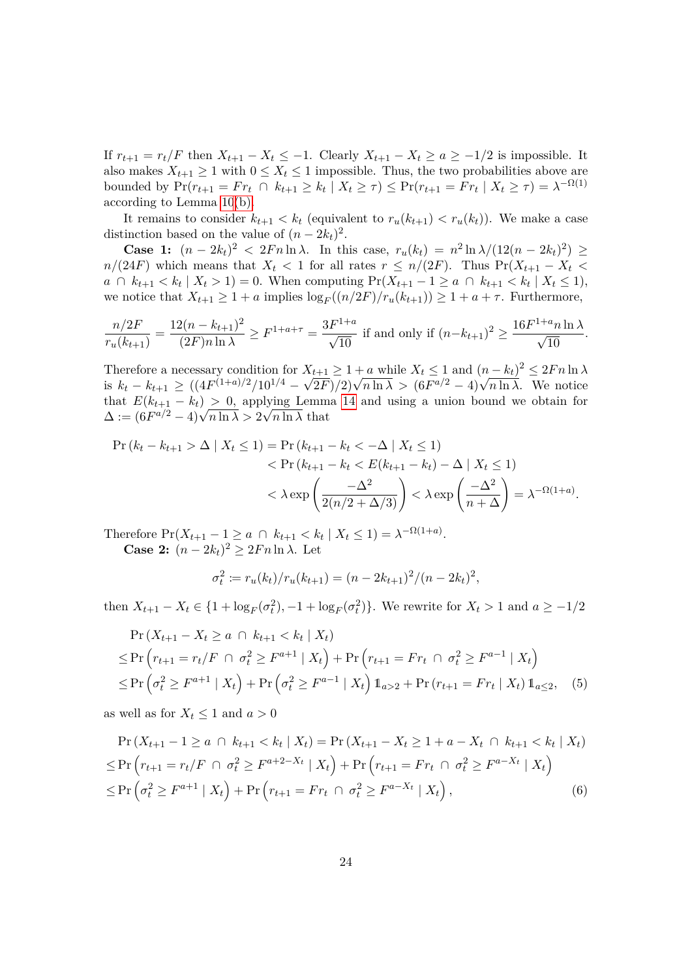If  $r_{t+1} = r_t/F$  then  $X_{t+1} - X_t \leq -1$ . Clearly  $X_{t+1} - X_t \geq a \geq -1/2$  is impossible. It also makes  $X_{t+1} \geq 1$  with  $0 \leq X_t \leq 1$  impossible. Thus, the two probabilities above are bounded by  $Pr(r_{t+1} = Fr_t \cap k_{t+1} \ge k_t | X_t \ge \tau) \le Pr(r_{t+1} = Fr_t | X_t \ge \tau) = \lambda^{-\Omega(1)}$ according to Lemma [10](#page-13-1)[\(b\).](#page-13-4)

It remains to consider  $k_{t+1} < k_t$  (equivalent to  $r_u(k_{t+1}) < r_u(k_t)$ ). We make a case distinction based on the value of  $(n - 2k_t)^2$ .

**Case 1:**  $(n - 2k_t)^2$  < 2*F n* ln *λ*. In this case,  $r_u(k_t) = n^2 \ln \lambda / (12(n - 2k_t)^2)$  ≥  $n/(24F)$  which means that  $X_t < 1$  for all rates  $r \leq n/(2F)$ . Thus Pr( $X_{t+1} - X_t <$ *a* ∩  $k_{t+1}$   $\lt k_t$  |  $X_t$  > 1) = 0. When computing  $Pr(X_{t+1} - 1 \ge a \cap k_{t+1}$   $\lt k_t$  |  $X_t$  ≤ 1), we notice that  $X_{t+1} \geq 1 + a$  implies  $\log_F((n/2F)/r_u(k_{t+1})) \geq 1 + a + \tau$ . Furthermore,

$$
\frac{n/2F}{r_u(k_{t+1})} = \frac{12(n - k_{t+1})^2}{(2F)n \ln \lambda} \ge F^{1+a+\tau} = \frac{3F^{1+a}}{\sqrt{10}} \text{ if and only if } (n - k_{t+1})^2 \ge \frac{16F^{1+a}n \ln \lambda}{\sqrt{10}}.
$$

Therefore a necessary condition for  $X_{t+1} \geq 1 + a$  while  $X_t \leq 1$  and  $(n - k_t)^2 \leq 2Fn \ln \lambda$ is  $k_t - k_{t+1} \ge ((4F^{(1+a)/2}/10^{1/4} - \sqrt{2F})/2)\sqrt{n \ln \lambda} > (6F^{a/2} - 4)\sqrt{n \ln \lambda}$ . We notice that  $E(k_{t+1} - k_t) > 0$ , applying Lemma [14](#page-21-0) and using a union bound we obtain for  $\Delta := (6F^{a/2} - 4)\sqrt{n \ln \lambda} > 2\sqrt{n \ln \lambda}$  that

$$
\Pr(k_t - k_{t+1} > \Delta \mid X_t \le 1) = \Pr(k_{t+1} - k_t < -\Delta \mid X_t \le 1) \\
&< \Pr(k_{t+1} - k_t < E(k_{t+1} - k_t) - \Delta \mid X_t \le 1) \\
&< \lambda \exp\left(\frac{-\Delta^2}{2(n/2 + \Delta/3)}\right) < \lambda \exp\left(\frac{-\Delta^2}{n + \Delta}\right) = \lambda^{-\Omega(1+a)}.
$$

Therefore  $Pr(X_{t+1} - 1 \ge a \cap k_{t+1} < k_t | X_t \le 1) = \lambda^{-\Omega(1+a)}$ . **Case 2:**  $(n - 2k_t)^2 \ge 2Fn \ln \lambda$ . Let

<span id="page-23-1"></span><span id="page-23-0"></span>
$$
\sigma_t^2 := r_u(k_t)/r_u(k_{t+1}) = (n - 2k_{t+1})^2/(n - 2k_t)^2,
$$

then  $X_{t+1} - X_t \in \{1 + \log_F(\sigma_t^2), -1 + \log_F(\sigma_t^2)\}\)$ . We rewrite for  $X_t > 1$  and  $a \ge -1/2$ 

$$
\Pr(X_{t+1} - X_t \ge a \cap k_{t+1} < k_t | X_t) \\
\le \Pr(r_{t+1} = r_t / F \cap \sigma_t^2 \ge F^{a+1} | X_t) + \Pr(r_{t+1} = Fr_t \cap \sigma_t^2 \ge F^{a-1} | X_t) \\
\le \Pr(\sigma_t^2 \ge F^{a+1} | X_t) + \Pr(\sigma_t^2 \ge F^{a-1} | X_t) \mathbb{1}_{a > 2} + \Pr(r_{t+1} = Fr_t | X_t) \mathbb{1}_{a \le 2}, \tag{5}
$$

as well as for  $X_t \leq 1$  and  $a > 0$ 

$$
\Pr\left(X_{t+1} - 1 \ge a \cap k_{t+1} < k_t \mid X_t\right) = \Pr\left(X_{t+1} - X_t \ge 1 + a - X_t \cap k_{t+1} < k_t \mid X_t\right)
$$
\n
$$
\le \Pr\left(r_{t+1} = r_t / F \cap \sigma_t^2 \ge F^{a+2-X_t} \mid X_t\right) + \Pr\left(r_{t+1} = Fr_t \cap \sigma_t^2 \ge F^{a-X_t} \mid X_t\right)
$$
\n
$$
\le \Pr\left(\sigma_t^2 \ge F^{a+1} \mid X_t\right) + \Pr\left(r_{t+1} = Fr_t \cap \sigma_t^2 \ge F^{a-X_t} \mid X_t\right),\tag{6}
$$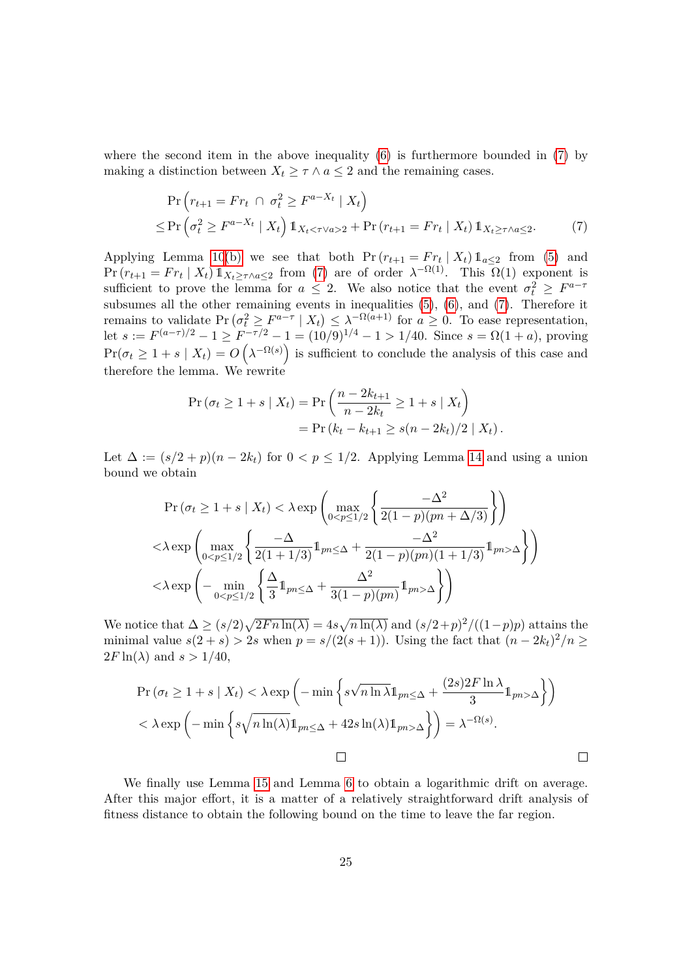where the second item in the above inequality  $(6)$  is furthermore bounded in  $(7)$  by making a distinction between  $X_t \geq \tau \wedge a \leq 2$  and the remaining cases.

<span id="page-24-0"></span>
$$
\Pr(r_{t+1} = Fr_t \cap \sigma_t^2 \ge F^{a-X_t} | X_t)
$$
  
\n
$$
\le \Pr(\sigma_t^2 \ge F^{a-X_t} | X_t) \mathbb{1}_{X_t < \tau \vee a > 2} + \Pr(r_{t+1} = Fr_t | X_t) \mathbb{1}_{X_t \ge \tau \wedge a \le 2}.
$$
\n(7)

Applying Lemma [10](#page-13-1)[\(b\)](#page-13-4) we see that both  $Pr(r_{t+1} = Fr_t | X_t) 1_{a \leq 2}$  from [\(5\)](#page-23-1) and  $Pr(r_{t+1} = Fr_t | X_t) 1\!\!1_{X_t \geq \tau \wedge a \leq 2}$  from [\(7\)](#page-24-0) are of order  $\lambda^{-\Omega(1)}$ . This  $\Omega(1)$  exponent is sufficient to prove the lemma for  $a \leq 2$ . We also notice that the event  $\sigma_t^2 \geq F^{a-\tau}$ subsumes all the other remaining events in inequalities [\(5\)](#page-23-1), [\(6\)](#page-23-0), and [\(7\)](#page-24-0). Therefore it remains to validate Pr  $(\sigma_t^2 \geq F^{a-\tau} | X_t) \leq \lambda^{-\Omega(a+1)}$  for  $a \geq 0$ . To ease representation, let  $s := F^{(a-\tau)/2} - 1 \geq F^{-\tau/2} - 1 = (10/9)^{1/4} - 1 > 1/40$ . Since  $s = \Omega(1+a)$ , proving  $Pr(\sigma_t \geq 1 + s \mid X_t) = O\left(\lambda^{-\Omega(s)}\right)$  is sufficient to conclude the analysis of this case and therefore the lemma. We rewrite

$$
\Pr(\sigma_t \ge 1 + s \mid X_t) = \Pr\left(\frac{n - 2k_{t+1}}{n - 2k_t} \ge 1 + s \mid X_t\right) \\
= \Pr\left(k_t - k_{t+1} \ge s(n - 2k_t)/2 \mid X_t\right).
$$

Let  $\Delta := (s/2 + p)(n - 2k_t)$  for  $0 < p \leq 1/2$ . Applying Lemma [14](#page-21-0) and using a union bound we obtain

$$
\Pr(\sigma_t \ge 1 + s \mid X_t) < \lambda \exp\left(\max_{0 < p \le 1/2} \left\{ \frac{-\Delta^2}{2(1-p)(pn + \Delta/3)} \right\} \right)
$$
\n
$$
\langle \lambda \exp\left(\max_{0 < p \le 1/2} \left\{ \frac{-\Delta}{2(1+1/3)} 1_{pn \le \Delta} + \frac{-\Delta^2}{2(1-p)(pn)(1+1/3)} 1_{pn > \Delta} \right\} \right)
$$
\n
$$
\langle \lambda \exp\left(-\min_{0 < p \le 1/2} \left\{ \frac{\Delta}{3} 1_{pn \le \Delta} + \frac{\Delta^2}{3(1-p)(pn)} 1_{pn > \Delta} \right\} \right)
$$

We notice that  $\Delta \ge (s/2)\sqrt{2F n \ln(\lambda)} = 4s\sqrt{n \ln(\lambda)}$  and  $(s/2+p)^2/((1-p)p)$  attains the minimal value  $s(2 + s) > 2s$  when  $p = s/(2(s + 1))$ . Using the fact that  $(n - 2k<sub>t</sub>)<sup>2</sup>/n \ge$  $2F\ln(\lambda)$  and  $s > 1/40$ ,

$$
\Pr(\sigma_t \ge 1 + s \mid X_t) < \lambda \exp\left(-\min\left\{s\sqrt{n\ln\lambda} \mathbb{1}_{pn \le \Delta} + \frac{(2s)2F\ln\lambda}{3} \mathbb{1}_{pn > \Delta}\right\}\right) \\
&< \lambda \exp\left(-\min\left\{s\sqrt{n\ln(\lambda)} \mathbb{1}_{pn \le \Delta} + 42s\ln(\lambda)\mathbb{1}_{pn > \Delta}\right\}\right) = \lambda^{-\Omega(s)}.
$$

We finally use Lemma [15](#page-22-0) and Lemma [6](#page-10-0) to obtain a logarithmic drift on average. After this major effort, it is a matter of a relatively straightforward drift analysis of fitness distance to obtain the following bound on the time to leave the far region.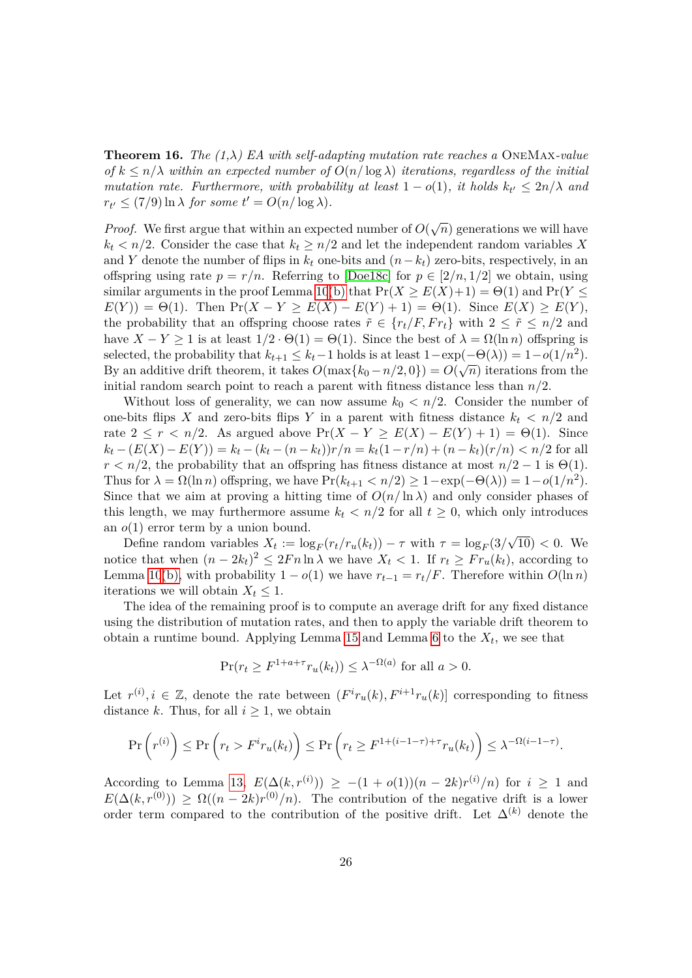<span id="page-25-0"></span>**Theorem 16.** *The (1,λ) EA with self-adapting mutation rate reaches a* OneMax*-value of*  $k \leq n/\lambda$  *within an expected number of*  $O(n/\log \lambda)$  *iterations, regardless of the initial mutation rate. Furthermore, with probability at least*  $1 - o(1)$ *, it holds*  $k_t \leq 2n/\lambda$  *and*  $r_{t'} \le (7/9) \ln \lambda$  *for some*  $t' = O(n/\log \lambda)$ *.* 

*Proof.* We first argue that within an expected number of  $O(\sqrt{n})$  generations we will have  $k_t < n/2$ . Consider the case that  $k_t \geq n/2$  and let the independent random variables *X* and *Y* denote the number of flips in  $k_t$  one-bits and  $(n-k_t)$  zero-bits, respectively, in an offspring using rate  $p = r/n$ . Referring to [\[Doe18c\]](#page-40-10) for  $p \in [2/n, 1/2]$  we obtain, using similar arguments in the proof Lemma [10](#page-13-1)[\(b\)](#page-13-4) that  $Pr(X \ge E(X)+1) = \Theta(1)$  and  $Pr(Y \le$  $E(Y) = \Theta(1)$ . Then  $Pr(X - Y \ge E(X) - E(Y) + 1) = \Theta(1)$ . Since  $E(X) \ge E(Y)$ , the probability that an offspring choose rates  $\tilde{r} \in \{r_t/F, Fr_t\}$  with  $2 \leq \tilde{r} \leq n/2$  and have  $X - Y \ge 1$  is at least  $1/2 \cdot \Theta(1) = \Theta(1)$ . Since the best of  $\lambda = \Omega(\ln n)$  offspring is selected, the probability that  $k_{t+1} \leq k_t - 1$  holds is at least  $1 - \exp(-\Theta(\lambda)) = 1 - o(1/n^2)$ . By an additive drift theorem, it takes  $O(\max\{k_0 - n/2, 0\}) = O(\sqrt{n})$  iterations from the initial random search point to reach a parent with fitness distance less than *n/*2.

Without loss of generality, we can now assume  $k_0 < n/2$ . Consider the number of one-bits flips *X* and zero-bits flips *Y* in a parent with fitness distance  $k_t < n/2$  and rate  $2 \le r < n/2$ . As argued above  $Pr(X - Y \ge E(X) - E(Y) + 1) = \Theta(1)$ . Since  $k_t - (E(X) - E(Y)) = k_t - (k_t - (n - k_t))r/n = k_t(1 - r/n) + (n - k_t)(r/n) < n/2$  for all  $r < n/2$ , the probability that an offspring has fitness distance at most  $n/2 - 1$  is  $\Theta(1)$ . Thus for  $\lambda = \Omega(\ln n)$  offspring, we have  $\Pr(k_{t+1} < n/2) \ge 1 - \exp(-\Theta(\lambda)) = 1 - o(1/n^2)$ . Since that we aim at proving a hitting time of  $O(n/\ln \lambda)$  and only consider phases of this length, we may furthermore assume  $k_t < n/2$  for all  $t \geq 0$ , which only introduces an *o*(1) error term by a union bound.

Define random variables  $X_t := \log_F(r_t/r_u(k_t)) - \tau$  with  $\tau = \log_F(3/\sqrt{10}) < 0$ . We notice that when  $(n - 2k_t)^2 \leq 2Fn \ln \lambda$  we have  $X_t < 1$ . If  $r_t \geq Fr_u(k_t)$ , according to Lemma [10](#page-13-1)[\(b\),](#page-13-4) with probability  $1 - o(1)$  we have  $r_{t-1} = r_t/F$ . Therefore within  $O(\ln n)$ iterations we will obtain  $X_t \leq 1$ .

The idea of the remaining proof is to compute an average drift for any fixed distance using the distribution of mutation rates, and then to apply the variable drift theorem to obtain a runtime bound. Applying Lemma [15](#page-22-0) and Lemma [6](#page-10-0) to the  $X_t$ , we see that

$$
\Pr(r_t \ge F^{1+a+\tau} r_u(k_t)) \le \lambda^{-\Omega(a)} \text{ for all } a > 0.
$$

Let  $r^{(i)}$ ,  $i \in \mathbb{Z}$ , denote the rate between  $(F^{i}r_u(k), F^{i+1}r_u(k))$  corresponding to fitness distance *k*. Thus, for all  $i \geq 1$ , we obtain

$$
\Pr\left(r^{(i)}\right) \le \Pr\left(r_t > F^i r_u(k_t)\right) \le \Pr\left(r_t \ge F^{1 + (i - 1 - \tau) + \tau} r_u(k_t)\right) \le \lambda^{-\Omega(i - 1 - \tau)}.
$$

According to Lemma [13,](#page-20-0)  $E(\Delta(k, r^{(i)})) \ge -(1 + o(1))(n - 2k)r^{(i)}/n$  for  $i \ge 1$  and  $E(\Delta(k, r^{(0)})) \geq \Omega((n-2k)r^{(0)}/n)$ . The contribution of the negative drift is a lower order term compared to the contribution of the positive drift. Let ∆(*k*) denote the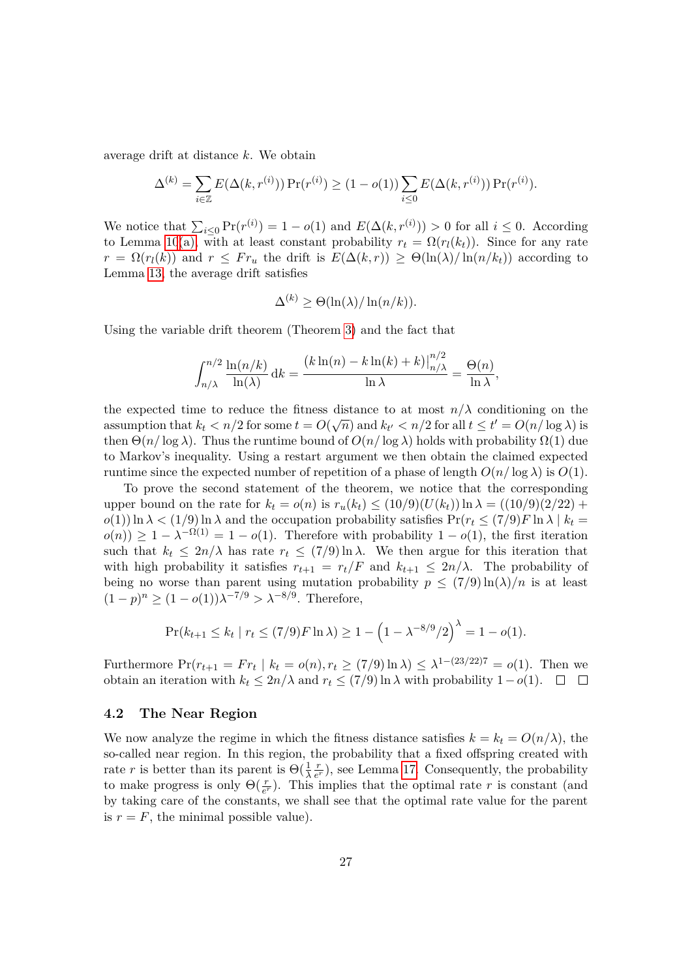average drift at distance *k*. We obtain

$$
\Delta^{(k)} = \sum_{i \in \mathbb{Z}} E(\Delta(k, r^{(i)})) \Pr(r^{(i)}) \ge (1 - o(1)) \sum_{i \le 0} E(\Delta(k, r^{(i)})) \Pr(r^{(i)}).
$$

We notice that  $\sum_{i\leq 0} \Pr(r^{(i)}) = 1 - o(1)$  and  $E(\Delta(k, r^{(i)})) > 0$  for all  $i \leq 0$ . According to Lemma [10](#page-13-1)[\(a\),](#page-13-2) with at least constant probability  $r_t = \Omega(r_l(k_t))$ . Since for any rate  $r = \Omega(r_l(k))$  and  $r \leq Fr_u$  the drift is  $E(\Delta(k,r)) \geq \Theta(\ln(\lambda)/\ln(n/k_t))$  according to Lemma [13,](#page-20-0) the average drift satisfies

$$
\Delta^{(k)} \geq \Theta(\ln(\lambda)/\ln(n/k)).
$$

Using the variable drift theorem (Theorem [3\)](#page-10-2) and the fact that

$$
\int_{n/\lambda}^{n/2} \frac{\ln(n/k)}{\ln(\lambda)} dk = \frac{(k \ln(n) - k \ln(k) + k) \Big|_{n/\lambda}^{n/2}}{\ln \lambda} = \frac{\Theta(n)}{\ln \lambda},
$$

the expected time to reduce the fitness distance to at most  $n/\lambda$  conditioning on the assumption that  $k_t < n/2$  for some  $t = O(\sqrt{n})$  and  $k_{t'} < n/2$  for all  $t \le t' = O(n/\log \lambda)$  is then  $\Theta(n/\log \lambda)$ . Thus the runtime bound of  $O(n/\log \lambda)$  holds with probability  $\Omega(1)$  due to Markov's inequality. Using a restart argument we then obtain the claimed expected runtime since the expected number of repetition of a phase of length  $O(n/\log \lambda)$  is  $O(1)$ .

To prove the second statement of the theorem, we notice that the corresponding upper bound on the rate for  $k_t = o(n)$  is  $r_u(k_t) \leq (10/9)(U(k_t)) \ln \lambda = ((10/9)(2/22) +$  $o(1)$ ) ln  $\lambda < (1/9)$  ln  $\lambda$  and the occupation probability satisfies  $Pr(r_t \leq (7/9)F \ln \lambda \mid k_t =$  $o(n)$ ) ≥ 1 –  $\lambda^{-\Omega(1)} = 1 - o(1)$ . Therefore with probability 1 – *o*(1), the first iteration such that  $k_t \leq 2n/\lambda$  has rate  $r_t \leq (7/9) \ln \lambda$ . We then argue for this iteration that with high probability it satisfies  $r_{t+1} = r_t/F$  and  $k_{t+1} \leq 2n/\lambda$ . The probability of being no worse than parent using mutation probability  $p \leq (7/9) \ln(\lambda)/n$  is at least (1 − *p*) *<sup>n</sup>* <sup>≥</sup> (1 <sup>−</sup> *<sup>o</sup>*(1))*<sup>λ</sup>* <sup>−</sup>7*/*<sup>9</sup> *> λ*−8*/*<sup>9</sup> . Therefore,

$$
\Pr(k_{t+1} \le k_t \mid r_t \le (7/9)F \ln \lambda) \ge 1 - \left(1 - \lambda^{-8/9}/2\right)^{\lambda} = 1 - o(1).
$$

Furthermore  $Pr(r_{t+1} = Fr_t | k_t = o(n), r_t \ge (7/9) \ln \lambda) \le \lambda^{1-(23/22)7} = o(1)$ . Then we obtain an iteration with  $k_t \leq 2n/\lambda$  and  $r_t \leq (7/9) \ln \lambda$  with probability  $1-o(1)$ . □ □

#### <span id="page-26-0"></span>**4.2 The Near Region**

We now analyze the regime in which the fitness distance satisfies  $k = k_t = O(n/\lambda)$ , the so-called near region. In this region, the probability that a fixed offspring created with rate *r* is better than its parent is  $\Theta(\frac{1}{\lambda})$ *r*  $\frac{r}{e^r}$ ), see Lemma [17.](#page-27-0) Consequently, the probability to make progress is only  $\Theta(\frac{r}{e^r})$ . This implies that the optimal rate *r* is constant (and by taking care of the constants, we shall see that the optimal rate value for the parent is  $r = F$ , the minimal possible value).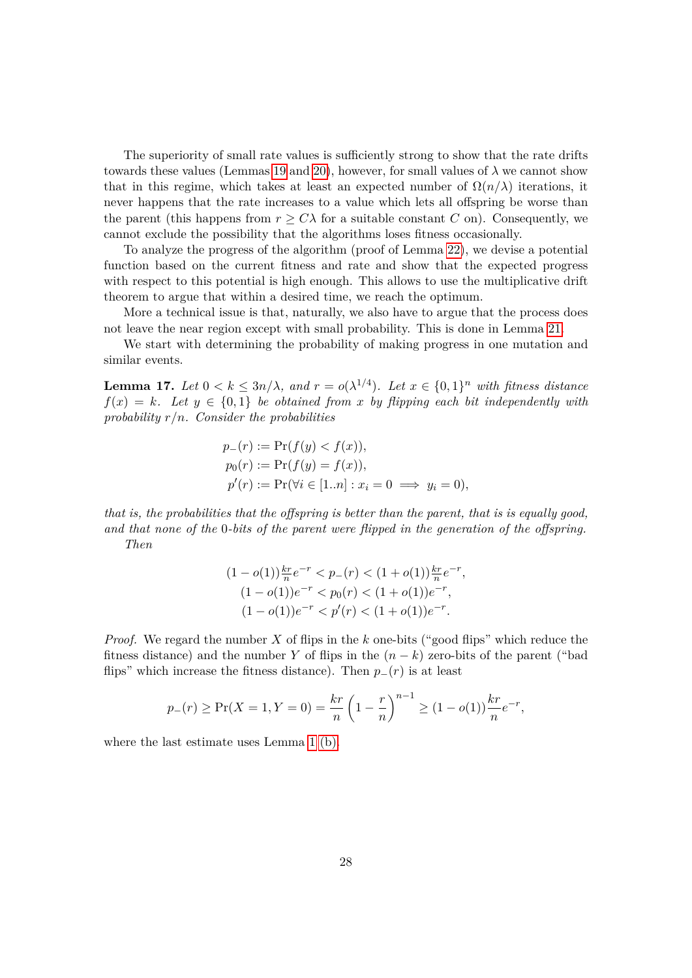The superiority of small rate values is sufficiently strong to show that the rate drifts towards these values (Lemmas [19](#page-29-0) and [20\)](#page-29-1), however, for small values of  $\lambda$  we cannot show that in this regime, which takes at least an expected number of  $\Omega(n/\lambda)$  iterations, it never happens that the rate increases to a value which lets all offspring be worse than the parent (this happens from  $r > C\lambda$  for a suitable constant C on). Consequently, we cannot exclude the possibility that the algorithms loses fitness occasionally.

To analyze the progress of the algorithm (proof of Lemma [22\)](#page-31-0), we devise a potential function based on the current fitness and rate and show that the expected progress with respect to this potential is high enough. This allows to use the multiplicative drift theorem to argue that within a desired time, we reach the optimum.

More a technical issue is that, naturally, we also have to argue that the process does not leave the near region except with small probability. This is done in Lemma [21.](#page-30-0)

We start with determining the probability of making progress in one mutation and similar events.

<span id="page-27-0"></span>**Lemma 17.** *Let*  $0 \le k \le 3n/\lambda$ , and  $r = o(\lambda^{1/4})$ . Let  $x \in \{0,1\}^n$  with fitness distance  $f(x) = k$ *. Let*  $y \in \{0,1\}$  *be obtained from x by flipping each bit independently with probability r/n. Consider the probabilities*

$$
p_{-}(r) := \Pr(f(y) < f(x)),
$$
\n
$$
p_{0}(r) := \Pr(f(y) = f(x)),
$$
\n
$$
p'(r) := \Pr(\forall i \in [1..n] : x_{i} = 0 \implies y_{i} = 0),
$$

*that is, the probabilities that the offspring is better than the parent, that is is equally good, and that none of the* 0*-bits of the parent were flipped in the generation of the offspring. Then*

$$
(1 - o(1))\frac{kr}{n}e^{-r} < p_-(r) < (1 + o(1))\frac{kr}{n}e^{-r},
$$
  
\n
$$
(1 - o(1))e^{-r} < p_0(r) < (1 + o(1))e^{-r},
$$
  
\n
$$
(1 - o(1))e^{-r} < p'(r) < (1 + o(1))e^{-r}.
$$

*Proof.* We regard the number *X* of flips in the *k* one-bits ("good flips" which reduce the fitness distance) and the number *Y* of flips in the  $(n - k)$  zero-bits of the parent ("bad flips" which increase the fitness distance). Then  $p_-(r)$  is at least

$$
p_{-}(r) \ge \Pr(X = 1, Y = 0) = \frac{kr}{n} \left(1 - \frac{r}{n}\right)^{n-1} \ge (1 - o(1)) \frac{kr}{n} e^{-r},
$$

where the last estimate uses Lemma [1](#page-0-0) [\(b\).](#page-9-1)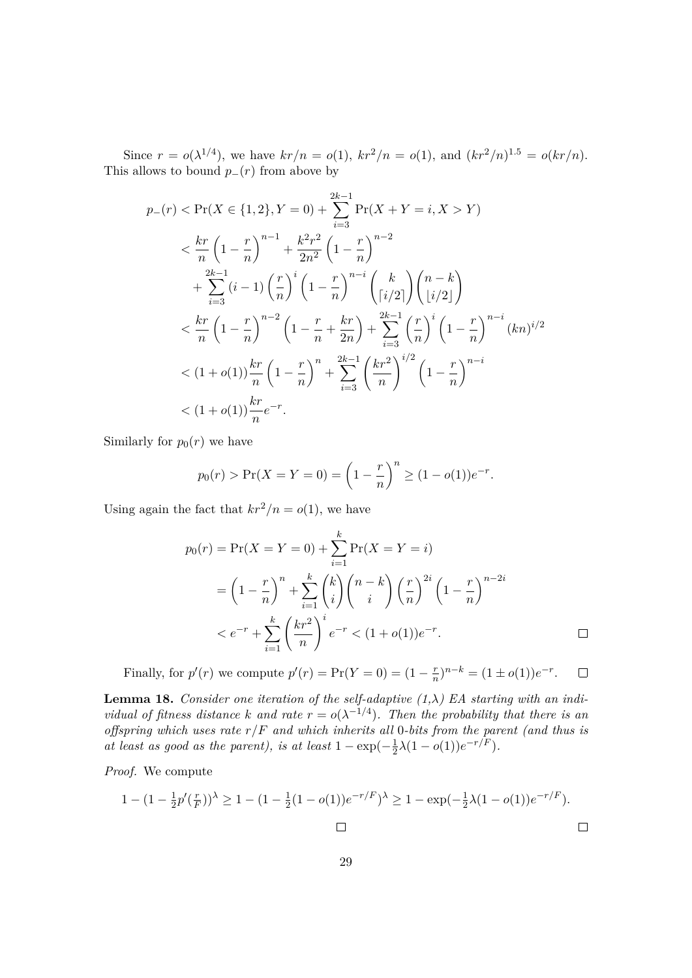Since  $r = o(\lambda^{1/4})$ , we have  $kr/n = o(1)$ ,  $kr^2/n = o(1)$ , and  $(kr^2/n)^{1.5} = o(kr/n)$ . This allows to bound  $p_-(r)$  from above by

$$
p_{-}(r) < \Pr(X \in \{1, 2\}, Y = 0) + \sum_{i=3}^{2k-1} \Pr(X + Y = i, X > Y)
$$
\n
$$
\n& < \frac{kr}{n} \left(1 - \frac{r}{n}\right)^{n-1} + \frac{k^{2}r^{2}}{2n^{2}} \left(1 - \frac{r}{n}\right)^{n-2} + \sum_{i=3}^{2k-1} \left(i - 1\right) \left(\frac{r}{n}\right)^{i} \left(1 - \frac{r}{n}\right)^{n-i} \left(\frac{k}{\left(i/2\right)}\right) \left(\frac{n-k}{\left(i/2\right)}\right) + \sum_{i=3}^{2k-1} \left(1 - \frac{r}{n}\right)^{n-2} \left(1 - \frac{r}{n} + \frac{kr}{2n}\right) + \sum_{i=3}^{2k-1} \left(\frac{r}{n}\right)^{i} \left(1 - \frac{r}{n}\right)^{n-i} (kn)^{i/2} + \sum_{i=3}^{2k-1} \left(1 + o(1)\right) \frac{kr}{n} \left(1 - \frac{r}{n}\right)^{n} + \sum_{i=3}^{2k-1} \left(\frac{kr^{2}}{n}\right)^{i/2} \left(1 - \frac{r}{n}\right)^{n-i} + o(1) \frac{kr}{n} e^{-r}.
$$

Similarly for  $p_0(r)$  we have

$$
p_0(r) > Pr(X = Y = 0) = \left(1 - \frac{r}{n}\right)^n \ge (1 - o(1))e^{-r}.
$$

Using again the fact that  $kr^2/n = o(1)$ , we have

$$
p_0(r) = \Pr(X = Y = 0) + \sum_{i=1}^{k} \Pr(X = Y = i)
$$
  
=  $\left(1 - \frac{r}{n}\right)^n + \sum_{i=1}^{k} {k \choose i} {n-k \choose i} \left(\frac{r}{n}\right)^{2i} \left(1 - \frac{r}{n}\right)^{n-2i}$   
<  $e^{-r} + \sum_{i=1}^{k} \left(\frac{kr^2}{n}\right)^i e^{-r} < (1 + o(1))e^{-r}.$ 

Finally, for  $p'(r)$  we compute  $p'(r) = Pr(Y = 0) = (1 - \frac{r}{n})$  $(\frac{r}{n})^{n-k} = (1 \pm o(1))e^{-r}.$  $\Box$ 

<span id="page-28-0"></span>**Lemma 18.** *Consider one iteration of the self-adaptive*  $(1, \lambda)$  *EA starting with an individual of fitness distance k* and rate  $r = o(\lambda^{-1/4})$ *. Then the probability that there is an offspring which uses rate r/F and which inherits all* 0*-bits from the parent (and thus is at least as good as the parent), is at least*  $1 - \exp(-\frac{1}{2})$  $\frac{1}{2}\lambda(1-o(1))e^{-r/F}).$ 

*Proof.* We compute

$$
1 - (1 - \frac{1}{2}p'(\frac{r}{F}))^{\lambda} \ge 1 - (1 - \frac{1}{2}(1 - o(1))e^{-r/F})^{\lambda} \ge 1 - \exp(-\frac{1}{2}\lambda(1 - o(1))e^{-r/F}).
$$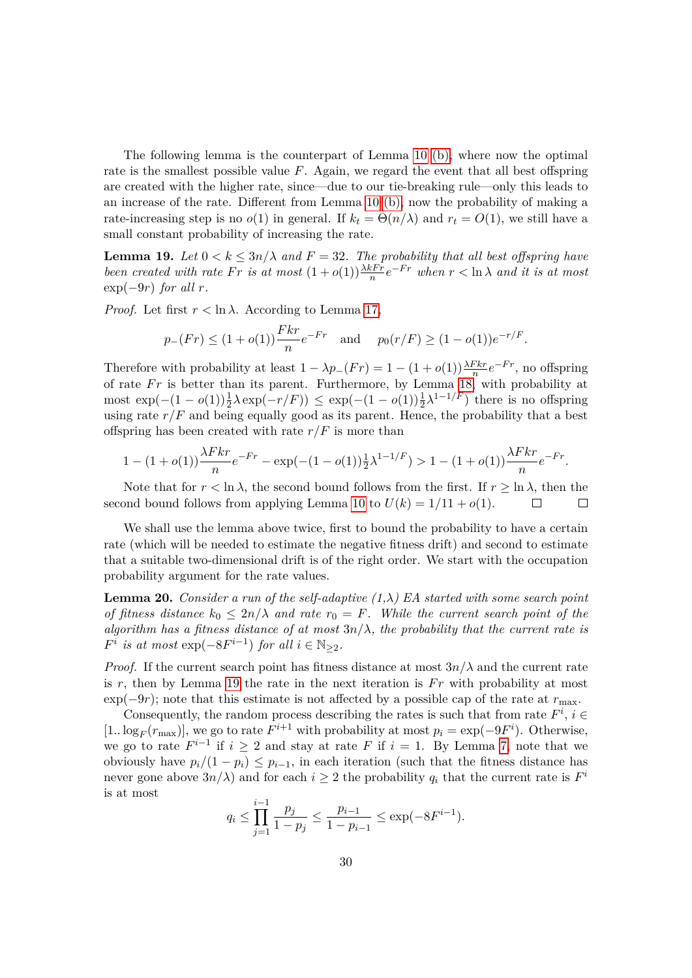The following lemma is the counterpart of Lemma [10](#page-13-1) [\(b\),](#page-13-4) where now the optimal rate is the smallest possible value *F*. Again, we regard the event that all best offspring are created with the higher rate, since—due to our tie-breaking rule—only this leads to an increase of the rate. Different from Lemma [10](#page-13-1) [\(b\),](#page-13-4) now the probability of making a rate-increasing step is no  $o(1)$  in general. If  $k_t = \Theta(n/\lambda)$  and  $r_t = O(1)$ , we still have a small constant probability of increasing the rate.

<span id="page-29-0"></span>**Lemma 19.** Let  $0 < k \leq 3n/\lambda$  and  $F = 32$ . The probability that all best offspring have *been created with rate*  $Fr$  *is at most*  $(1+o(1))\frac{\lambda k Fr}{n}e^{-Fr}$  when  $r < \ln \lambda$  and it is at most  $\exp(-9r)$  *for all r.* 

*Proof.* Let first  $r < \ln \lambda$ . According to Lemma [17,](#page-27-0)

$$
p_{-}(Fr) \leq (1+o(1))\frac{Fkr}{n}e^{-Fr}
$$
 and  $p_{0}(r/F) \geq (1-o(1))e^{-r/F}$ .

Therefore with probability at least  $1 - \lambda p_-(Fr) = 1 - (1 + o(1))\frac{\lambda Fkr}{n}e^{-Fr}$ , no offspring of rate *Fr* is better than its parent. Furthermore, by Lemma [18,](#page-28-0) with probability at most exp( $-(1 - o(1))\frac{1}{2}λ$  exp( $-r/F$ )) ≤ exp( $-(1 - o(1))\frac{1}{2}λ^{1-1/F}$ ) there is no offspring using rate  $r/F$  and being equally good as its parent. Hence, the probability that a best offspring has been created with rate  $r/F$  is more than

$$
1 - (1 + o(1))\frac{\lambda Fkr}{n}e^{-Fr} - \exp(-(1 - o(1))\frac{1}{2}\lambda^{1 - 1/F}) > 1 - (1 + o(1))\frac{\lambda Fkr}{n}e^{-Fr}.
$$

Note that for  $r < \ln \lambda$ , the second bound follows from the first. If  $r \geq \ln \lambda$ , then the ond bound follows from applying Lemma 10 to  $U(k) = 1/11 + o(1)$ . second bound follows from applying Lemma [10](#page-13-1) to  $U(k) = 1/11 + o(1)$ .

We shall use the lemma above twice, first to bound the probability to have a certain rate (which will be needed to estimate the negative fitness drift) and second to estimate that a suitable two-dimensional drift is of the right order. We start with the occupation probability argument for the rate values.

<span id="page-29-1"></span>**Lemma 20.** *Consider a run of the self-adaptive (1,λ) EA started with some search point of fitness distance*  $k_0 \leq 2n/\lambda$  *and rate*  $r_0 = F$ *. While the current search point of the algorithm has a fitness distance of at most*  $3n/\lambda$ *, the probability that the current rate is*  $F^i$  *is at most*  $\exp(-8F^{i-1})$  *for all*  $i \in \mathbb{N}_{\geq 2}$ *.* 

*Proof.* If the current search point has fitness distance at most  $3n/\lambda$  and the current rate is  $r$ , then by Lemma [19](#page-29-0) the rate in the next iteration is  $Fr$  with probability at most  $\exp(-9r)$ ; note that this estimate is not affected by a possible cap of the rate at  $r_{\text{max}}$ .

Consequently, the random process describing the rates is such that from rate  $F^i$ ,  $i \in$ [1..  $\log_F(r_{\text{max}})$ ], we go to rate  $F^{i+1}$  with probability at most  $p_i = \exp(-9F^i)$ . Otherwise, we go to rate  $F^{i-1}$  if  $i \geq 2$  and stay at rate  $F$  if  $i = 1$ . By Lemma [7,](#page-12-0) note that we obviously have  $p_i/(1 - p_i) \leq p_{i-1}$ , in each iteration (such that the fitness distance has never gone above  $3n/\lambda$ ) and for each  $i \geq 2$  the probability  $q_i$  that the current rate is  $F^i$ is at most

$$
q_i \le \prod_{j=1}^{i-1} \frac{p_j}{1 - p_j} \le \frac{p_{i-1}}{1 - p_{i-1}} \le \exp(-8F^{i-1}).
$$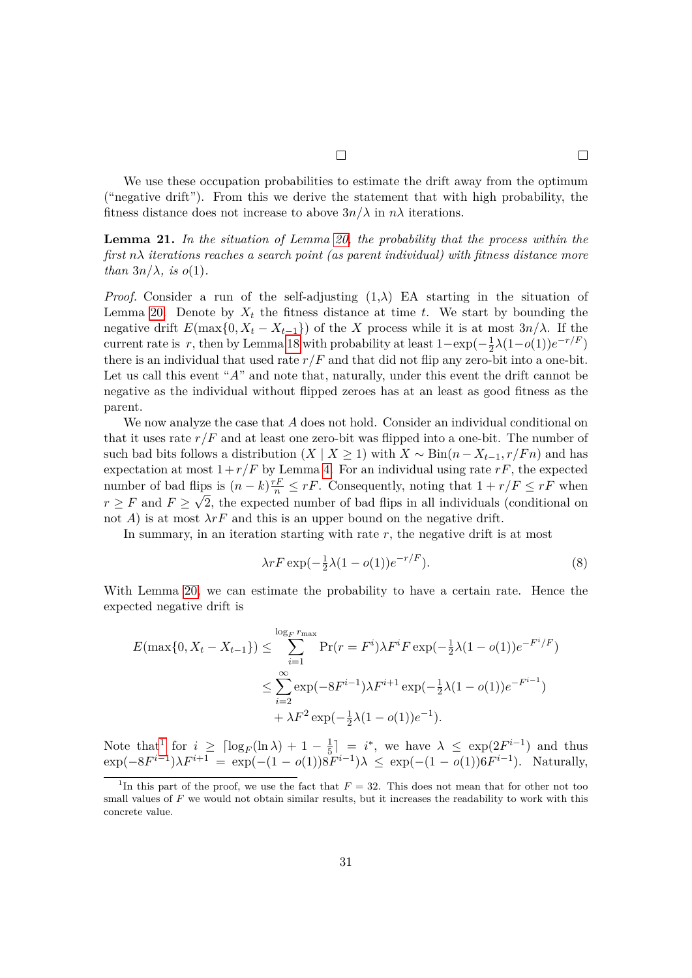We use these occupation probabilities to estimate the drift away from the optimum ("negative drift"). From this we derive the statement that with high probability, the fitness distance does not increase to above  $3n/\lambda$  in  $n\lambda$  iterations.

<span id="page-30-0"></span>**Lemma 21.** *In the situation of Lemma [20,](#page-29-1) the probability that the process within the first nλ iterations reaches a search point (as parent individual) with fitness distance more than*  $3n/\lambda$ *, is o(1)*.

*Proof.* Consider a run of the self-adjusting  $(1,\lambda)$  EA starting in the situation of Lemma [20.](#page-29-1) Denote by  $X_t$  the fitness distance at time *t*. We start by bounding the negative drift  $E(\max\{0, X_t - X_{t-1}\})$  of the *X* process while it is at most  $3n/\lambda$ . If the current rate is  $r$ , then by Lemma [18](#page-28-0) with probability at least  $1-\exp(-\frac{1}{2})$  $\frac{1}{2}\lambda(1-o(1))e^{-r/F}$ there is an individual that used rate  $r/F$  and that did not flip any zero-bit into a one-bit. Let us call this event "*A*" and note that, naturally, under this event the drift cannot be negative as the individual without flipped zeroes has at an least as good fitness as the parent.

We now analyze the case that *A* does not hold. Consider an individual conditional on that it uses rate  $r/F$  and at least one zero-bit was flipped into a one-bit. The number of such bad bits follows a distribution  $(X | X \geq 1)$  with  $X \sim Bin(n - X_{t-1}, r/Fn)$  and has expectation at most  $1+r/F$  by Lemma [4.](#page-10-3) For an individual using rate  $rF$ , the expected number of bad flips is  $(n-k)\frac{rF}{n} \leq rF$ . Consequently, noting that  $1 + r/F \leq rF$  when  $r \geq F$  and  $F \geq \sqrt{2}$ , the expected number of bad flips in all individuals (conditional on not *A*) is at most  $\lambda rF$  and this is an upper bound on the negative drift.

In summary, in an iteration starting with rate *r*, the negative drift is at most

<span id="page-30-2"></span>
$$
\lambda r F \exp\left(-\frac{1}{2}\lambda (1 - o(1))e^{-r/F}\right). \tag{8}
$$

With Lemma [20,](#page-29-1) we can estimate the probability to have a certain rate. Hence the expected negative drift is

$$
E(\max\{0, X_t - X_{t-1}\}) \le \sum_{i=1}^{\log_F r_{\max}} \Pr(r = F^i) \lambda F^i F \exp(-\frac{1}{2}\lambda(1 - o(1))e^{-F^i/F})
$$
  

$$
\le \sum_{i=2}^{\infty} \exp(-8F^{i-1})\lambda F^{i+1} \exp(-\frac{1}{2}\lambda(1 - o(1))e^{-F^{i-1}})
$$
  

$$
+ \lambda F^2 \exp(-\frac{1}{2}\lambda(1 - o(1))e^{-1}).
$$

Note that<sup>[1](#page-30-1)</sup> for  $i \geq \lceil \log_F(\ln \lambda) + 1 - \frac{1}{5} \rceil$  $\frac{1}{5}$ ] = *i*<sup>\*</sup>, we have  $\lambda \leq \exp(2F^{i-1})$  and thus  $\exp(-8F^{i-1})\lambda F^{i+1} = \exp(-(1 - o(1))8F^{i-1})\lambda \leq \exp(-(1 - o(1))6F^{i-1}).$  Naturally,

<span id="page-30-1"></span><sup>&</sup>lt;sup>1</sup>In this part of the proof, we use the fact that  $F = 32$ . This does not mean that for other not too small values of *F* we would not obtain similar results, but it increases the readability to work with this concrete value.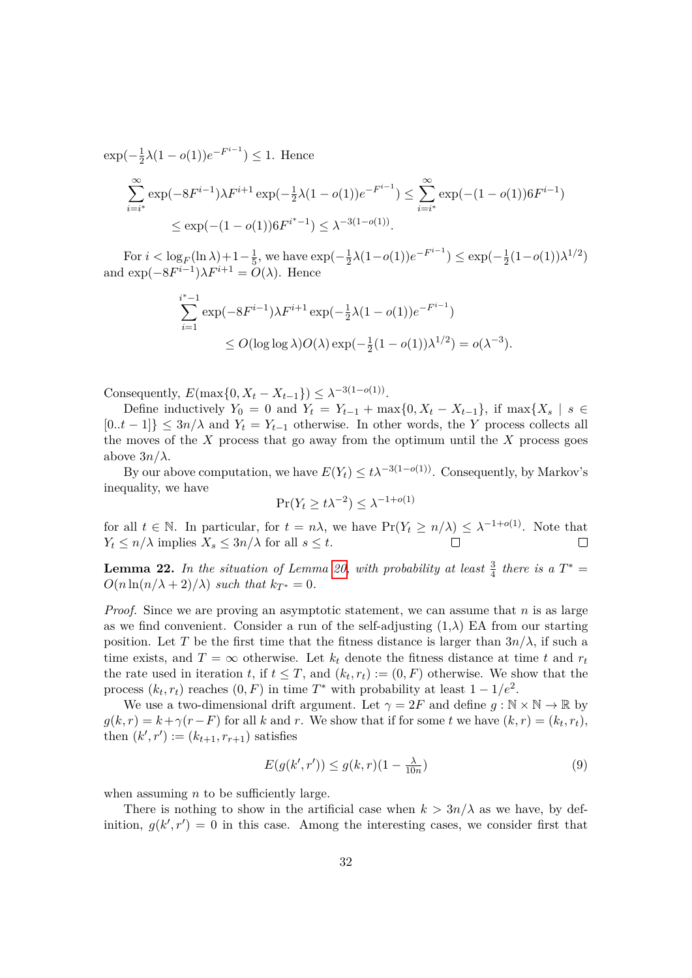$\exp(-\frac{1}{2})$  $\frac{1}{2}\lambda(1 - o(1))e^{-F^{i-1}} \leq 1$ . Hence

$$
\sum_{i=i^*}^{\infty} \exp(-8F^{i-1})\lambda F^{i+1} \exp(-\frac{1}{2}\lambda(1-o(1))e^{-F^{i-1}}) \le \sum_{i=i^*}^{\infty} \exp(-(1-o(1))6F^{i-1})
$$
  

$$
\le \exp(-(1-o(1))6F^{i^*-1}) \le \lambda^{-3(1-o(1))}.
$$

For  $i < log_F(\ln \lambda) + 1-\frac{1}{5}$  $\frac{1}{5}$ , we have  $\exp(-\frac{1}{2})$  $\frac{1}{2}\lambda(1-o(1))e^{-F^{i-1}} \leq \exp(-\frac{1}{2})$  $\frac{1}{2}(1-o(1))\lambda^{1/2})$ and  $\exp(-8F^{i-1})\lambda F^{i+1} = O(\lambda)$ . Hence

$$
\sum_{i=1}^{i^*-1} \exp(-8F^{i-1})\lambda F^{i+1} \exp(-\frac{1}{2}\lambda(1-o(1))e^{-F^{i-1}})
$$
  
 
$$
\leq O(\log \log \lambda)O(\lambda) \exp(-\frac{1}{2}(1-o(1))\lambda^{1/2}) = o(\lambda^{-3}).
$$

Consequently,  $E(\max\{0, X_t - X_{t-1}\}) \leq \lambda^{-3(1 - o(1))}$ .

Define inductively  $Y_0 = 0$  and  $Y_t = Y_{t-1} + \max\{0, X_t - X_{t-1}\}\$ , if  $\max\{X_s \mid s \in$  $[0..t-1]$   $\leq 3n/\lambda$  and  $Y_t = Y_{t-1}$  otherwise. In other words, the *Y* process collects all the moves of the *X* process that go away from the optimum until the *X* process goes above  $3n/\lambda$ .

By our above computation, we have  $E(Y_t) \leq t\lambda^{-3(1-o(1))}$ . Consequently, by Markov's inequality, we have

$$
\Pr(Y_t \ge t\lambda^{-2}) \le \lambda^{-1+o(1)}
$$

for all  $t \in \mathbb{N}$ . In particular, for  $t = n\lambda$ , we have  $Pr(Y_t \ge n/\lambda) \le \lambda^{-1+o(1)}$ . Note that  $Y_t \leq n/\lambda$  implies  $X_s \leq 3n/\lambda$  for all  $s \leq t$ .  $\Box$ 

<span id="page-31-0"></span>**Lemma 22.** In the situation of Lemma [20,](#page-29-1) with probability at least  $\frac{3}{4}$  there is a  $T^*$  =  $O(n \ln(n/\lambda + 2)/\lambda)$  *such that*  $k_{T^*} = 0$ .

*Proof.* Since we are proving an asymptotic statement, we can assume that *n* is as large as we find convenient. Consider a run of the self-adjusting  $(1,\lambda)$  EA from our starting position. Let *T* be the first time that the fitness distance is larger than  $3n/\lambda$ , if such a time exists, and  $T = \infty$  otherwise. Let  $k_t$  denote the fitness distance at time t and  $r_t$ the rate used in iteration *t*, if  $t \leq T$ , and  $(k_t, r_t) := (0, F)$  otherwise. We show that the process  $(k_t, r_t)$  reaches  $(0, F)$  in time  $T^*$  with probability at least  $1 - 1/e^2$ .

We use a two-dimensional drift argument. Let  $\gamma = 2F$  and define  $g : \mathbb{N} \times \mathbb{N} \to \mathbb{R}$  by  $g(k, r) = k + \gamma(r - F)$  for all *k* and *r*. We show that if for some *t* we have  $(k, r) = (k_t, r_t)$ , then  $(k', r') := (k_{t+1}, r_{r+1})$  satisfies

<span id="page-31-1"></span>
$$
E(g(k',r')) \le g(k,r)(1 - \frac{\lambda}{10n})\tag{9}
$$

when assuming *n* to be sufficiently large.

There is nothing to show in the artificial case when  $k > 3n/\lambda$  as we have, by definition,  $g(k', r') = 0$  in this case. Among the interesting cases, we consider first that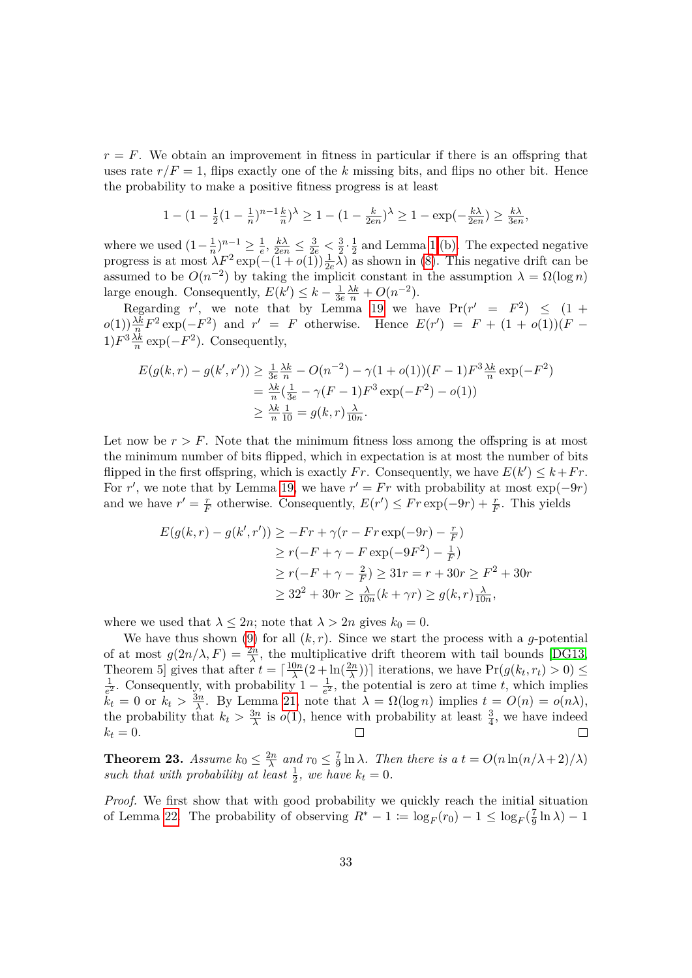$r = F$ . We obtain an improvement in fitness in particular if there is an offspring that uses rate  $r/F = 1$ , flips exactly one of the *k* missing bits, and flips no other bit. Hence the probability to make a positive fitness progress is at least

$$
1 - (1 - \frac{1}{2}(1 - \frac{1}{n})^{n-1}\frac{k}{n})^{\lambda} \ge 1 - (1 - \frac{k}{2en})^{\lambda} \ge 1 - \exp(-\frac{k\lambda}{2en}) \ge \frac{k\lambda}{3en},
$$

where we used  $(1 - \frac{1}{n})$  $(\frac{1}{n})^{n-1} \geq \frac{1}{e}$  $\frac{1}{e}$ ,  $\frac{k\lambda}{2en} \leq \frac{3}{2e} < \frac{3}{2}$  $\frac{3}{2} \cdot \frac{1}{2}$  $\frac{1}{2}$  and Lemma [1](#page-0-0) [\(b\).](#page-9-1) The expected negative progress is at most  $\lambda F^2 \exp(-(1 + o(1)) \frac{1}{2e} \lambda)$  as shown in [\(8\)](#page-30-2). This negative drift can be assumed to be  $O(n^{-2})$  by taking the implicit constant in the assumption  $\lambda = \Omega(\log n)$ large enough. Consequently,  $E(k') \leq k - \frac{1}{3k}$  $\frac{1}{3e} \frac{\lambda k}{n} + O(n^{-2}).$ 

Regarding  $r'$ , we note that by Lemma [19](#page-29-0) we have  $Pr(r' = F^2) \leq (1 +$  $o(1)$  $\frac{\lambda k}{n} F^2 \exp(-F^2)$  and  $r' = F$  otherwise. Hence  $E(r') = F + (1 + o(1))(F$ *n*  $(1)$  $F^3\frac{\lambda k}{n}$  $\frac{\Delta k}{n}$  exp( $-F^2$ ). Consequently,

$$
E(g(k,r) - g(k',r')) \ge \frac{1}{3e} \frac{\lambda k}{n} - O(n^{-2}) - \gamma (1 + o(1))(F - 1)F^3 \frac{\lambda k}{n} \exp(-F^2)
$$
  
=  $\frac{\lambda k}{n} (\frac{1}{3e} - \gamma (F - 1)F^3 \exp(-F^2) - o(1))$   
 $\ge \frac{\lambda k}{n} \frac{1}{10} = g(k,r) \frac{\lambda}{10n}.$ 

Let now be  $r > F$ . Note that the minimum fitness loss among the offspring is at most the minimum number of bits flipped, which in expectation is at most the number of bits flipped in the first offspring, which is exactly *Fr*. Consequently, we have  $E(k') \leq k + Fr$ . For *r'*, we note that by Lemma [19,](#page-29-0) we have  $r' = Fr$  with probability at most  $\exp(-9r)$ and we have  $r' = \frac{r}{F}$ *F*<sup>*r*</sup> otherwise. Consequently,  $E(r')$  ≤  $Fr \exp(-9r) + \frac{r}{F}$ . This yields

$$
E(g(k,r) - g(k',r')) \ge -Fr + \gamma(r - Fr \exp(-9r) - \frac{r}{F})
$$
  
\n
$$
\ge r(-F + \gamma - F \exp(-9F^2) - \frac{1}{F})
$$
  
\n
$$
\ge r(-F + \gamma - \frac{2}{F}) \ge 31r = r + 30r \ge F^2 + 30r
$$
  
\n
$$
\ge 32^2 + 30r \ge \frac{\lambda}{10n}(k + \gamma r) \ge g(k,r)\frac{\lambda}{10n},
$$

where we used that  $\lambda \leq 2n$ ; note that  $\lambda > 2n$  gives  $k_0 = 0$ .

We have thus shown [\(9\)](#page-31-1) for all  $(k, r)$ . Since we start the process with a *g*-potential of at most  $g(2n/\lambda, F) = \frac{2n}{\lambda}$ , the multiplicative drift theorem with tail bounds [\[DG13,](#page-40-8) Theorem 5] gives that after  $t = \lceil \frac{10n}{\lambda} \rceil$ Theorem 5] gives that after  $t = \left[\frac{10n}{\lambda}(2 + \ln(\frac{2n}{\lambda}))\right]$  iterations, we have  $\Pr(g(k_t, r_t) > 0) \le$ <br>
<sup>1</sup>  $\frac{1}{e^2}$ . Consequently, with probability  $1 - \frac{1}{e^2}$  $\frac{1}{e^2}$ , the potential is zero at time *t*, which implies  $\tilde{k}_t = 0$  or  $k_t > \frac{3n}{\lambda}$  $\frac{3n}{\lambda}$ . By Lemma [21,](#page-30-0) note that  $\lambda = \Omega(\log n)$  implies  $t = O(n) = o(n\lambda)$ , the probability that  $k_t > \frac{3n}{\lambda}$  $\frac{3n}{\lambda}$  is *o*(1), hence with probability at least  $\frac{3}{4}$ , we have indeed  $k_t = 0$ .  $\Box$ 

<span id="page-32-0"></span>**Theorem 23.** *Assume*  $k_0 \leq \frac{2n}{\lambda}$  $\frac{2n}{\lambda}$  and  $r_0 \leq \frac{7}{9}$  $\frac{7}{9} \ln \lambda$ *. Then there is a*  $t = O(n \ln(n/\lambda + 2)/\lambda)$ such that with probability at least  $\frac{1}{2}$ , we have  $k_t = 0$ .

*Proof.* We first show that with good probability we quickly reach the initial situation of Lemma [22.](#page-31-0) The probability of observing  $R^* - 1 \coloneqq \log_F(r_0) - 1 \leq \log_F(\frac{7}{9})$  $\frac{7}{9} \ln \lambda$ ) − 1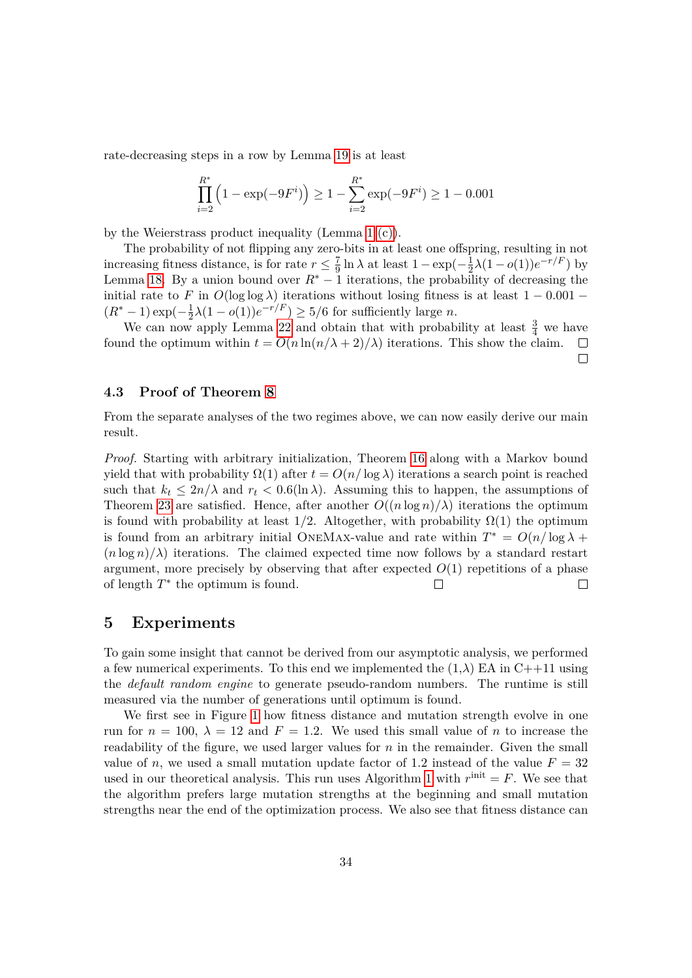rate-decreasing steps in a row by Lemma [19](#page-29-0) is at least

$$
\prod_{i=2}^{R^*} \left( 1 - \exp(-9F^i) \right) \ge 1 - \sum_{i=2}^{R^*} \exp(-9F^i) \ge 1 - 0.001
$$

by the Weierstrass product inequality (Lemma [1](#page-0-0) [\(c\)\)](#page-9-3).

The probability of not flipping any zero-bits in at least one offspring, resulting in not increasing fitness distance, is for rate  $r \leq \frac{7}{9}$  $\frac{7}{9} \ln \lambda$  at least  $1 - \exp(-\frac{1}{2})$  $\frac{1}{2}\lambda(1 - o(1))e^{-r/F}$  by Lemma [18.](#page-28-0) By a union bound over  $R^* - 1$  iterations, the probability of decreasing the initial rate to *F* in  $O(\log \log \lambda)$  iterations without losing fitness is at least  $1 - 0.001 (R^* - 1) \exp(-\frac{1}{2})$  $\frac{1}{2}\lambda(1 - o(1))e^{-r/F}$   $\geq 5/6$  for sufficiently large *n*.

We can now apply Lemma [22](#page-31-0) and obtain that with probability at least  $\frac{3}{4}$  we have found the optimum within  $t = O(n \ln(n/\lambda + 2)/\lambda)$  iterations. This show the claim.  $\Box$  $\Box$ 

### **4.3 Proof of Theorem [8](#page-12-2)**

From the separate analyses of the two regimes above, we can now easily derive our main result.

*Proof.* Starting with arbitrary initialization, Theorem [16](#page-25-0) along with a Markov bound yield that with probability  $\Omega(1)$  after  $t = O(n/\log \lambda)$  iterations a search point is reached such that  $k_t \leq 2n/\lambda$  and  $r_t \leq 0.6(\ln \lambda)$ . Assuming this to happen, the assumptions of Theorem [23](#page-32-0) are satisfied. Hence, after another  $O((n \log n)/\lambda)$  iterations the optimum is found with probability at least  $1/2$ . Altogether, with probability  $\Omega(1)$  the optimum is found from an arbitrary initial ONEMAX-value and rate within  $T^* = O(n/\log \lambda +$  $(n \log n)/\lambda$  iterations. The claimed expected time now follows by a standard restart argument, more precisely by observing that after expected  $O(1)$  repetitions of a phase of length *T* ∗ the optimum is found.  $\Box$  $\Box$ 

# **5 Experiments**

To gain some insight that cannot be derived from our asymptotic analysis, we performed a few numerical experiments. To this end we implemented the  $(1,\lambda)$  EA in C++11 using the *default random engine* to generate pseudo-random numbers. The runtime is still measured via the number of generations until optimum is found.

We first see in Figure [1](#page-35-0) how fitness distance and mutation strength evolve in one run for  $n = 100$ ,  $\lambda = 12$  and  $F = 1.2$ . We used this small value of *n* to increase the readability of the figure, we used larger values for *n* in the remainder. Given the small value of *n*, we used a small mutation update factor of 1.2 instead of the value  $F = 32$ used in our theoretical analysis. This run uses Algorithm [1](#page-8-0) with  $r^{\text{init}} = F$ . We see that the algorithm prefers large mutation strengths at the beginning and small mutation strengths near the end of the optimization process. We also see that fitness distance can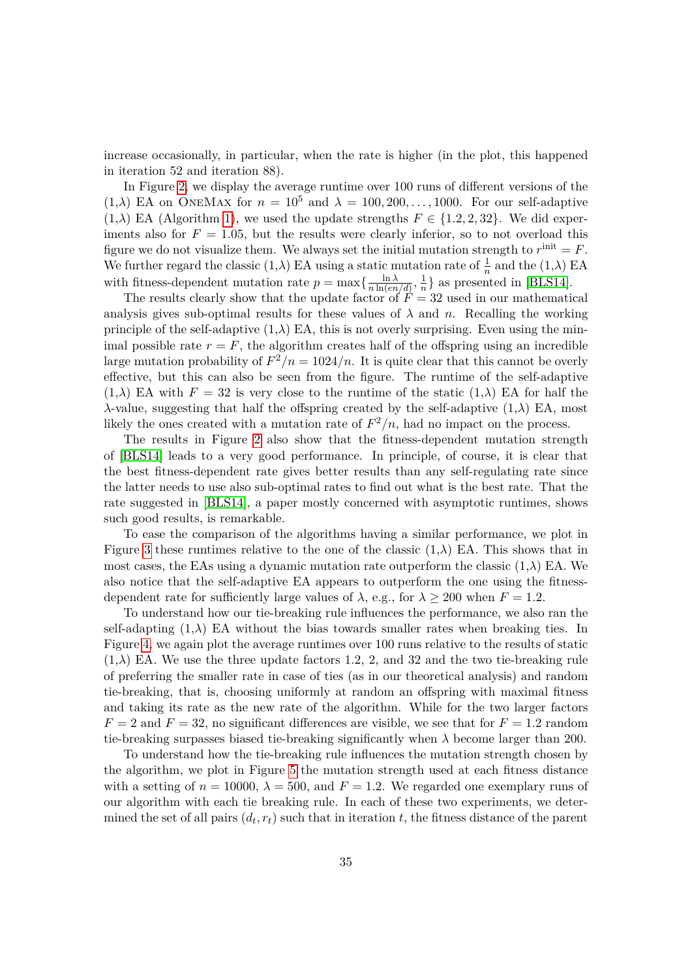increase occasionally, in particular, when the rate is higher (in the plot, this happened in iteration 52 and iteration 88).

In Figure [2,](#page-36-0) we display the average runtime over 100 runs of different versions of the  $(1,\lambda)$  EA on ONEMAX for  $n = 10^5$  and  $\lambda = 100, 200, \ldots, 1000$ . For our self-adaptive  $(1,\lambda)$  EA (Algorithm [1\)](#page-8-0), we used the update strengths  $F \in \{1,2,2,32\}$ . We did experiments also for  $F = 1.05$ , but the results were clearly inferior, so to not overload this figure we do not visualize them. We always set the initial mutation strength to  $r^{\text{init}} = F$ . We further regard the classic  $(1, \lambda)$  EA using a static mutation rate of  $\frac{1}{n}$  and the  $(1, \lambda)$  EA with fitness-dependent mutation rate  $p = \max\left\{\frac{\ln \lambda}{n \ln(en)}\right\}$  $\frac{\ln \lambda}{n \ln(en/d)}, \frac{1}{n}$  $\frac{1}{n}$  as presented in [\[BLS14\]](#page-39-0).

The results clearly show that the update factor of  $\ddot{F} = 32$  used in our mathematical analysis gives sub-optimal results for these values of  $\lambda$  and *n*. Recalling the working principle of the self-adaptive  $(1,\lambda)$  EA, this is not overly surprising. Even using the minimal possible rate  $r = F$ , the algorithm creates half of the offspring using an incredible large mutation probability of  $F^2/n = 1024/n$ . It is quite clear that this cannot be overly effective, but this can also be seen from the figure. The runtime of the self-adaptive  $(1,\lambda)$  EA with  $F = 32$  is very close to the runtime of the static  $(1,\lambda)$  EA for half the *λ*-value, suggesting that half the offspring created by the self-adaptive  $(1, λ)$  EA, most likely the ones created with a mutation rate of  $F^2/n$ , had no impact on the process.

The results in Figure [2](#page-36-0) also show that the fitness-dependent mutation strength of [\[BLS14\]](#page-39-0) leads to a very good performance. In principle, of course, it is clear that the best fitness-dependent rate gives better results than any self-regulating rate since the latter needs to use also sub-optimal rates to find out what is the best rate. That the rate suggested in [\[BLS14\]](#page-39-0), a paper mostly concerned with asymptotic runtimes, shows such good results, is remarkable.

To ease the comparison of the algorithms having a similar performance, we plot in Figure [3](#page-36-1) these runtimes relative to the one of the classic  $(1,\lambda)$  EA. This shows that in most cases, the EAs using a dynamic mutation rate outperform the classic  $(1,\lambda)$  EA. We also notice that the self-adaptive EA appears to outperform the one using the fitnessdependent rate for sufficiently large values of  $\lambda$ , e.g., for  $\lambda \geq 200$  when  $F = 1.2$ .

To understand how our tie-breaking rule influences the performance, we also ran the self-adapting  $(1, \lambda)$  EA without the bias towards smaller rates when breaking ties. In Figure [4,](#page-37-0) we again plot the average runtimes over 100 runs relative to the results of static  $(1,\lambda)$  EA. We use the three update factors 1.2, 2, and 32 and the two tie-breaking rule of preferring the smaller rate in case of ties (as in our theoretical analysis) and random tie-breaking, that is, choosing uniformly at random an offspring with maximal fitness and taking its rate as the new rate of the algorithm. While for the two larger factors  $F = 2$  and  $F = 32$ , no significant differences are visible, we see that for  $F = 1.2$  random tie-breaking surpasses biased tie-breaking significantly when *λ* become larger than 200.

To understand how the tie-breaking rule influences the mutation strength chosen by the algorithm, we plot in Figure [5](#page-37-1) the mutation strength used at each fitness distance with a setting of  $n = 10000$ ,  $\lambda = 500$ , and  $F = 1.2$ . We regarded one exemplary runs of our algorithm with each tie breaking rule. In each of these two experiments, we determined the set of all pairs  $(d_t, r_t)$  such that in iteration  $t$ , the fitness distance of the parent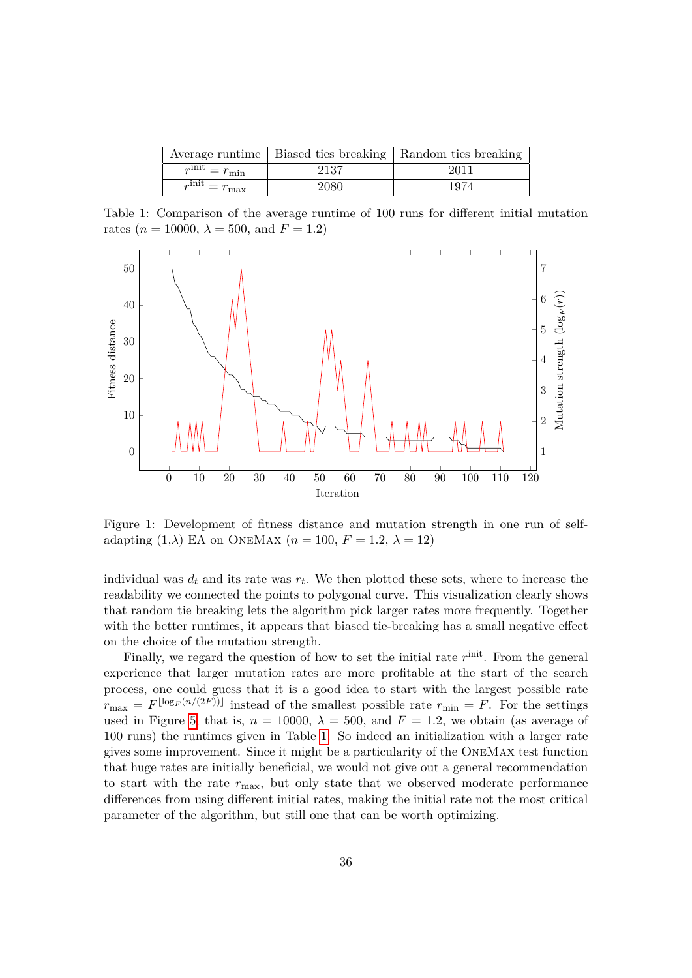|                                               |      | Average runtime   Biased ties breaking   Random ties breaking |
|-----------------------------------------------|------|---------------------------------------------------------------|
| $r^{\overline{\text{init}}} = r_{\text{min}}$ | 2137 | 2011                                                          |
| $r^{\overline{\text{init}}} = r_{\text{max}}$ | 2080 | 1974                                                          |

<span id="page-35-1"></span>Table 1: Comparison of the average runtime of 100 runs for different initial mutation rates ( $n = 10000$ ,  $\lambda = 500$ , and  $F = 1.2$ )



<span id="page-35-0"></span>Figure 1: Development of fitness distance and mutation strength in one run of selfadapting  $(1,\lambda)$  EA on ONEMAX  $(n = 100, F = 1.2, \lambda = 12)$ 

individual was  $d_t$  and its rate was  $r_t$ . We then plotted these sets, where to increase the readability we connected the points to polygonal curve. This visualization clearly shows that random tie breaking lets the algorithm pick larger rates more frequently. Together with the better runtimes, it appears that biased tie-breaking has a small negative effect on the choice of the mutation strength.

Finally, we regard the question of how to set the initial rate  $r^{\text{init}}$ . From the general experience that larger mutation rates are more profitable at the start of the search process, one could guess that it is a good idea to start with the largest possible rate  $r_{\text{max}} = F^{\lfloor \log_F(n/(2F)) \rfloor}$  instead of the smallest possible rate  $r_{\text{min}} = F$ . For the settings used in Figure [5,](#page-37-1) that is,  $n = 10000$ ,  $\lambda = 500$ , and  $F = 1.2$ , we obtain (as average of 100 runs) the runtimes given in Table [1.](#page-35-1) So indeed an initialization with a larger rate gives some improvement. Since it might be a particularity of the OneMax test function that huge rates are initially beneficial, we would not give out a general recommendation to start with the rate *r*max, but only state that we observed moderate performance differences from using different initial rates, making the initial rate not the most critical parameter of the algorithm, but still one that can be worth optimizing.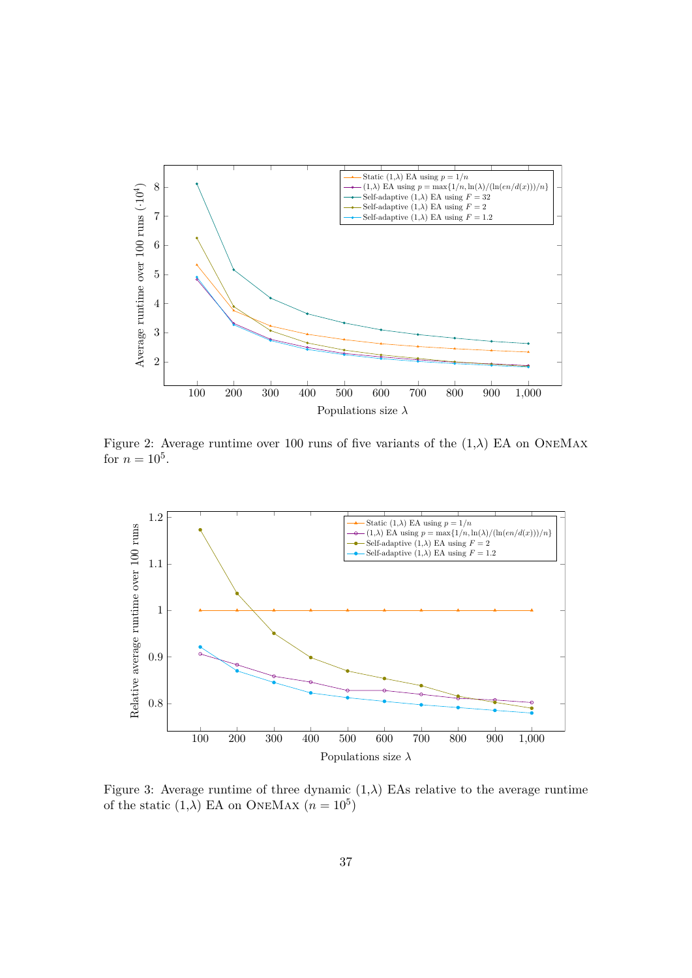

<span id="page-36-0"></span>Figure 2: Average runtime over 100 runs of five variants of the  $(1,\lambda)$  EA on ONEMAX for  $n = 10^5$ .



<span id="page-36-1"></span>Figure 3: Average runtime of three dynamic  $(1,\lambda)$  EAs relative to the average runtime of the static  $(1, \lambda)$  EA on ONEMAX  $(n = 10^5)$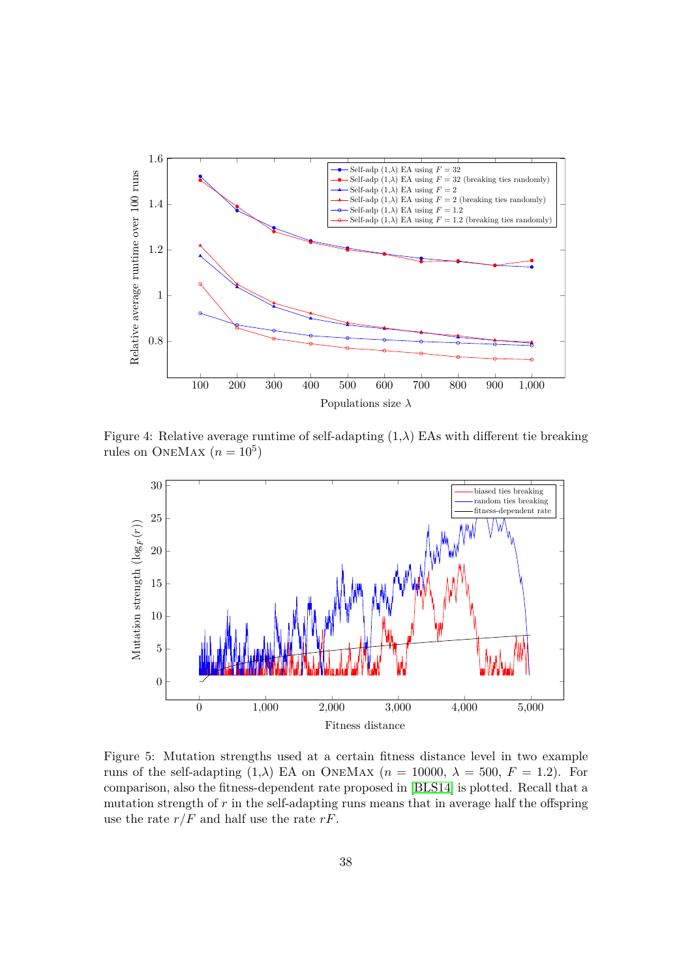

<span id="page-37-0"></span>Figure 4: Relative average runtime of self-adapting  $(1, \lambda)$  EAs with different tie breaking rules on ONEMAX  $(n = 10^5)$ 



<span id="page-37-1"></span>Figure 5: Mutation strengths used at a certain fitness distance level in two example runs of the self-adapting  $(1,\lambda)$  EA on ONEMAX  $(n = 10000, \lambda = 500, F = 1.2)$ . For comparison, also the fitness-dependent rate proposed in [\[BLS14\]](#page-39-0) is plotted. Recall that a mutation strength of *r* in the self-adapting runs means that in average half the offspring use the rate  $r/F$  and half use the rate  $rF$ .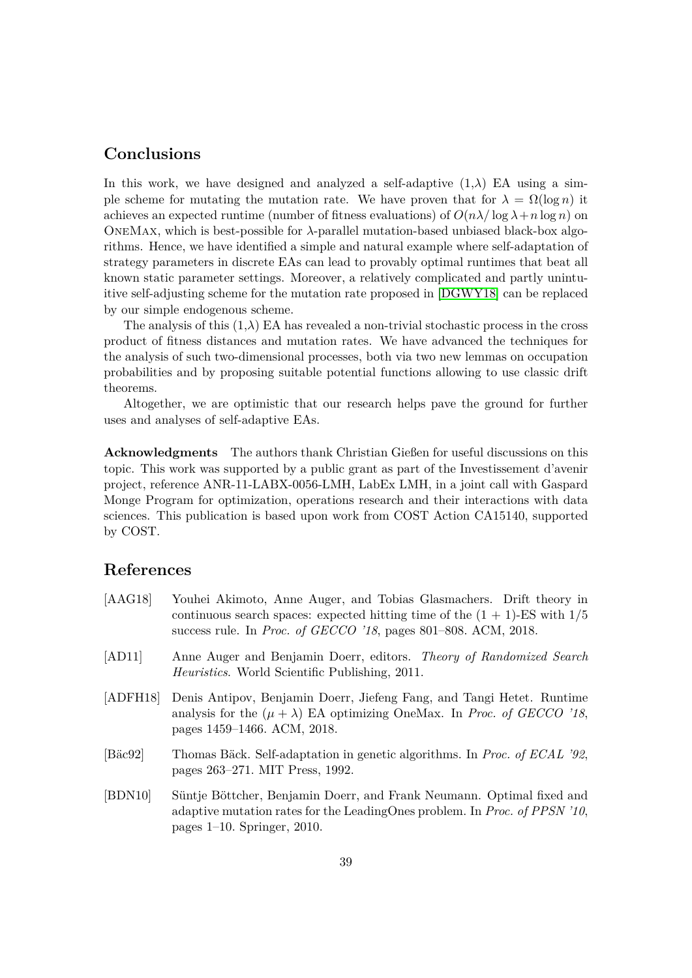# **Conclusions**

In this work, we have designed and analyzed a self-adaptive  $(1, \lambda)$  EA using a simple scheme for mutating the mutation rate. We have proven that for  $\lambda = \Omega(\log n)$  it achieves an expected runtime (number of fitness evaluations) of  $O(n\lambda/\log \lambda + n \log n)$  on OneMax, which is best-possible for *λ*-parallel mutation-based unbiased black-box algorithms. Hence, we have identified a simple and natural example where self-adaptation of strategy parameters in discrete EAs can lead to provably optimal runtimes that beat all known static parameter settings. Moreover, a relatively complicated and partly unintuitive self-adjusting scheme for the mutation rate proposed in [\[DGWY18\]](#page-40-11) can be replaced by our simple endogenous scheme.

The analysis of this  $(1,\lambda)$  EA has revealed a non-trivial stochastic process in the cross product of fitness distances and mutation rates. We have advanced the techniques for the analysis of such two-dimensional processes, both via two new lemmas on occupation probabilities and by proposing suitable potential functions allowing to use classic drift theorems.

Altogether, we are optimistic that our research helps pave the ground for further uses and analyses of self-adaptive EAs.

**Acknowledgments** The authors thank Christian Gießen for useful discussions on this topic. This work was supported by a public grant as part of the Investissement d'avenir project, reference ANR-11-LABX-0056-LMH, LabEx LMH, in a joint call with Gaspard Monge Program for optimization, operations research and their interactions with data sciences. This publication is based upon work from COST Action CA15140, supported by COST.

# **References**

<span id="page-38-4"></span><span id="page-38-3"></span><span id="page-38-0"></span>

| [AdG18]            | Youhei Akimoto, Anne Auger, and Tobias Glasmachers. Drift theory in<br>continuous search spaces: expected hitting time of the $(1 + 1)$ -ES with $1/5$<br>success rule. In <i>Proc. of GECCO</i> '18, pages 801–808. ACM, 2018. |
|--------------------|---------------------------------------------------------------------------------------------------------------------------------------------------------------------------------------------------------------------------------|
| [AD11]             | Anne Auger and Benjamin Doerr, editors. Theory of Randomized Search<br><i>Heuristics.</i> World Scientific Publishing, 2011.                                                                                                    |
| [ADFH18]           | Denis Antipov, Benjamin Doerr, Jiefeng Fang, and Tangi Hetet. Runtime<br>analysis for the $(\mu + \lambda)$ EA optimizing OneMax. In <i>Proc. of GECCO</i> '18,<br>pages 1459–1466. ACM, 2018.                                  |
| [ $B\ddot{a}c92$ ] | Thomas Bäck. Self-adaptation in genetic algorithms. In <i>Proc. of ECAL</i> '92,<br>pages 263–271. MIT Press, 1992.                                                                                                             |
| [BDN10]            | Süntje Böttcher, Benjamin Doerr, and Frank Neumann. Optimal fixed and<br>adaptive mutation rates for the LeadingOnes problem. In Proc. of PPSN '10,                                                                             |

<span id="page-38-2"></span><span id="page-38-1"></span>pages 1–10. Springer, 2010.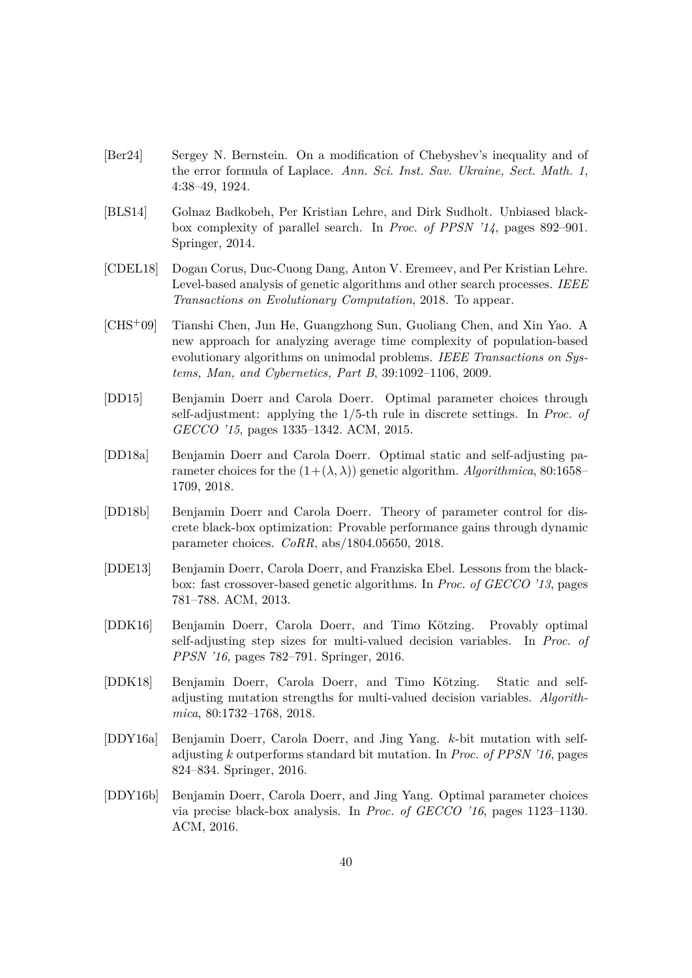- <span id="page-39-10"></span>[Ber24] Sergey N. Bernstein. On a modification of Chebyshev's inequality and of the error formula of Laplace. *Ann. Sci. Inst. Sav. Ukraine, Sect. Math. 1*, 4:38–49, 1924.
- <span id="page-39-0"></span>[BLS14] Golnaz Badkobeh, Per Kristian Lehre, and Dirk Sudholt. Unbiased blackbox complexity of parallel search. In *Proc. of PPSN '14*, pages 892–901. Springer, 2014.
- <span id="page-39-8"></span>[CDEL18] Dogan Corus, Duc-Cuong Dang, Anton V. Eremeev, and Per Kristian Lehre. Level-based analysis of genetic algorithms and other search processes. *IEEE Transactions on Evolutionary Computation*, 2018. To appear.
- <span id="page-39-7"></span>[CHS+09] Tianshi Chen, Jun He, Guangzhong Sun, Guoliang Chen, and Xin Yao. A new approach for analyzing average time complexity of population-based evolutionary algorithms on unimodal problems. *IEEE Transactions on Systems, Man, and Cybernetics, Part B*, 39:1092–1106, 2009.
- <span id="page-39-3"></span>[DD15] Benjamin Doerr and Carola Doerr. Optimal parameter choices through self-adjustment: applying the 1/5-th rule in discrete settings. In *Proc. of GECCO '15*, pages 1335–1342. ACM, 2015.
- <span id="page-39-11"></span>[DD18a] Benjamin Doerr and Carola Doerr. Optimal static and self-adjusting parameter choices for the  $(1+(\lambda, \lambda))$  genetic algorithm. *Algorithmica*, 80:1658– 1709, 2018.
- <span id="page-39-1"></span>[DD18b] Benjamin Doerr and Carola Doerr. Theory of parameter control for discrete black-box optimization: Provable performance gains through dynamic parameter choices. *CoRR*, abs/1804.05650, 2018.
- <span id="page-39-2"></span>[DDE13] Benjamin Doerr, Carola Doerr, and Franziska Ebel. Lessons from the blackbox: fast crossover-based genetic algorithms. In *Proc. of GECCO '13*, pages 781–788. ACM, 2013.
- <span id="page-39-9"></span>[DDK16] Benjamin Doerr, Carola Doerr, and Timo Kötzing. Provably optimal self-adjusting step sizes for multi-valued decision variables. In *Proc. of PPSN '16*, pages 782–791. Springer, 2016.
- <span id="page-39-4"></span>[DDK18] Benjamin Doerr, Carola Doerr, and Timo Kötzing. Static and selfadjusting mutation strengths for multi-valued decision variables. *Algorithmica*, 80:1732–1768, 2018.
- <span id="page-39-5"></span>[DDY16a] Benjamin Doerr, Carola Doerr, and Jing Yang. *k*-bit mutation with selfadjusting *k* outperforms standard bit mutation. In *Proc. of PPSN '16*, pages 824–834. Springer, 2016.
- <span id="page-39-6"></span>[DDY16b] Benjamin Doerr, Carola Doerr, and Jing Yang. Optimal parameter choices via precise black-box analysis. In *Proc. of GECCO '16*, pages 1123–1130. ACM, 2016.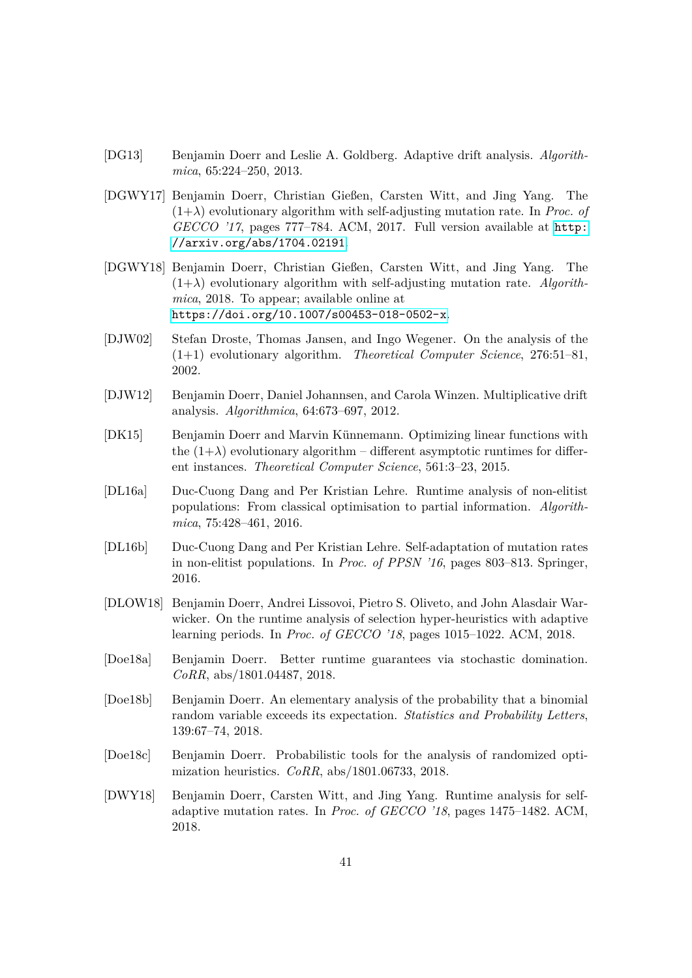- <span id="page-40-8"></span>[DG13] Benjamin Doerr and Leslie A. Goldberg. Adaptive drift analysis. *Algorithmica*, 65:224–250, 2013.
- <span id="page-40-1"></span>[DGWY17] Benjamin Doerr, Christian Gießen, Carsten Witt, and Jing Yang. The  $(1+\lambda)$  evolutionary algorithm with self-adjusting mutation rate. In *Proc. of GECCO '17*, pages 777–784. ACM, 2017. Full version available at [http:](http://arxiv.org/abs/1704.02191) [//arxiv.org/abs/1704.02191](http://arxiv.org/abs/1704.02191).
- <span id="page-40-11"></span>[DGWY18] Benjamin Doerr, Christian Gießen, Carsten Witt, and Jing Yang. The  $(1+\lambda)$  evolutionary algorithm with self-adjusting mutation rate. *Algorithmica*, 2018. To appear; available online at <https://doi.org/10.1007/s00453-018-0502-x>.
- <span id="page-40-5"></span>[DJW02] Stefan Droste, Thomas Jansen, and Ingo Wegener. On the analysis of the (1+1) evolutionary algorithm. *Theoretical Computer Science*, 276:51–81, 2002.
- <span id="page-40-7"></span>[DJW12] Benjamin Doerr, Daniel Johannsen, and Carola Winzen. Multiplicative drift analysis. *Algorithmica*, 64:673–697, 2012.
- <span id="page-40-6"></span>[DK15] Benjamin Doerr and Marvin Künnemann. Optimizing linear functions with the  $(1+\lambda)$  evolutionary algorithm – different asymptotic runtimes for different instances. *Theoretical Computer Science*, 561:3–23, 2015.
- <span id="page-40-9"></span>[DL16a] Duc-Cuong Dang and Per Kristian Lehre. Runtime analysis of non-elitist populations: From classical optimisation to partial information. *Algorithmica*, 75:428–461, 2016.
- <span id="page-40-4"></span>[DL16b] Duc-Cuong Dang and Per Kristian Lehre. Self-adaptation of mutation rates in non-elitist populations. In *Proc. of PPSN '16*, pages 803–813. Springer, 2016.
- <span id="page-40-3"></span>[DLOW18] Benjamin Doerr, Andrei Lissovoi, Pietro S. Oliveto, and John Alasdair Warwicker. On the runtime analysis of selection hyper-heuristics with adaptive learning periods. In *Proc. of GECCO '18*, pages 1015–1022. ACM, 2018.
- <span id="page-40-2"></span>[Doe18a] Benjamin Doerr. Better runtime guarantees via stochastic domination. *CoRR*, abs/1801.04487, 2018.
- <span id="page-40-12"></span>[Doe18b] Benjamin Doerr. An elementary analysis of the probability that a binomial random variable exceeds its expectation. *Statistics and Probability Letters*, 139:67–74, 2018.
- <span id="page-40-10"></span>[Doe18c] Benjamin Doerr. Probabilistic tools for the analysis of randomized optimization heuristics. *CoRR*, abs/1801.06733, 2018.
- <span id="page-40-0"></span>[DWY18] Benjamin Doerr, Carsten Witt, and Jing Yang. Runtime analysis for selfadaptive mutation rates. In *Proc. of GECCO '18*, pages 1475–1482. ACM, 2018.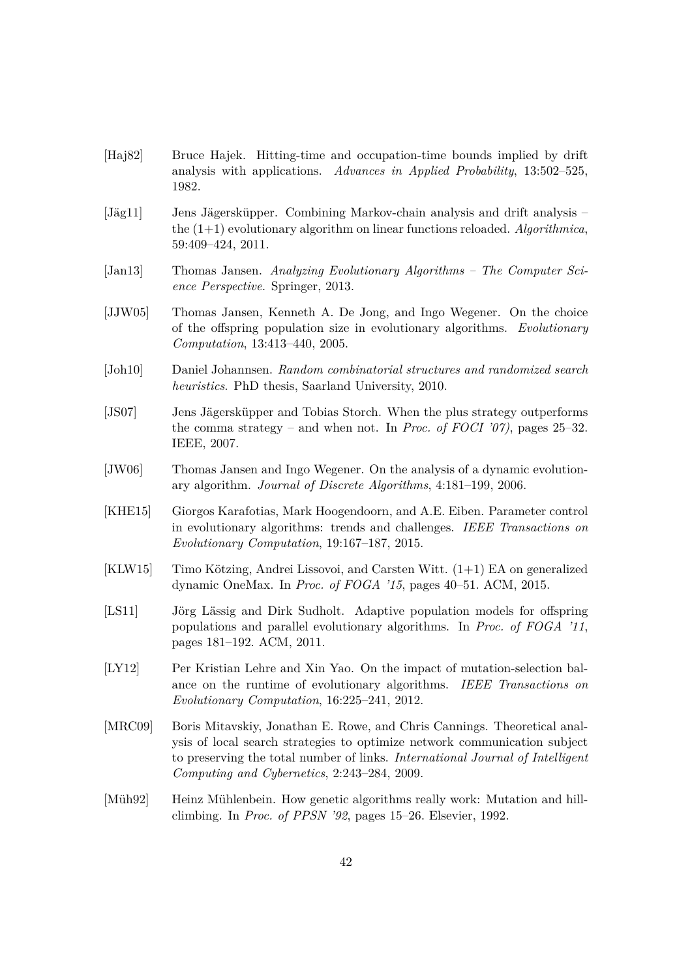- <span id="page-41-11"></span>[Haj82] Bruce Hajek. Hitting-time and occupation-time bounds implied by drift analysis with applications. *Advances in Applied Probability*, 13:502–525, 1982.
- <span id="page-41-12"></span>[Jäg11] Jens Jägersküpper. Combining Markov-chain analysis and drift analysis – the (1+1) evolutionary algorithm on linear functions reloaded. *Algorithmica*, 59:409–424, 2011.
- <span id="page-41-0"></span>[Jan13] Thomas Jansen. *Analyzing Evolutionary Algorithms – The Computer Science Perspective*. Springer, 2013.
- <span id="page-41-6"></span>[JJW05] Thomas Jansen, Kenneth A. De Jong, and Ingo Wegener. On the choice of the offspring population size in evolutionary algorithms. *Evolutionary Computation*, 13:413–440, 2005.
- <span id="page-41-9"></span>[Joh10] Daniel Johannsen. *Random combinatorial structures and randomized search heuristics*. PhD thesis, Saarland University, 2010.
- <span id="page-41-7"></span>[JS07] Jens Jägersküpper and Tobias Storch. When the plus strategy outperforms the comma strategy – and when not. In *Proc. of FOCI '07)*, pages 25–32. IEEE, 2007.
- <span id="page-41-3"></span>[JW06] Thomas Jansen and Ingo Wegener. On the analysis of a dynamic evolutionary algorithm. *Journal of Discrete Algorithms*, 4:181–199, 2006.
- <span id="page-41-2"></span>[KHE15] Giorgos Karafotias, Mark Hoogendoorn, and A.E. Eiben. Parameter control in evolutionary algorithms: trends and challenges. *IEEE Transactions on Evolutionary Computation*, 19:167–187, 2015.
- <span id="page-41-1"></span> $[KLW15]$  Timo Kötzing, Andrei Lissovoi, and Carsten Witt.  $(1+1)$  EA on generalized dynamic OneMax. In *Proc. of FOGA '15*, pages 40–51. ACM, 2015.
- <span id="page-41-4"></span>[LS11] Jörg Lässig and Dirk Sudholt. Adaptive population models for offspring populations and parallel evolutionary algorithms. In *Proc. of FOGA '11*, pages 181–192. ACM, 2011.
- <span id="page-41-8"></span>[LY12] Per Kristian Lehre and Xin Yao. On the impact of mutation-selection balance on the runtime of evolutionary algorithms. *IEEE Transactions on Evolutionary Computation*, 16:225–241, 2012.
- <span id="page-41-10"></span>[MRC09] Boris Mitavskiy, Jonathan E. Rowe, and Chris Cannings. Theoretical analysis of local search strategies to optimize network communication subject to preserving the total number of links. *International Journal of Intelligent Computing and Cybernetics*, 2:243–284, 2009.
- <span id="page-41-5"></span>[Müh92] Heinz Mühlenbein. How genetic algorithms really work: Mutation and hillclimbing. In *Proc. of PPSN '92*, pages 15–26. Elsevier, 1992.